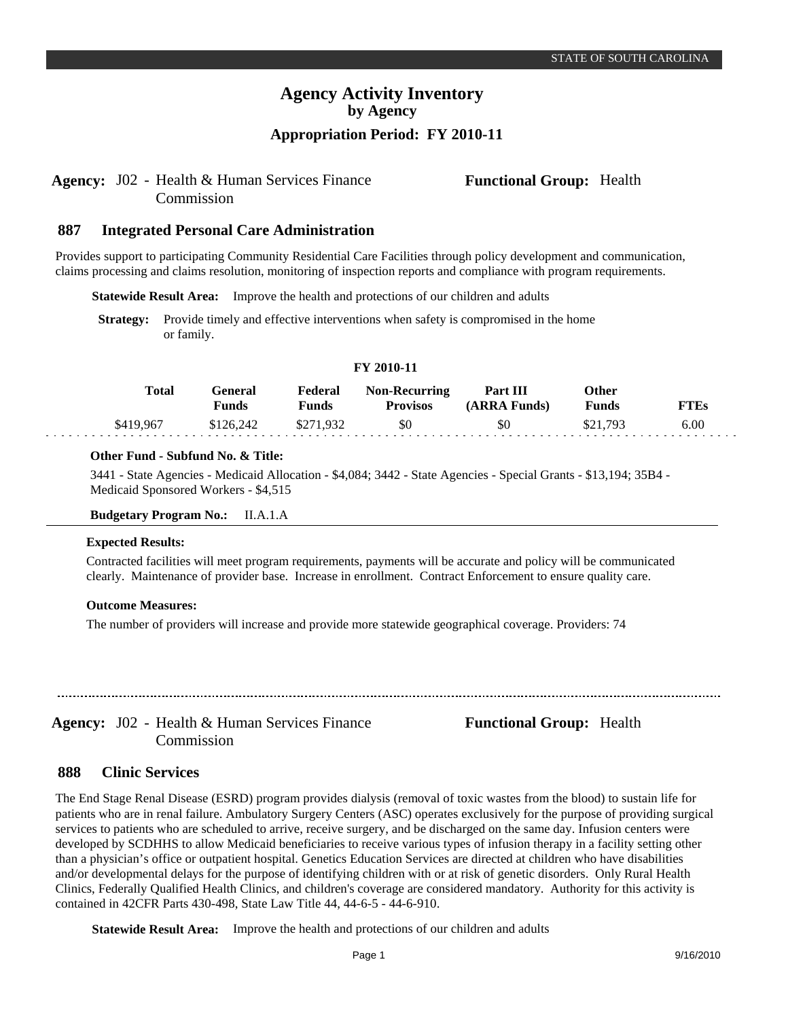### Agency: J02 - Health & Human Services Finance **Functional Group:** Health Commission

#### **Integrated Personal Care Administration 887**

Provides support to participating Community Residential Care Facilities through policy development and communication, claims processing and claims resolution, monitoring of inspection reports and compliance with program requirements.

**Statewide Result Area:** Improve the health and protections of our children and adults

**Strategy:** Provide timely and effective interventions when safety is compromised in the home or family.

### **FY 2010-11**

| <b>Total</b> | General<br>Funds | Federal<br>Funds | <b>Non-Recurring</b><br><b>Provisos</b> | <b>Part III</b><br>(ARRA Funds) | Other<br>Funds | FTEs |
|--------------|------------------|------------------|-----------------------------------------|---------------------------------|----------------|------|
| \$419.967    | \$126,242        | 71.932           | \$0                                     | \$0                             | \$21,793       | 6.00 |

### **Other Fund - Subfund No. & Title:**

3441 - State Agencies - Medicaid Allocation - \$4,084; 3442 - State Agencies - Special Grants - \$13,194; 35B4 - Medicaid Sponsored Workers - \$4,515

### **Budgetary Program No.:** II.A.1.A

#### **Expected Results:**

Contracted facilities will meet program requirements, payments will be accurate and policy will be communicated clearly. Maintenance of provider base. Increase in enrollment. Contract Enforcement to ensure quality care.

### **Outcome Measures:**

The number of providers will increase and provide more statewide geographical coverage. Providers: 74

Commission

Agency: J02 - Health & Human Services Finance **Functional Group:** Health

#### **Clinic Services 888**

The End Stage Renal Disease (ESRD) program provides dialysis (removal of toxic wastes from the blood) to sustain life for patients who are in renal failure. Ambulatory Surgery Centers (ASC) operates exclusively for the purpose of providing surgical services to patients who are scheduled to arrive, receive surgery, and be discharged on the same day. Infusion centers were developed by SCDHHS to allow Medicaid beneficiaries to receive various types of infusion therapy in a facility setting other than a physician's office or outpatient hospital. Genetics Education Services are directed at children who have disabilities and/or developmental delays for the purpose of identifying children with or at risk of genetic disorders. Only Rural Health Clinics, Federally Qualified Health Clinics, and children's coverage are considered mandatory. Authority for this activity is contained in 42CFR Parts 430-498, State Law Title 44, 44-6-5 - 44-6-910.

**Statewide Result Area:** Improve the health and protections of our children and adults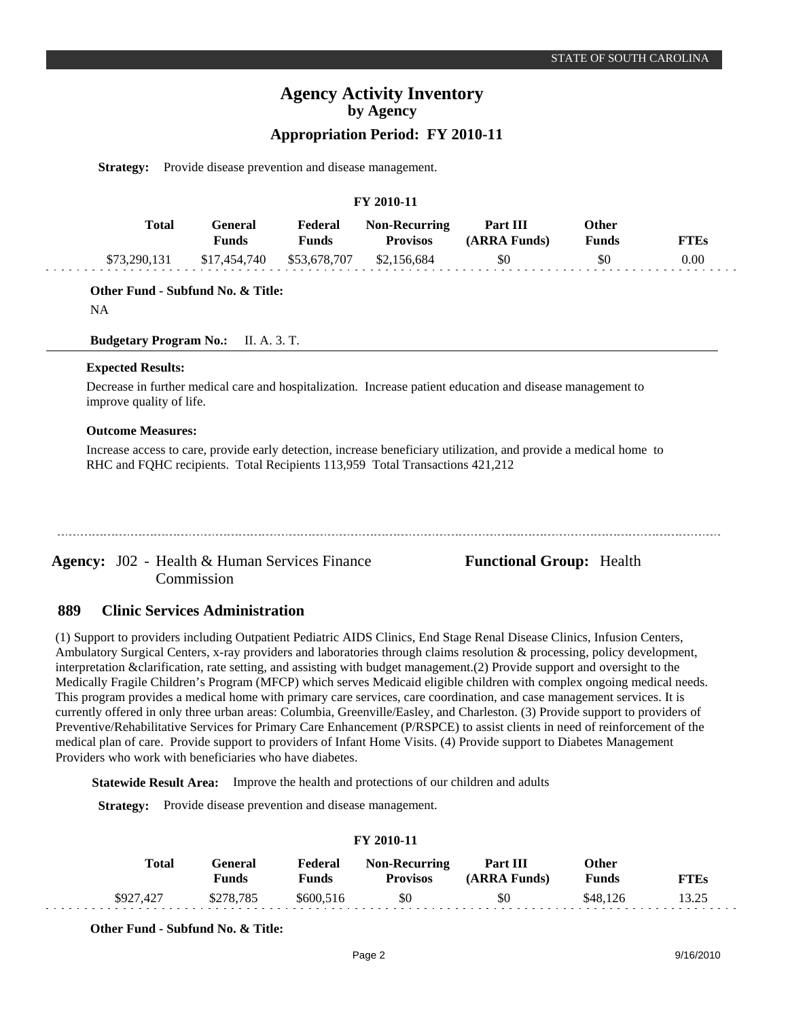## **Appropriation Period: FY 2010-11**

**Strategy:** Provide disease prevention and disease management.

### **FY 2010-11**

| Total        | Feneral<br>Funds | Federal<br>Funds | <b>Non-Recurring</b><br><b>Provisos</b> | <b>Part III</b><br>(ARRA Funds) | Other<br>Funds | FTEs |
|--------------|------------------|------------------|-----------------------------------------|---------------------------------|----------------|------|
| \$73,290,131 | \$17,454,740     | \$53,678,707     | \$2,156,684                             | \$0                             | \$0            | 0.00 |

**Other Fund - Subfund No. & Title:**

NA

**Budgetary Program No.:** II. A. 3. T.

### **Expected Results:**

Decrease in further medical care and hospitalization. Increase patient education and disease management to improve quality of life.

### **Outcome Measures:**

Increase access to care, provide early detection, increase beneficiary utilization, and provide a medical home to RHC and FQHC recipients. Total Recipients 113,959 Total Transactions 421,212

Agency: J02 - Health & Human Services Finance **Functional Group:** Health Commission

#### **Clinic Services Administration 889**

(1) Support to providers including Outpatient Pediatric AIDS Clinics, End Stage Renal Disease Clinics, Infusion Centers, Ambulatory Surgical Centers, x-ray providers and laboratories through claims resolution & processing, policy development, interpretation &clarification, rate setting, and assisting with budget management.(2) Provide support and oversight to the Medically Fragile Children's Program (MFCP) which serves Medicaid eligible children with complex ongoing medical needs. This program provides a medical home with primary care services, care coordination, and case management services. It is currently offered in only three urban areas: Columbia, Greenville/Easley, and Charleston. (3) Provide support to providers of Preventive/Rehabilitative Services for Primary Care Enhancement (P/RSPCE) to assist clients in need of reinforcement of the medical plan of care. Provide support to providers of Infant Home Visits. (4) Provide support to Diabetes Management Providers who work with beneficiaries who have diabetes.

**Statewide Result Area:** Improve the health and protections of our children and adults

**Strategy:** Provide disease prevention and disease management.

| <b>FY 2010-11</b> |           |                  |                  |                                         |                          |                |             |  |  |
|-------------------|-----------|------------------|------------------|-----------------------------------------|--------------------------|----------------|-------------|--|--|
|                   | Total     | General<br>Funds | Federal<br>Funds | <b>Non-Recurring</b><br><b>Provisos</b> | Part III<br>(ARRA Funds) | Other<br>Funds | <b>FTEs</b> |  |  |
|                   | \$927,427 | \$278.785        | \$600.516        | \$0                                     | \$0                      | \$48.126       | 13.25       |  |  |

**Other Fund - Subfund No. & Title:**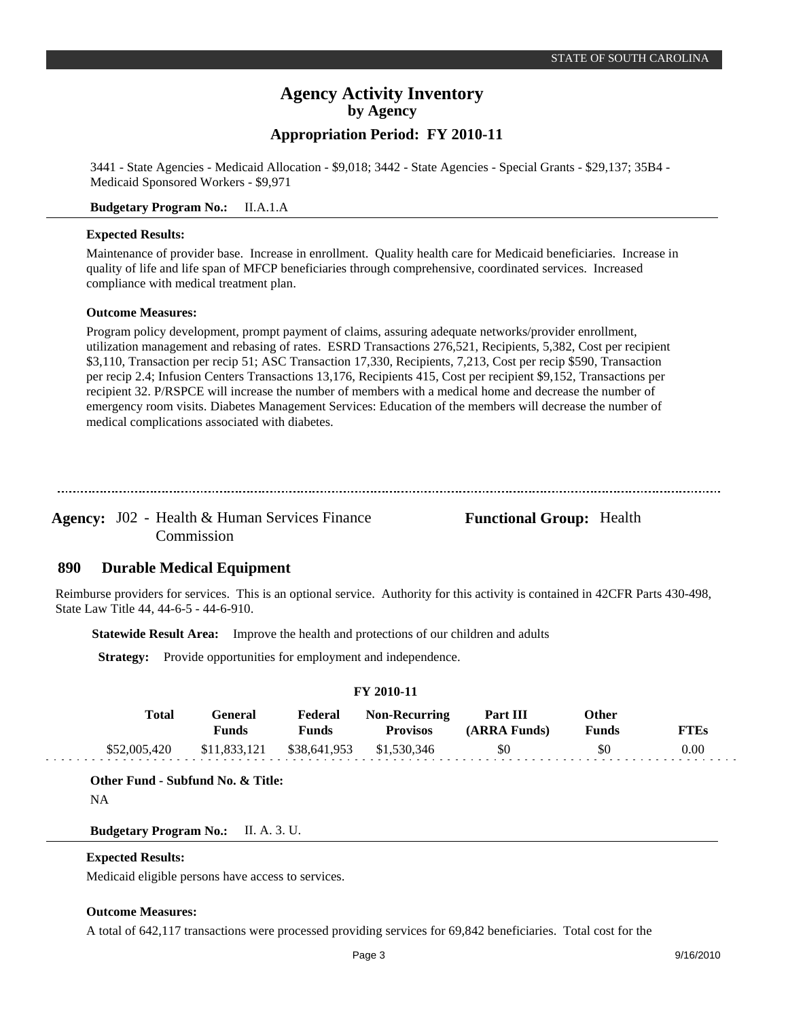**Appropriation Period: FY 2010-11**

3441 - State Agencies - Medicaid Allocation - \$9,018; 3442 - State Agencies - Special Grants - \$29,137; 35B4 - Medicaid Sponsored Workers - \$9,971

**Budgetary Program No.:** II.A.1.A

### **Expected Results:**

Maintenance of provider base. Increase in enrollment. Quality health care for Medicaid beneficiaries. Increase in quality of life and life span of MFCP beneficiaries through comprehensive, coordinated services. Increased compliance with medical treatment plan.

### **Outcome Measures:**

Program policy development, prompt payment of claims, assuring adequate networks/provider enrollment, utilization management and rebasing of rates. ESRD Transactions 276,521, Recipients, 5,382, Cost per recipient \$3,110, Transaction per recip 51; ASC Transaction 17,330, Recipients, 7,213, Cost per recip \$590, Transaction per recip 2.4; Infusion Centers Transactions 13,176, Recipients 415, Cost per recipient \$9,152, Transactions per recipient 32. P/RSPCE will increase the number of members with a medical home and decrease the number of emergency room visits. Diabetes Management Services: Education of the members will decrease the number of medical complications associated with diabetes.

--------------------------------

Agency: J02 - Health & Human Services Finance **Functional Group:** Health Commission

#### **Durable Medical Equipment 890**

Reimburse providers for services. This is an optional service. Authority for this activity is contained in 42CFR Parts 430-498, State Law Title 44, 44-6-5 - 44-6-910.

**Statewide Result Area:** Improve the health and protections of our children and adults

**Strategy:** Provide opportunities for employment and independence.

### **FY 2010-11**

| <b>Total</b> | General<br>Funds | Federal<br>Funds | <b>Non-Recurring</b><br><b>Provisos</b> | Part III<br>(ARRA Funds) | Other<br>Funds | TTEs |
|--------------|------------------|------------------|-----------------------------------------|--------------------------|----------------|------|
| \$52,005,420 | \$11,833,121     | \$38,641,953     | \$1,530,346                             | \$0                      | SC             | 0.00 |

### **Other Fund - Subfund No. & Title:**

NA

**Budgetary Program No.:** II. A. 3. U.

### **Expected Results:**

Medicaid eligible persons have access to services.

### **Outcome Measures:**

A total of 642,117 transactions were processed providing services for 69,842 beneficiaries. Total cost for the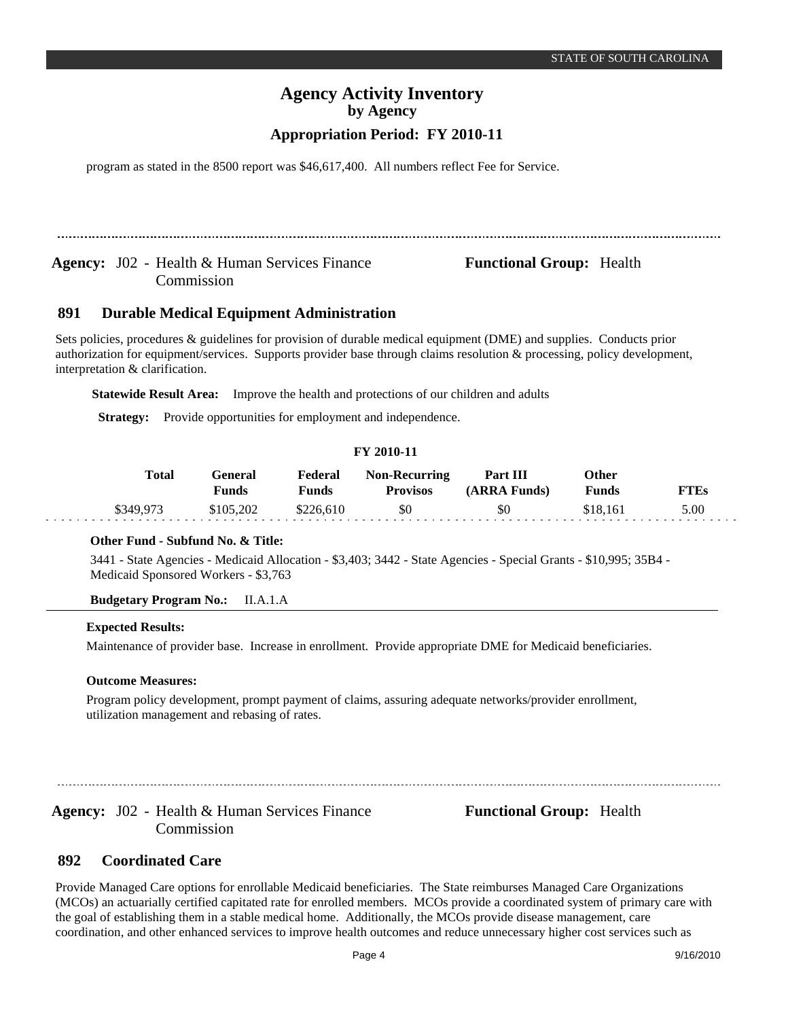program as stated in the 8500 report was \$46,617,400. All numbers reflect Fee for Service.

Agency: J02 - Health & Human Services Finance **Functional Group:** Health Commission

#### **Durable Medical Equipment Administration 891**

Sets policies, procedures & guidelines for provision of durable medical equipment (DME) and supplies. Conducts prior authorization for equipment/services. Supports provider base through claims resolution & processing, policy development, interpretation & clarification.

**Statewide Result Area:** Improve the health and protections of our children and adults

**Strategy:** Provide opportunities for employment and independence.

### **FY 2010-11**

| Total     | General<br>Funds | Federal<br>Funds | <b>Non-Recurring</b><br><b>Provisos</b> | Part III<br>(ARRA Funds) | Other<br>Funds | FTEs |
|-----------|------------------|------------------|-----------------------------------------|--------------------------|----------------|------|
| \$349,973 | \$105,202        | \$226,610        | \$0                                     | \$0                      | \$18.161       | 5.00 |

### **Other Fund - Subfund No. & Title:**

3441 - State Agencies - Medicaid Allocation - \$3,403; 3442 - State Agencies - Special Grants - \$10,995; 35B4 - Medicaid Sponsored Workers - \$3,763

**Budgetary Program No.:** II.A.1.A

### **Expected Results:**

Maintenance of provider base. Increase in enrollment. Provide appropriate DME for Medicaid beneficiaries.

### **Outcome Measures:**

Program policy development, prompt payment of claims, assuring adequate networks/provider enrollment, utilization management and rebasing of rates.

Agency: J02 - Health & Human Services Finance **Functional Group:** Health Commission

#### **Coordinated Care 892**

Provide Managed Care options for enrollable Medicaid beneficiaries. The State reimburses Managed Care Organizations (MCOs) an actuarially certified capitated rate for enrolled members. MCOs provide a coordinated system of primary care with the goal of establishing them in a stable medical home. Additionally, the MCOs provide disease management, care coordination, and other enhanced services to improve health outcomes and reduce unnecessary higher cost services such as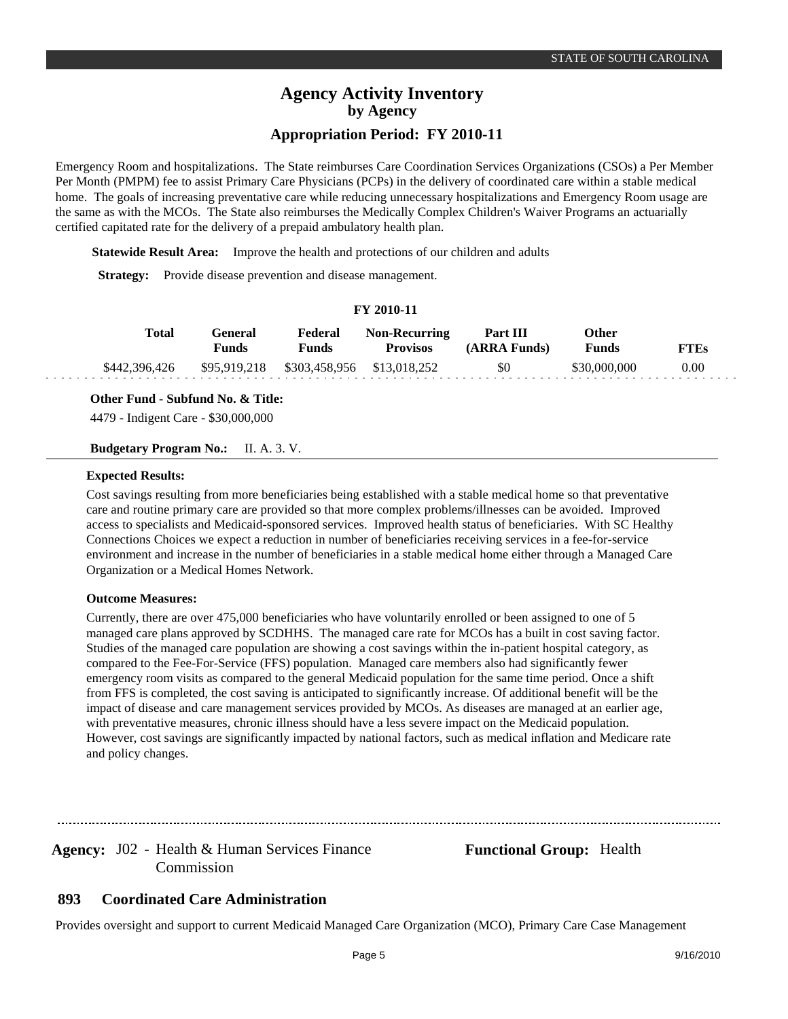Emergency Room and hospitalizations. The State reimburses Care Coordination Services Organizations (CSOs) a Per Member Per Month (PMPM) fee to assist Primary Care Physicians (PCPs) in the delivery of coordinated care within a stable medical home. The goals of increasing preventative care while reducing unnecessary hospitalizations and Emergency Room usage are the same as with the MCOs. The State also reimburses the Medically Complex Children's Waiver Programs an actuarially certified capitated rate for the delivery of a prepaid ambulatory health plan.

**Statewide Result Area:** Improve the health and protections of our children and adults

**Strategy:** Provide disease prevention and disease management.

### **FY 2010-11**

| Total         | General<br>Funds | Federal<br>Funds                        | <b>Non-Recurring</b><br><b>Provisos</b> | Part III<br>(ARRA Funds) | Other<br><b>Funds</b> | FTEs     |
|---------------|------------------|-----------------------------------------|-----------------------------------------|--------------------------|-----------------------|----------|
| \$442,396,426 |                  | \$95,919,218 \$303,458,956 \$13,018,252 |                                         | \$0                      | \$30,000,000          | $0.00\,$ |

**Other Fund - Subfund No. & Title:**

4479 - Indigent Care - \$30,000,000

**Budgetary Program No.:** II. A. 3. V.

### **Expected Results:**

Cost savings resulting from more beneficiaries being established with a stable medical home so that preventative care and routine primary care are provided so that more complex problems/illnesses can be avoided. Improved access to specialists and Medicaid-sponsored services. Improved health status of beneficiaries. With SC Healthy Connections Choices we expect a reduction in number of beneficiaries receiving services in a fee-for-service environment and increase in the number of beneficiaries in a stable medical home either through a Managed Care Organization or a Medical Homes Network.

### **Outcome Measures:**

Currently, there are over 475,000 beneficiaries who have voluntarily enrolled or been assigned to one of 5 managed care plans approved by SCDHHS. The managed care rate for MCOs has a built in cost saving factor. Studies of the managed care population are showing a cost savings within the in-patient hospital category, as compared to the Fee-For-Service (FFS) population. Managed care members also had significantly fewer emergency room visits as compared to the general Medicaid population for the same time period. Once a shift from FFS is completed, the cost saving is anticipated to significantly increase. Of additional benefit will be the impact of disease and care management services provided by MCOs. As diseases are managed at an earlier age, with preventative measures, chronic illness should have a less severe impact on the Medicaid population. However, cost savings are significantly impacted by national factors, such as medical inflation and Medicare rate and policy changes.

Agency: J02 - Health & Human Services Finance **Functional Group:** Health Commission

#### **Coordinated Care Administration 893**

Provides oversight and support to current Medicaid Managed Care Organization (MCO), Primary Care Case Management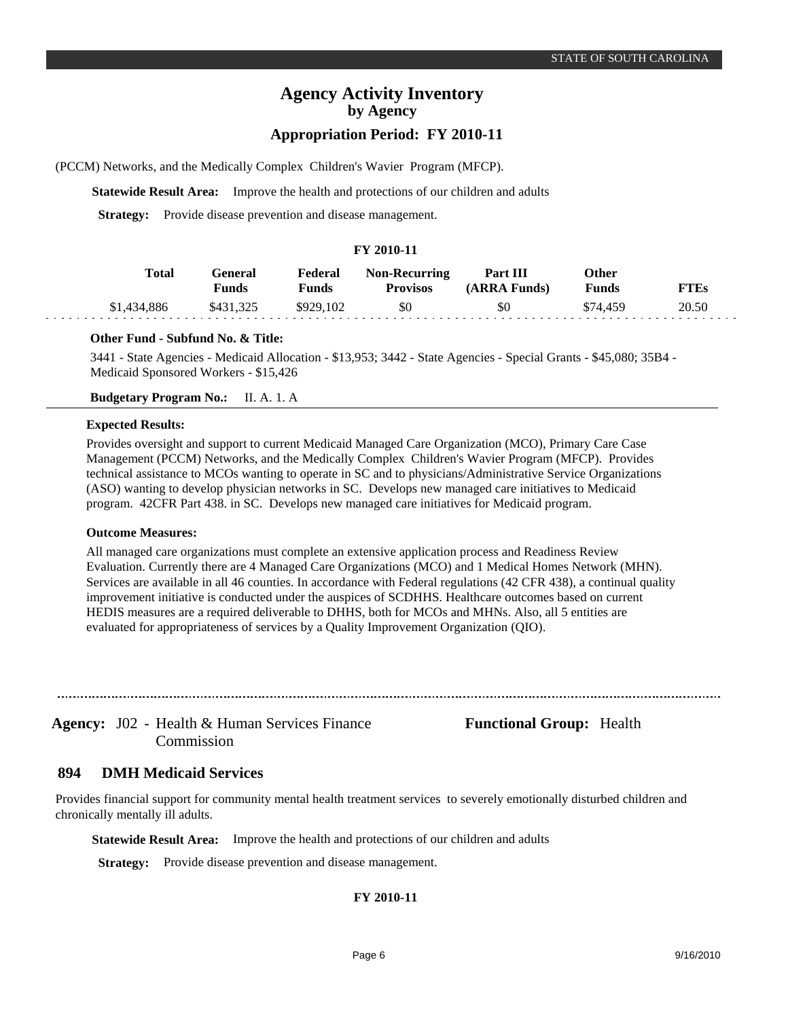## **Appropriation Period: FY 2010-11**

(PCCM) Networks, and the Medically Complex Children's Wavier Program (MFCP).

**Statewide Result Area:** Improve the health and protections of our children and adults

**Strategy:** Provide disease prevention and disease management.

### **FY 2010-11**

| Total       | General<br>Funds | Federal<br>Funds | <b>Non-Recurring</b><br><b>Provisos</b> | Part III<br>(ARRA Funds) | <b>Other</b><br><b>Funds</b> | <b>FTEs</b> |
|-------------|------------------|------------------|-----------------------------------------|--------------------------|------------------------------|-------------|
| \$1,434,886 | \$431.325        | \$929,102        | \$0                                     | \$0                      | \$74.459                     | 20.50       |

### **Other Fund - Subfund No. & Title:**

3441 - State Agencies - Medicaid Allocation - \$13,953; 3442 - State Agencies - Special Grants - \$45,080; 35B4 - Medicaid Sponsored Workers - \$15,426

**Budgetary Program No.:** II. A. 1. A

### **Expected Results:**

. . .

Provides oversight and support to current Medicaid Managed Care Organization (MCO), Primary Care Case Management (PCCM) Networks, and the Medically Complex Children's Wavier Program (MFCP). Provides technical assistance to MCOs wanting to operate in SC and to physicians/Administrative Service Organizations (ASO) wanting to develop physician networks in SC. Develops new managed care initiatives to Medicaid program. 42CFR Part 438. in SC. Develops new managed care initiatives for Medicaid program.

### **Outcome Measures:**

All managed care organizations must complete an extensive application process and Readiness Review Evaluation. Currently there are 4 Managed Care Organizations (MCO) and 1 Medical Homes Network (MHN). Services are available in all 46 counties. In accordance with Federal regulations (42 CFR 438), a continual quality improvement initiative is conducted under the auspices of SCDHHS. Healthcare outcomes based on current HEDIS measures are a required deliverable to DHHS, both for MCOs and MHNs. Also, all 5 entities are evaluated for appropriateness of services by a Quality Improvement Organization (QIO).

Commission

Agency: J02 - Health & Human Services Finance **Functional Group:** Health

#### **DMH Medicaid Services 894**

Provides financial support for community mental health treatment services to severely emotionally disturbed children and chronically mentally ill adults.

**Statewide Result Area:** Improve the health and protections of our children and adults

**Strategy:** Provide disease prevention and disease management.

### **FY 2010-11**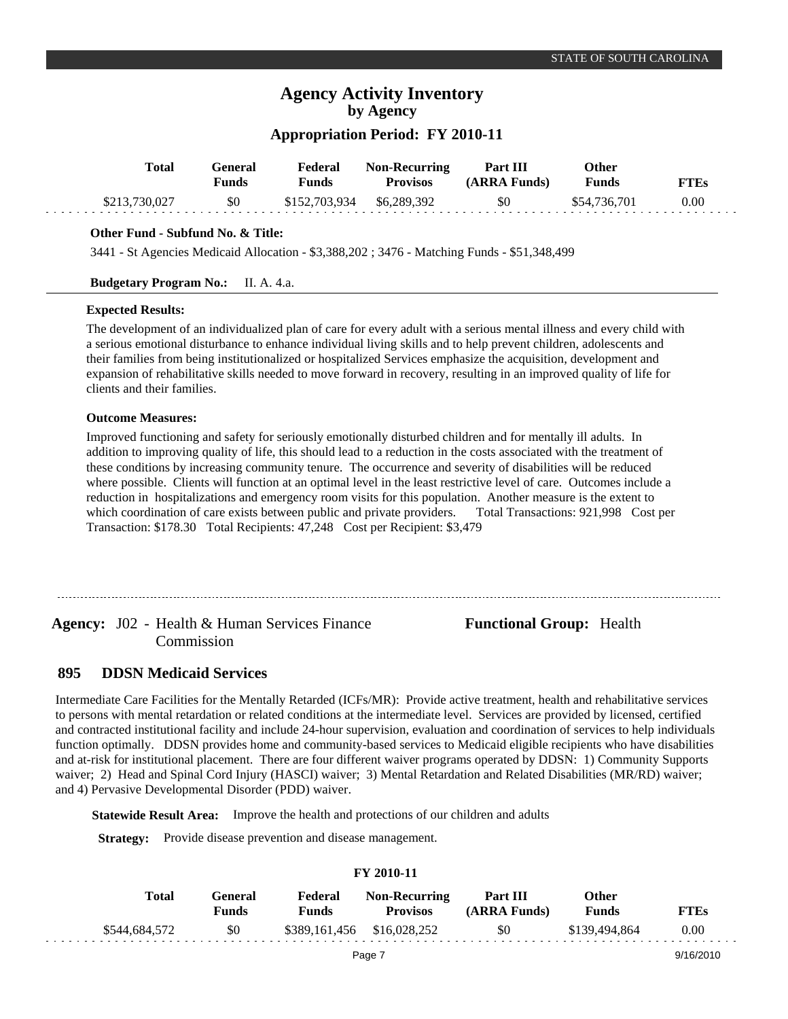## **Appropriation Period: FY 2010-11**

| Total         | ÷eneral<br>Funds | Federal<br>Funds          | <b>Non-Recurring</b><br><b>Provisos</b> | Part III<br>$(ARRA$ Funds) | Other<br><b>Funds</b> | <b>FTEs</b> |
|---------------|------------------|---------------------------|-----------------------------------------|----------------------------|-----------------------|-------------|
| \$213,730,027 | \$0              | \$152,703,934 \$6,289,392 |                                         | \$0                        | \$54,736,701          | 0.00        |

### **Other Fund - Subfund No. & Title:**

3441 - St Agencies Medicaid Allocation - \$3,388,202 ; 3476 - Matching Funds - \$51,348,499

### **Budgetary Program No.:** II. A. 4.a.

### **Expected Results:**

The development of an individualized plan of care for every adult with a serious mental illness and every child with a serious emotional disturbance to enhance individual living skills and to help prevent children, adolescents and their families from being institutionalized or hospitalized Services emphasize the acquisition, development and expansion of rehabilitative skills needed to move forward in recovery, resulting in an improved quality of life for clients and their families.

### **Outcome Measures:**

Improved functioning and safety for seriously emotionally disturbed children and for mentally ill adults. In addition to improving quality of life, this should lead to a reduction in the costs associated with the treatment of these conditions by increasing community tenure. The occurrence and severity of disabilities will be reduced where possible. Clients will function at an optimal level in the least restrictive level of care. Outcomes include a reduction in hospitalizations and emergency room visits for this population. Another measure is the extent to which coordination of care exists between public and private providers. Total Transactions: 921,998 Cost per Transaction: \$178.30 Total Recipients: 47,248 Cost per Recipient: \$3,479

Agency: J02 - Health & Human Services Finance **Functional Group:** Health Commission

#### **DDSN Medicaid Services 895**

Intermediate Care Facilities for the Mentally Retarded (ICFs/MR): Provide active treatment, health and rehabilitative services to persons with mental retardation or related conditions at the intermediate level. Services are provided by licensed, certified and contracted institutional facility and include 24-hour supervision, evaluation and coordination of services to help individuals function optimally. DDSN provides home and community-based services to Medicaid eligible recipients who have disabilities and at-risk for institutional placement. There are four different waiver programs operated by DDSN: 1) Community Supports waiver; 2) Head and Spinal Cord Injury (HASCI) waiver; 3) Mental Retardation and Related Disabilities (MR/RD) waiver; and 4) Pervasive Developmental Disorder (PDD) waiver.

**Statewide Result Area:** Improve the health and protections of our children and adults

**Strategy:** Provide disease prevention and disease management.

| F I 2010-11   |                         |                         |                                         |                          |                       |             |  |  |  |  |
|---------------|-------------------------|-------------------------|-----------------------------------------|--------------------------|-----------------------|-------------|--|--|--|--|
| Total         | General<br><b>Funds</b> | Federal<br><b>Funds</b> | <b>Non-Recurring</b><br><b>Provisos</b> | Part III<br>(ARRA Funds) | Other<br><b>Funds</b> | <b>FTEs</b> |  |  |  |  |
| \$544,684,572 | \$0                     |                         | \$389,161,456 \$16,028,252              | \$0                      | \$139,494,864         | 0.00        |  |  |  |  |
|               |                         |                         | Page 7                                  |                          |                       | 9/16/2010   |  |  |  |  |

**FY 2010-11**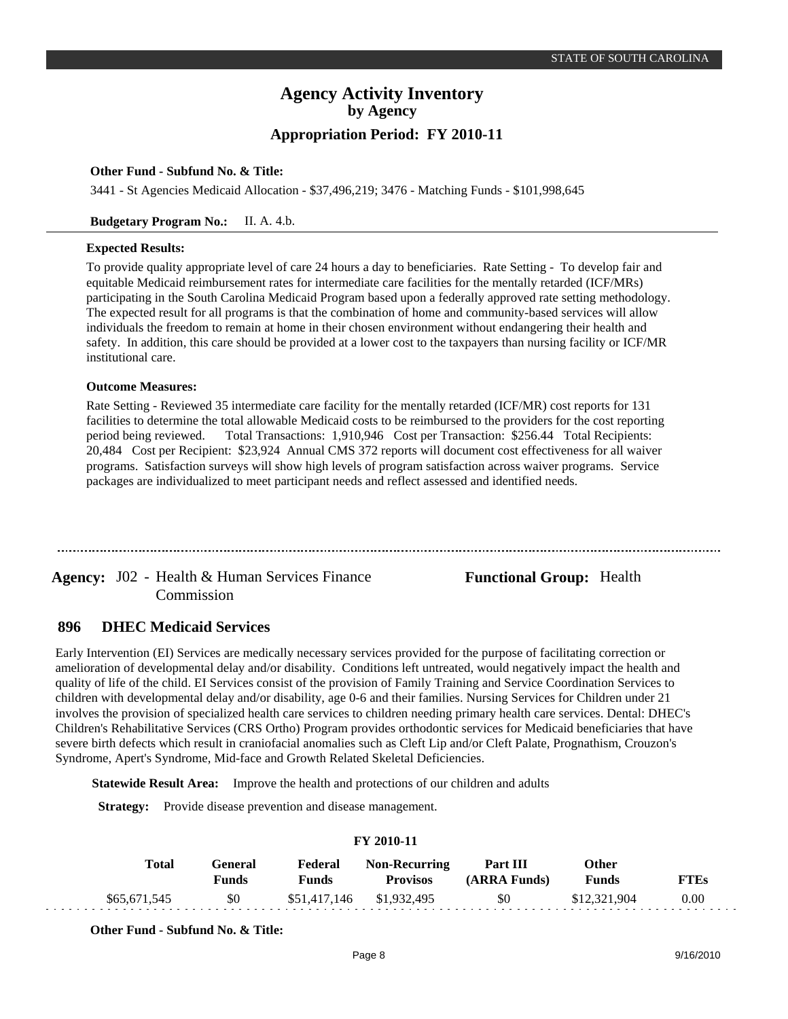### **Other Fund - Subfund No. & Title:**

3441 - St Agencies Medicaid Allocation - \$37,496,219; 3476 - Matching Funds - \$101,998,645

### **Budgetary Program No.:** II. A. 4.b.

### **Expected Results:**

To provide quality appropriate level of care 24 hours a day to beneficiaries. Rate Setting - To develop fair and equitable Medicaid reimbursement rates for intermediate care facilities for the mentally retarded (ICF/MRs) participating in the South Carolina Medicaid Program based upon a federally approved rate setting methodology. The expected result for all programs is that the combination of home and community-based services will allow individuals the freedom to remain at home in their chosen environment without endangering their health and safety. In addition, this care should be provided at a lower cost to the taxpayers than nursing facility or ICF/MR institutional care.

#### **Outcome Measures:**

Rate Setting - Reviewed 35 intermediate care facility for the mentally retarded (ICF/MR) cost reports for 131 facilities to determine the total allowable Medicaid costs to be reimbursed to the providers for the cost reporting period being reviewed. Total Transactions: 1,910,946 Cost per Transaction: \$256.44 Total Recipients: 20,484Cost per Recipient: \$23,924 Annual CMS 372 reports will document cost effectiveness for all waiver programs. Satisfaction surveys will show high levels of program satisfaction across waiver programs. Service packages are individualized to meet participant needs and reflect assessed and identified needs.

Agency: J02 - Health & Human Services Finance **Functional Group:** Health Commission

#### **DHEC Medicaid Services 896**

Early Intervention (EI) Services are medically necessary services provided for the purpose of facilitating correction or amelioration of developmental delay and/or disability. Conditions left untreated, would negatively impact the health and quality of life of the child. EI Services consist of the provision of Family Training and Service Coordination Services to children with developmental delay and/or disability, age 0-6 and their families. Nursing Services for Children under 21 involves the provision of specialized health care services to children needing primary health care services. Dental: DHEC's Children's Rehabilitative Services (CRS Ortho) Program provides orthodontic services for Medicaid beneficiaries that have severe birth defects which result in craniofacial anomalies such as Cleft Lip and/or Cleft Palate, Prognathism, Crouzon's Syndrome, Apert's Syndrome, Mid-face and Growth Related Skeletal Deficiencies.

**Statewide Result Area:** Improve the health and protections of our children and adults

**Strategy:** Provide disease prevention and disease management.

| FY 2010-11 |              |                         |                  |                                         |                          |                              |             |  |  |
|------------|--------------|-------------------------|------------------|-----------------------------------------|--------------------------|------------------------------|-------------|--|--|
|            | Total        | <b>General</b><br>Funds | Federal<br>Funds | <b>Non-Recurring</b><br><b>Provisos</b> | Part III<br>(ARRA Funds) | <b>Other</b><br><b>Funds</b> | <b>FTEs</b> |  |  |
|            | \$65,671,545 | - \$0                   |                  | \$51,417,146 \$1,932,495                | \$0                      | \$12,321,904                 | 0.00        |  |  |

**FY 2010-11**

**Other Fund - Subfund No. & Title:**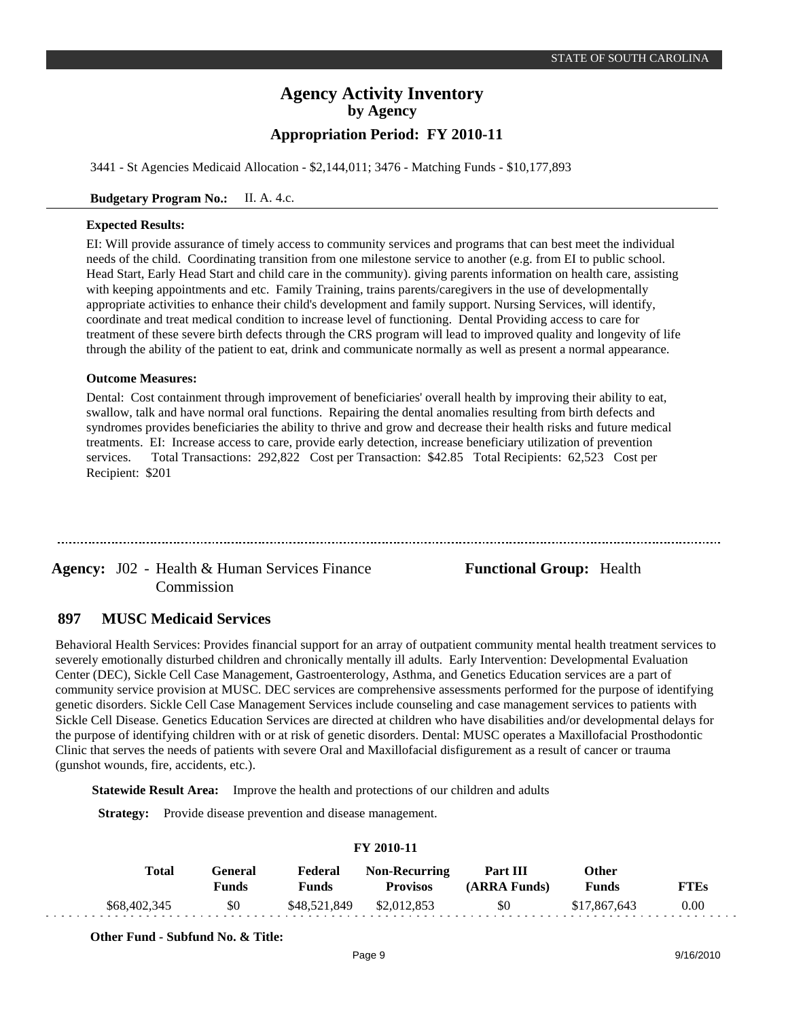3441 - St Agencies Medicaid Allocation - \$2,144,011; 3476 - Matching Funds - \$10,177,893

### **Budgetary Program No.:** II. A. 4.c.

### **Expected Results:**

EI: Will provide assurance of timely access to community services and programs that can best meet the individual needs of the child. Coordinating transition from one milestone service to another (e.g. from EI to public school. Head Start, Early Head Start and child care in the community). giving parents information on health care, assisting with keeping appointments and etc. Family Training, trains parents/caregivers in the use of developmentally appropriate activities to enhance their child's development and family support. Nursing Services, will identify, coordinate and treat medical condition to increase level of functioning. Dental Providing access to care for treatment of these severe birth defects through the CRS program will lead to improved quality and longevity of life through the ability of the patient to eat, drink and communicate normally as well as present a normal appearance.

#### **Outcome Measures:**

Dental: Cost containment through improvement of beneficiaries' overall health by improving their ability to eat, swallow, talk and have normal oral functions. Repairing the dental anomalies resulting from birth defects and syndromes provides beneficiaries the ability to thrive and grow and decrease their health risks and future medical treatments. EI: Increase access to care, provide early detection, increase beneficiary utilization of prevention services. Total Transactions: 292,822 Cost per Transaction: \$42.85 Total Recipients: 62,523 Cost per Recipient: \$201

Agency: J02 - Health & Human Services Finance **Functional Group:** Health Commission

#### **MUSC Medicaid Services 897**

Behavioral Health Services: Provides financial support for an array of outpatient community mental health treatment services to severely emotionally disturbed children and chronically mentally ill adults. Early Intervention: Developmental Evaluation Center (DEC), Sickle Cell Case Management, Gastroenterology, Asthma, and Genetics Education services are a part of community service provision at MUSC. DEC services are comprehensive assessments performed for the purpose of identifying genetic disorders. Sickle Cell Case Management Services include counseling and case management services to patients with Sickle Cell Disease. Genetics Education Services are directed at children who have disabilities and/or developmental delays for the purpose of identifying children with or at risk of genetic disorders. Dental: MUSC operates a Maxillofacial Prosthodontic Clinic that serves the needs of patients with severe Oral and Maxillofacial disfigurement as a result of cancer or trauma (gunshot wounds, fire, accidents, etc.).

**Statewide Result Area:** Improve the health and protections of our children and adults

**Strategy:** Provide disease prevention and disease management.

| 1 1 2010-11  |                         |                         |                                         |                          |                       |             |  |  |  |  |
|--------------|-------------------------|-------------------------|-----------------------------------------|--------------------------|-----------------------|-------------|--|--|--|--|
| Total        | General<br><b>Funds</b> | Federal<br><b>Funds</b> | <b>Non-Recurring</b><br><b>Provisos</b> | Part III<br>(ARRA Funds) | Other<br><b>Funds</b> | <b>FTEs</b> |  |  |  |  |
| \$68,402,345 | \$0                     | \$48,521,849            | \$2,012,853                             | \$0                      | \$17,867,643          | 0.00        |  |  |  |  |

**FY 2010-11**

**Other Fund - Subfund No. & Title:**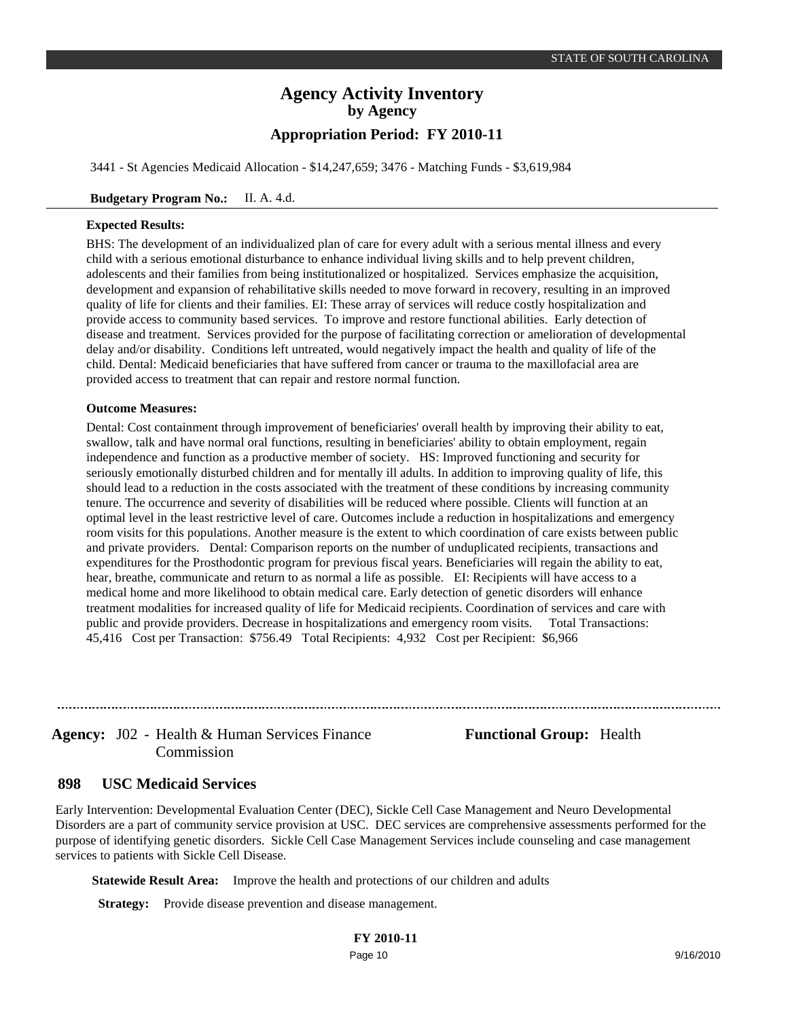3441 - St Agencies Medicaid Allocation - \$14,247,659; 3476 - Matching Funds - \$3,619,984

### **Budgetary Program No.:** II. A. 4.d.

### **Expected Results:**

BHS: The development of an individualized plan of care for every adult with a serious mental illness and every child with a serious emotional disturbance to enhance individual living skills and to help prevent children, adolescents and their families from being institutionalized or hospitalized. Services emphasize the acquisition, development and expansion of rehabilitative skills needed to move forward in recovery, resulting in an improved quality of life for clients and their families. EI: These array of services will reduce costly hospitalization and provide access to community based services. To improve and restore functional abilities. Early detection of disease and treatment. Services provided for the purpose of facilitating correction or amelioration of developmental delay and/or disability. Conditions left untreated, would negatively impact the health and quality of life of the child. Dental: Medicaid beneficiaries that have suffered from cancer or trauma to the maxillofacial area are provided access to treatment that can repair and restore normal function.

### **Outcome Measures:**

Dental: Cost containment through improvement of beneficiaries' overall health by improving their ability to eat, swallow, talk and have normal oral functions, resulting in beneficiaries' ability to obtain employment, regain independence and function as a productive member of society. HS: Improved functioning and security for seriously emotionally disturbed children and for mentally ill adults. In addition to improving quality of life, this should lead to a reduction in the costs associated with the treatment of these conditions by increasing community tenure. The occurrence and severity of disabilities will be reduced where possible. Clients will function at an optimal level in the least restrictive level of care. Outcomes include a reduction in hospitalizations and emergency room visits for this populations. Another measure is the extent to which coordination of care exists between public and private providers. Dental: Comparison reports on the number of unduplicated recipients, transactions and expenditures for the Prosthodontic program for previous fiscal years. Beneficiaries will regain the ability to eat, hear, breathe, communicate and return to as normal a life as possible. EI: Recipients will have access to a medical home and more likelihood to obtain medical care. Early detection of genetic disorders will enhance treatment modalities for increased quality of life for Medicaid recipients. Coordination of services and care with public and provide providers. Decrease in hospitalizations and emergency room visits. Total Transactions: 45,416 Cost per Transaction: \$756.49 Total Recipients: 4,932 Cost per Recipient: \$6,966

Agency: J02 - Health & Human Services Finance **Functional Group:** Health Commission

#### **USC Medicaid Services 898**

Early Intervention: Developmental Evaluation Center (DEC), Sickle Cell Case Management and Neuro Developmental Disorders are a part of community service provision at USC. DEC services are comprehensive assessments performed for the purpose of identifying genetic disorders. Sickle Cell Case Management Services include counseling and case management services to patients with Sickle Cell Disease.

**Statewide Result Area:** Improve the health and protections of our children and adults

**Strategy:** Provide disease prevention and disease management.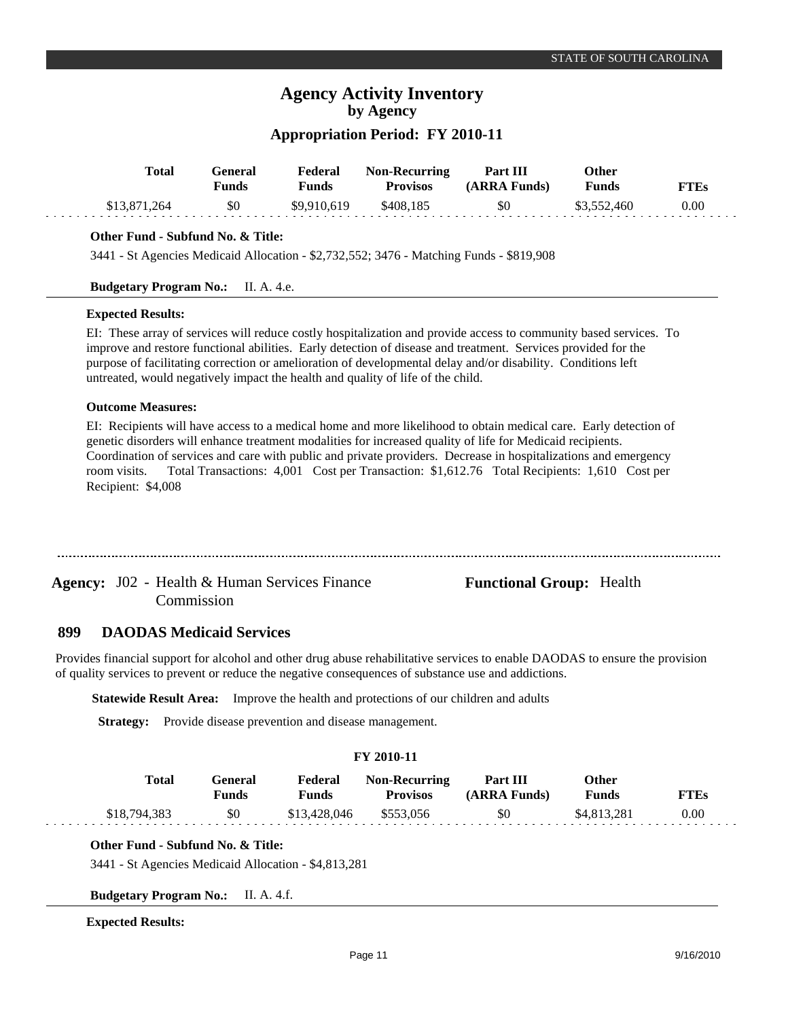## **Appropriation Period: FY 2010-11**

| <b>Total</b> | General<br>Funds | Federal<br><b>Funds</b> | <b>Non-Recurring</b><br><b>Provisos</b> | Part III<br>(ARRA Funds) | Other<br>Funds | <b>FTEs</b> |
|--------------|------------------|-------------------------|-----------------------------------------|--------------------------|----------------|-------------|
| \$13,871,264 | \$0              | \$9,910,619             | \$408,185                               | \$0                      | \$3,552,460    | 0.00        |
|              |                  |                         |                                         |                          |                |             |

### **Other Fund - Subfund No. & Title:**

3441 - St Agencies Medicaid Allocation - \$2,732,552; 3476 - Matching Funds - \$819,908

### **Budgetary Program No.:** II. A. 4.e.

### **Expected Results:**

EI: These array of services will reduce costly hospitalization and provide access to community based services. To improve and restore functional abilities. Early detection of disease and treatment. Services provided for the purpose of facilitating correction or amelioration of developmental delay and/or disability. Conditions left untreated, would negatively impact the health and quality of life of the child.

### **Outcome Measures:**

EI: Recipients will have access to a medical home and more likelihood to obtain medical care. Early detection of genetic disorders will enhance treatment modalities for increased quality of life for Medicaid recipients. Coordination of services and care with public and private providers. Decrease in hospitalizations and emergency room visits. Total Transactions: 4,001 Cost per Transaction: \$1,612.76 Total Recipients: 1,610 Cost per Recipient: \$4,008

Agency: J02 - Health & Human Services Finance **Functional Group:** Health Commission

#### **DAODAS Medicaid Services 899**

Provides financial support for alcohol and other drug abuse rehabilitative services to enable DAODAS to ensure the provision of quality services to prevent or reduce the negative consequences of substance use and addictions.

**Statewide Result Area:** Improve the health and protections of our children and adults

**Strategy:** Provide disease prevention and disease management.

### **FY 2010-11**

| Total        | General<br>Funds | Federal<br>Funds | <b>Non-Recurring</b><br><b>Provisos</b> | Part III<br>(ARRA Funds) | Other<br>Funds | <b>FTEs</b> |
|--------------|------------------|------------------|-----------------------------------------|--------------------------|----------------|-------------|
| \$18,794,383 | \$0              | \$13,428,046     | \$553,056                               | \$0                      | \$4,813,281    | 0.00        |

### **Other Fund - Subfund No. & Title:**

3441 - St Agencies Medicaid Allocation - \$4,813,281

**Budgetary Program No.:** II. A. 4.f.

### **Expected Results:**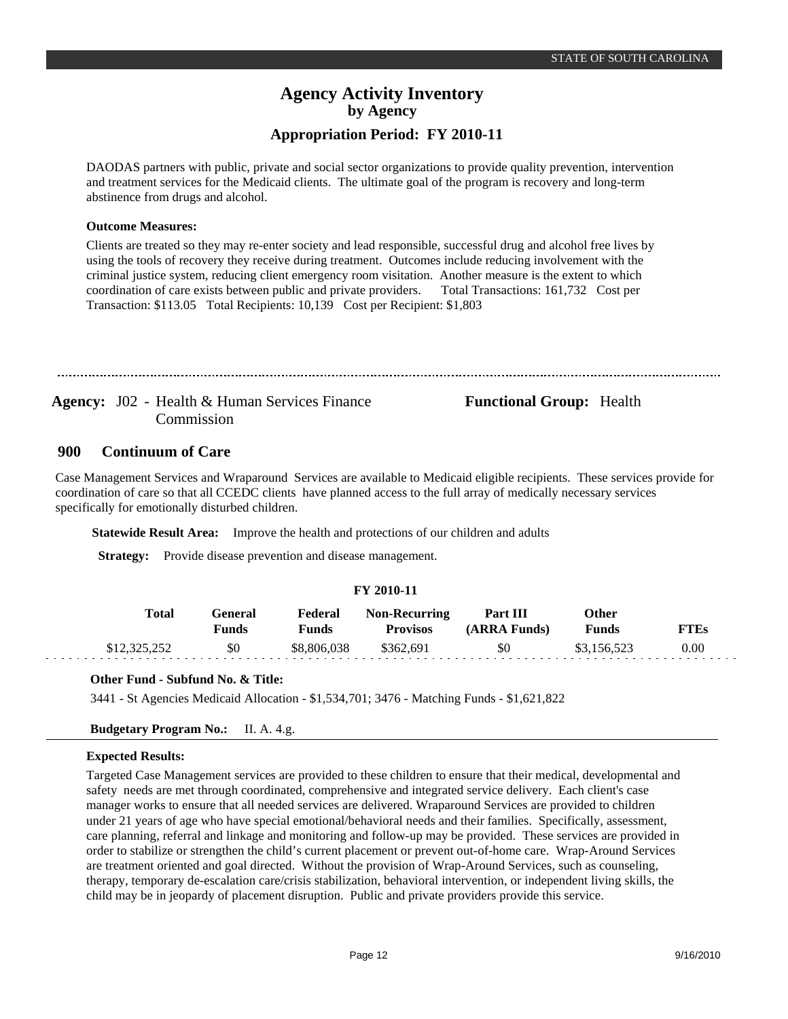DAODAS partners with public, private and social sector organizations to provide quality prevention, intervention and treatment services for the Medicaid clients. The ultimate goal of the program is recovery and long-term abstinence from drugs and alcohol.

### **Outcome Measures:**

Clients are treated so they may re-enter society and lead responsible, successful drug and alcohol free lives by using the tools of recovery they receive during treatment. Outcomes include reducing involvement with the criminal justice system, reducing client emergency room visitation. Another measure is the extent to which coordination of care exists between public and private providers. Total Transactions: 161,732 Cost per Transaction: \$113.05 Total Recipients: 10,139 Cost per Recipient: \$1,803

Agency: J02 - Health & Human Services Finance **Functional Group:** Health Commission

#### **Continuum of Care 900**

Case Management Services and Wraparound Services are available to Medicaid eligible recipients. These services provide for coordination of care so that all CCEDC clients have planned access to the full array of medically necessary services specifically for emotionally disturbed children.

**Statewide Result Area:** Improve the health and protections of our children and adults

**Strategy:** Provide disease prevention and disease management.

### **FY 2010-11**

| Total        | General<br>Funds | Federal<br>Funds | <b>Non-Recurring</b><br><b>Provisos</b> | Part III<br>(ARRA Funds) | Other<br><b>Funds</b> | <b>FTEs</b> |
|--------------|------------------|------------------|-----------------------------------------|--------------------------|-----------------------|-------------|
| \$12,325,252 | \$0              | \$8,806,038      | \$362.691                               | \$0                      | \$3.156.523           | 0.00        |

### **Other Fund - Subfund No. & Title:**

3441 - St Agencies Medicaid Allocation - \$1,534,701; 3476 - Matching Funds - \$1,621,822

### **Budgetary Program No.:** II. A. 4.g.

### **Expected Results:**

Targeted Case Management services are provided to these children to ensure that their medical, developmental and safety needs are met through coordinated, comprehensive and integrated service delivery. Each client's case manager works to ensure that all needed services are delivered. Wraparound Services are provided to children under 21 years of age who have special emotional/behavioral needs and their families. Specifically, assessment, care planning, referral and linkage and monitoring and follow-up may be provided. These services are provided in order to stabilize or strengthen the child's current placement or prevent out-of-home care. Wrap-Around Services are treatment oriented and goal directed. Without the provision of Wrap-Around Services, such as counseling, therapy, temporary de-escalation care/crisis stabilization, behavioral intervention, or independent living skills, the child may be in jeopardy of placement disruption. Public and private providers provide this service.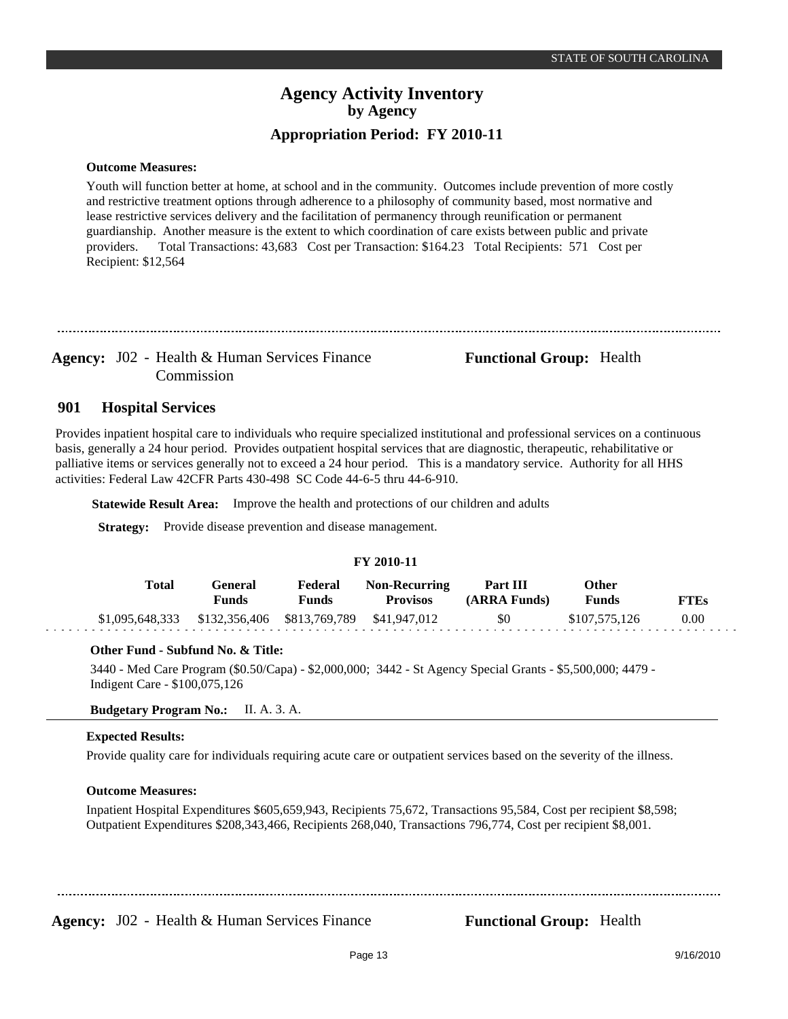### **Outcome Measures:**

Youth will function better at home, at school and in the community. Outcomes include prevention of more costly and restrictive treatment options through adherence to a philosophy of community based, most normative and lease restrictive services delivery and the facilitation of permanency through reunification or permanent guardianship. Another measure is the extent to which coordination of care exists between public and private providers. Total Transactions: 43,683 Cost per Transaction: \$164.23 Total Recipients: 571 Cost per Recipient: \$12,564

Agency: J02 - Health & Human Services Finance **Functional Group:** Health Commission

#### **Hospital Services 901**

Provides inpatient hospital care to individuals who require specialized institutional and professional services on a continuous basis, generally a 24 hour period. Provides outpatient hospital services that are diagnostic, therapeutic, rehabilitative or palliative items or services generally not to exceed a 24 hour period. This is a mandatory service. Authority for all HHS activities: Federal Law 42CFR Parts 430-498 SC Code 44-6-5 thru 44-6-910.

**Statewide Result Area:** Improve the health and protections of our children and adults

**Strategy:** Provide disease prevention and disease management.

### **FY 2010-11**

| Total                                                        | General<br>Funds | Federal<br>Funds | <b>Non-Recurring</b><br><b>Provisos</b> | Part III<br>(ARRA Funds) | Other<br><b>Funds</b> | <b>FTEs</b> |
|--------------------------------------------------------------|------------------|------------------|-----------------------------------------|--------------------------|-----------------------|-------------|
| $$1,095,648,333$ $$132,356,406$ $$813,769,789$ $$41,947,012$ |                  |                  |                                         | \$0                      | \$107,575,126         | 0.00        |

### **Other Fund - Subfund No. & Title:**

3440 - Med Care Program (\$0.50/Capa) - \$2,000,000; 3442 - St Agency Special Grants - \$5,500,000; 4479 - Indigent Care - \$100,075,126

### **Budgetary Program No.:** II. A. 3. A.

### **Expected Results:**

Provide quality care for individuals requiring acute care or outpatient services based on the severity of the illness.

### **Outcome Measures:**

Inpatient Hospital Expenditures \$605,659,943, Recipients 75,672, Transactions 95,584, Cost per recipient \$8,598; Outpatient Expenditures \$208,343,466, Recipients 268,040, Transactions 796,774, Cost per recipient \$8,001.

**Agency:** J02 - Health & Human Services Finance **Functional Group:** Health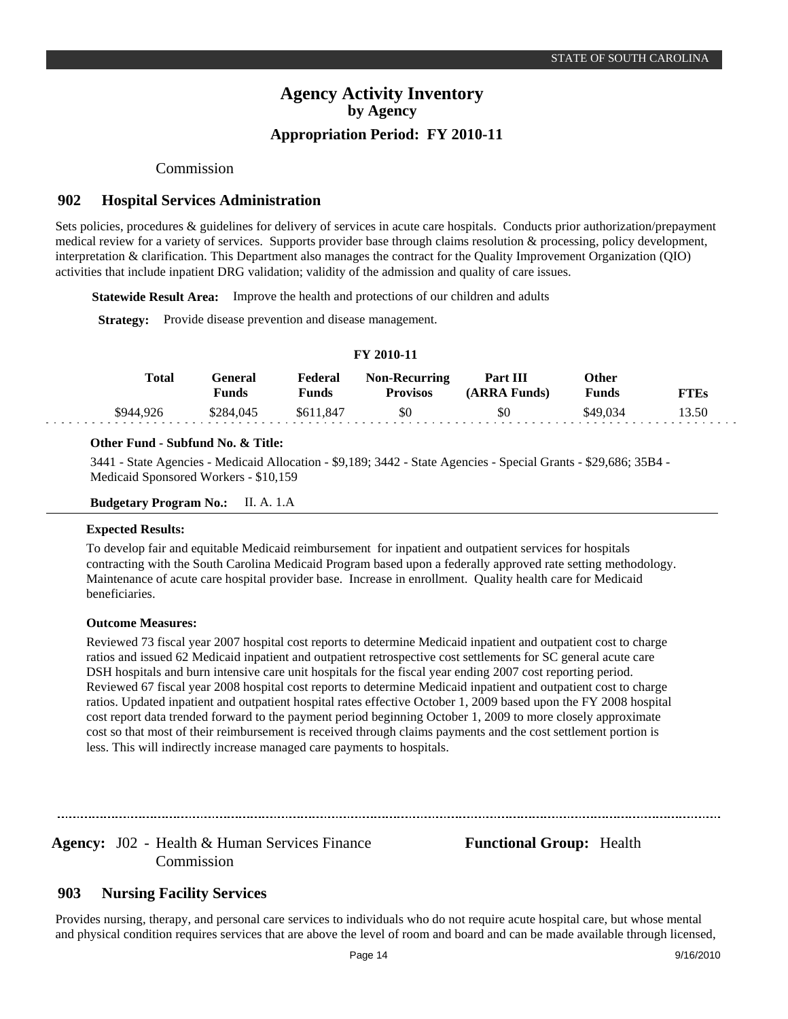### Commission

#### **Hospital Services Administration 902**

Sets policies, procedures & guidelines for delivery of services in acute care hospitals. Conducts prior authorization/prepayment medical review for a variety of services. Supports provider base through claims resolution & processing, policy development, interpretation & clarification. This Department also manages the contract for the Quality Improvement Organization (QIO) activities that include inpatient DRG validation; validity of the admission and quality of care issues.

**FY 2010-11**

**Statewide Result Area:** Improve the health and protections of our children and adults

**Strategy:** Provide disease prevention and disease management.

#### **General Funds**  \$284,045 **Other Funds** \$49,034 **Federal Funds**  \$611,847 **FTEs** 13.50 **Total**  \$944,926 **Non-Recurring Provisos** \$0 **Part III (ARRA Funds)** \$0

### **Other Fund - Subfund No. & Title:**

3441 - State Agencies - Medicaid Allocation - \$9,189; 3442 - State Agencies - Special Grants - \$29,686; 35B4 - Medicaid Sponsored Workers - \$10,159

### **Budgetary Program No.:** II. A. 1.A

### **Expected Results:**

To develop fair and equitable Medicaid reimbursement for inpatient and outpatient services for hospitals contracting with the South Carolina Medicaid Program based upon a federally approved rate setting methodology. Maintenance of acute care hospital provider base. Increase in enrollment. Quality health care for Medicaid beneficiaries.

### **Outcome Measures:**

Reviewed 73 fiscal year 2007 hospital cost reports to determine Medicaid inpatient and outpatient cost to charge ratios and issued 62 Medicaid inpatient and outpatient retrospective cost settlements for SC general acute care DSH hospitals and burn intensive care unit hospitals for the fiscal year ending 2007 cost reporting period. Reviewed 67 fiscal year 2008 hospital cost reports to determine Medicaid inpatient and outpatient cost to charge ratios. Updated inpatient and outpatient hospital rates effective October 1, 2009 based upon the FY 2008 hospital cost report data trended forward to the payment period beginning October 1, 2009 to more closely approximate cost so that most of their reimbursement is received through claims payments and the cost settlement portion is less. This will indirectly increase managed care payments to hospitals.

Agency: J02 - Health & Human Services Finance **Functional Group:** Health Commission

#### **Nursing Facility Services 903**

Provides nursing, therapy, and personal care services to individuals who do not require acute hospital care, but whose mental and physical condition requires services that are above the level of room and board and can be made available through licensed,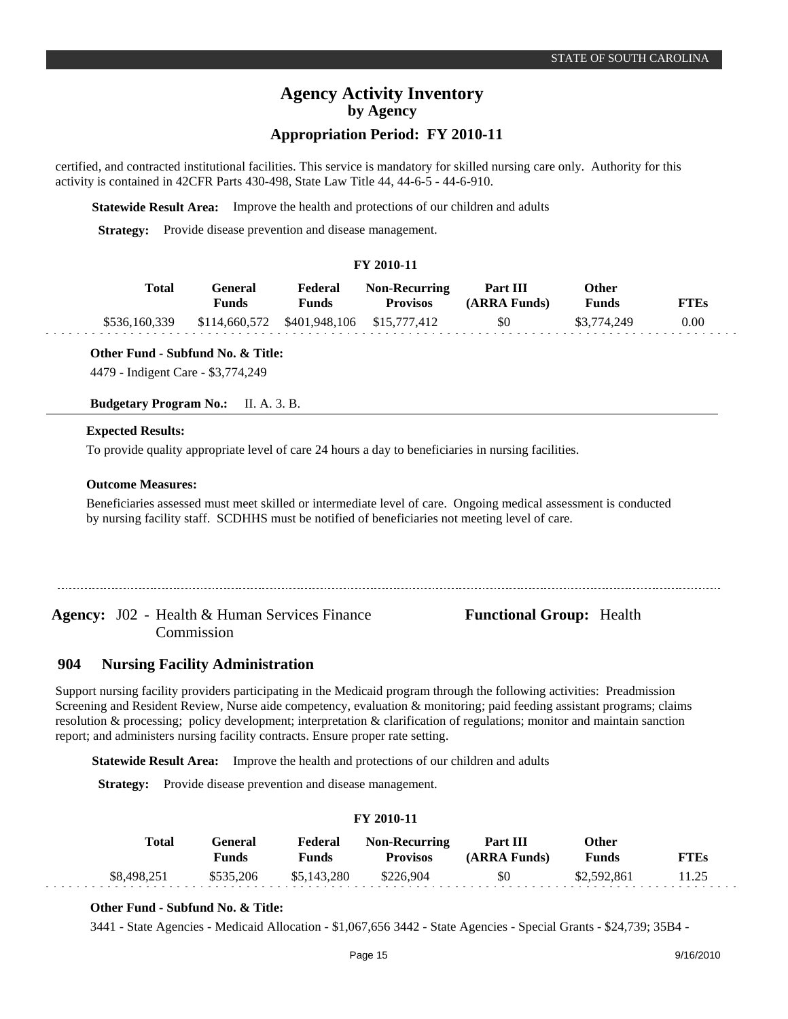### **Appropriation Period: FY 2010-11**

certified, and contracted institutional facilities. This service is mandatory for skilled nursing care only. Authority for this activity is contained in 42CFR Parts 430-498, State Law Title 44, 44-6-5 - 44-6-910.

**Statewide Result Area:** Improve the health and protections of our children and adults

**Strategy:** Provide disease prevention and disease management.

### **FY 2010-11**

| Total | General<br>Funds                                       | Federal<br><b>Funds</b> | <b>Non-Recurring</b><br><b>Provisos</b> | <b>Part III</b><br>(ARRA Funds) | Other<br><b>Funds</b> | <b>FTEs</b> |
|-------|--------------------------------------------------------|-------------------------|-----------------------------------------|---------------------------------|-----------------------|-------------|
|       | \$536,160,339 \$114,660,572 \$401,948,106 \$15,777,412 |                         |                                         | \$0                             | \$3,774,249           | 0.00        |

**Other Fund - Subfund No. & Title:**

4479 - Indigent Care - \$3,774,249

**Budgetary Program No.:** II. A. 3. B.

### **Expected Results:**

To provide quality appropriate level of care 24 hours a day to beneficiaries in nursing facilities.

### **Outcome Measures:**

Beneficiaries assessed must meet skilled or intermediate level of care. Ongoing medical assessment is conducted by nursing facility staff. SCDHHS must be notified of beneficiaries not meeting level of care.

Agency: J02 - Health & Human Services Finance **Functional Group:** Health Commission

#### **Nursing Facility Administration 904**

Support nursing facility providers participating in the Medicaid program through the following activities: Preadmission Screening and Resident Review, Nurse aide competency, evaluation & monitoring; paid feeding assistant programs; claims resolution & processing; policy development; interpretation & clarification of regulations; monitor and maintain sanction report; and administers nursing facility contracts. Ensure proper rate setting.

**Statewide Result Area:** Improve the health and protections of our children and adults

**Strategy:** Provide disease prevention and disease management.

### **FY 2010-11**

| Total       | General<br><b>Funds</b> | <b>Funds</b>          | <b>Federal Non-Recurring</b><br><b>Provisos</b> | <b>Part III</b><br>(ARRA Funds) | Other<br><b>Funds</b> | <b>FTEs</b> |
|-------------|-------------------------|-----------------------|-------------------------------------------------|---------------------------------|-----------------------|-------------|
| \$8,498,251 |                         | \$535,206 \$5,143,280 | \$226,904                                       | \$0                             | \$2,592,861           | 11.25       |

### **Other Fund - Subfund No. & Title:**

3441 - State Agencies - Medicaid Allocation - \$1,067,656 3442 - State Agencies - Special Grants - \$24,739; 35B4 -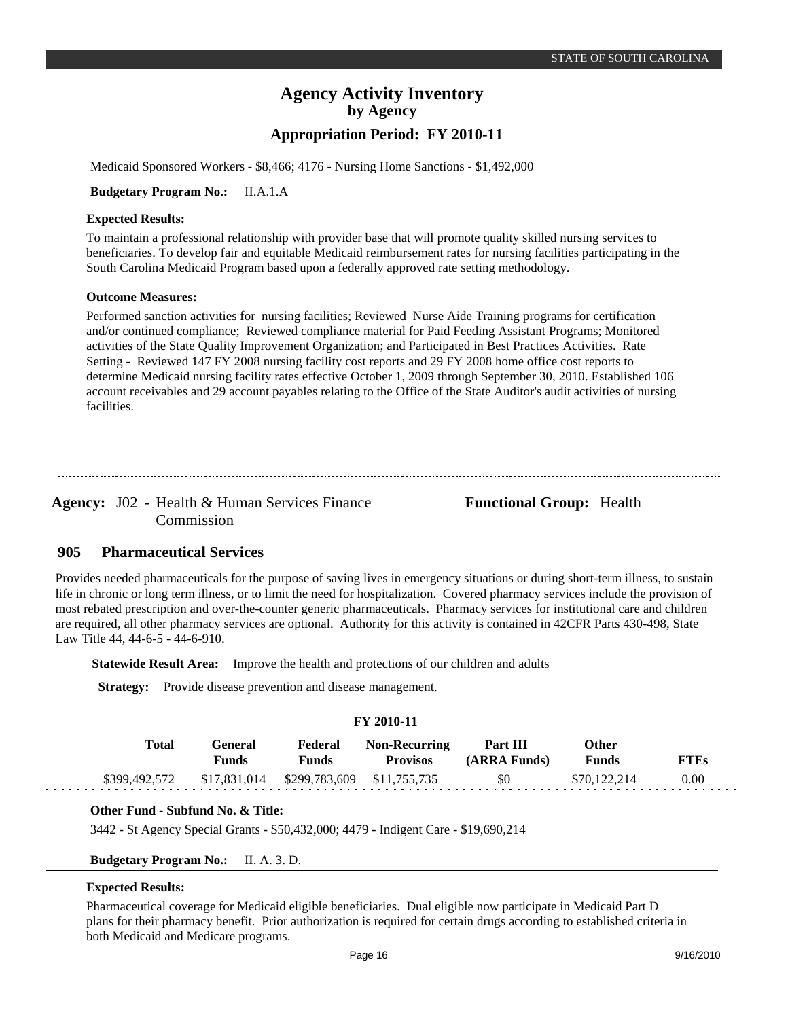Medicaid Sponsored Workers - \$8,466; 4176 - Nursing Home Sanctions - \$1,492,000

### **Budgetary Program No.:** II.A.1.A

### **Expected Results:**

To maintain a professional relationship with provider base that will promote quality skilled nursing services to beneficiaries. To develop fair and equitable Medicaid reimbursement rates for nursing facilities participating in the South Carolina Medicaid Program based upon a federally approved rate setting methodology.

### **Outcome Measures:**

Performed sanction activities for nursing facilities; Reviewed Nurse Aide Training programs for certification and/or continued compliance; Reviewed compliance material for Paid Feeding Assistant Programs; Monitored activities of the State Quality Improvement Organization; and Participated in Best Practices Activities. Rate Setting - Reviewed 147 FY 2008 nursing facility cost reports and 29 FY 2008 home office cost reports to determine Medicaid nursing facility rates effective October 1, 2009 through September 30, 2010. Established 106 account receivables and 29 account payables relating to the Office of the State Auditor's audit activities of nursing facilities.

Agency: J02 - Health & Human Services Finance **Functional Group:** Health Commission

#### **Pharmaceutical Services 905**

Provides needed pharmaceuticals for the purpose of saving lives in emergency situations or during short-term illness, to sustain life in chronic or long term illness, or to limit the need for hospitalization. Covered pharmacy services include the provision of most rebated prescription and over-the-counter generic pharmaceuticals. Pharmacy services for institutional care and children are required, all other pharmacy services are optional. Authority for this activity is contained in 42CFR Parts 430-498, State Law Title 44, 44-6-5 - 44-6-910.

**Statewide Result Area:** Improve the health and protections of our children and adults

**Strategy:** Provide disease prevention and disease management.

| <b>FY 2010-11</b> |       |                         |                            |                                         |                          |                              |             |  |  |
|-------------------|-------|-------------------------|----------------------------|-----------------------------------------|--------------------------|------------------------------|-------------|--|--|
|                   | Total | General<br><b>Funds</b> | Federal<br><b>Funds</b>    | <b>Non-Recurring</b><br><b>Provisos</b> | Part III<br>(ARRA Funds) | <b>Other</b><br><b>Funds</b> | <b>FTEs</b> |  |  |
| \$399,492,572     |       | \$17,831,014            | \$299,783,609 \$11,755,735 |                                         | \$0                      | \$70,122,214                 | 0.00        |  |  |

### **Other Fund - Subfund No. & Title:**

3442 - St Agency Special Grants - \$50,432,000; 4479 - Indigent Care - \$19,690,214

### **Budgetary Program No.:** II. A. 3. D.

### **Expected Results:**

Pharmaceutical coverage for Medicaid eligible beneficiaries. Dual eligible now participate in Medicaid Part D plans for their pharmacy benefit. Prior authorization is required for certain drugs according to established criteria in both Medicaid and Medicare programs.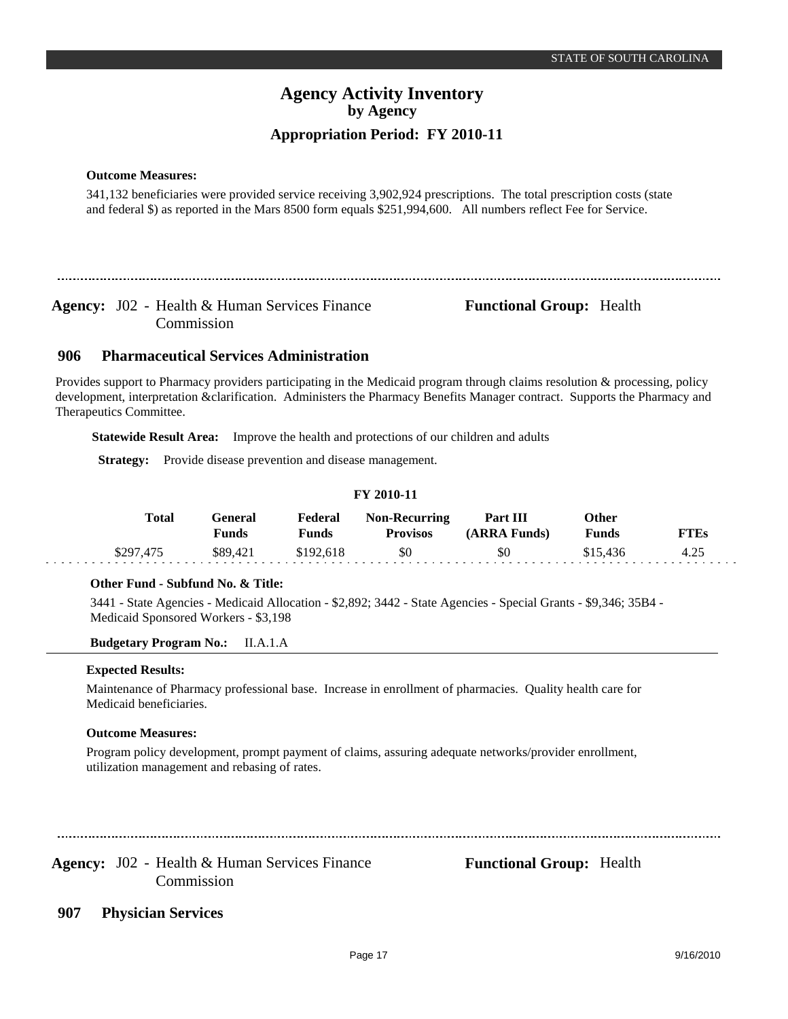### **Outcome Measures:**

341,132 beneficiaries were provided service receiving 3,902,924 prescriptions. The total prescription costs (state and federal \$) as reported in the Mars 8500 form equals \$251,994,600. All numbers reflect Fee for Service.

Agency: J02 - Health & Human Services Finance **Functional Group:** Health Commission

#### **Pharmaceutical Services Administration 906**

Provides support to Pharmacy providers participating in the Medicaid program through claims resolution & processing, policy development, interpretation &clarification. Administers the Pharmacy Benefits Manager contract. Supports the Pharmacy and Therapeutics Committee.

**Statewide Result Area:** Improve the health and protections of our children and adults

**Strategy:** Provide disease prevention and disease management.

### **FY 2010-11**

| Total     | General<br><b>Funds</b> | Federal<br><b>Funds</b> | <b>Non-Recurring</b><br><b>Provisos</b> | <b>Part III</b><br>(ARRA Funds) | Other<br><b>Funds</b> | <b>FTEs</b> |
|-----------|-------------------------|-------------------------|-----------------------------------------|---------------------------------|-----------------------|-------------|
| \$297,475 | \$89.421                | \$192.618               | \$0                                     | <b>SO</b>                       | \$15.436              | 4.25        |

### **Other Fund - Subfund No. & Title:**

3441 - State Agencies - Medicaid Allocation - \$2,892; 3442 - State Agencies - Special Grants - \$9,346; 35B4 - Medicaid Sponsored Workers - \$3,198

**Budgetary Program No.:** II.A.1.A

### **Expected Results:**

Maintenance of Pharmacy professional base. Increase in enrollment of pharmacies. Quality health care for Medicaid beneficiaries.

### **Outcome Measures:**

Program policy development, prompt payment of claims, assuring adequate networks/provider enrollment, utilization management and rebasing of rates.

Agency: J02 - Health & Human Services Finance **Functional Group:** Health Commission

**Physician Services 907**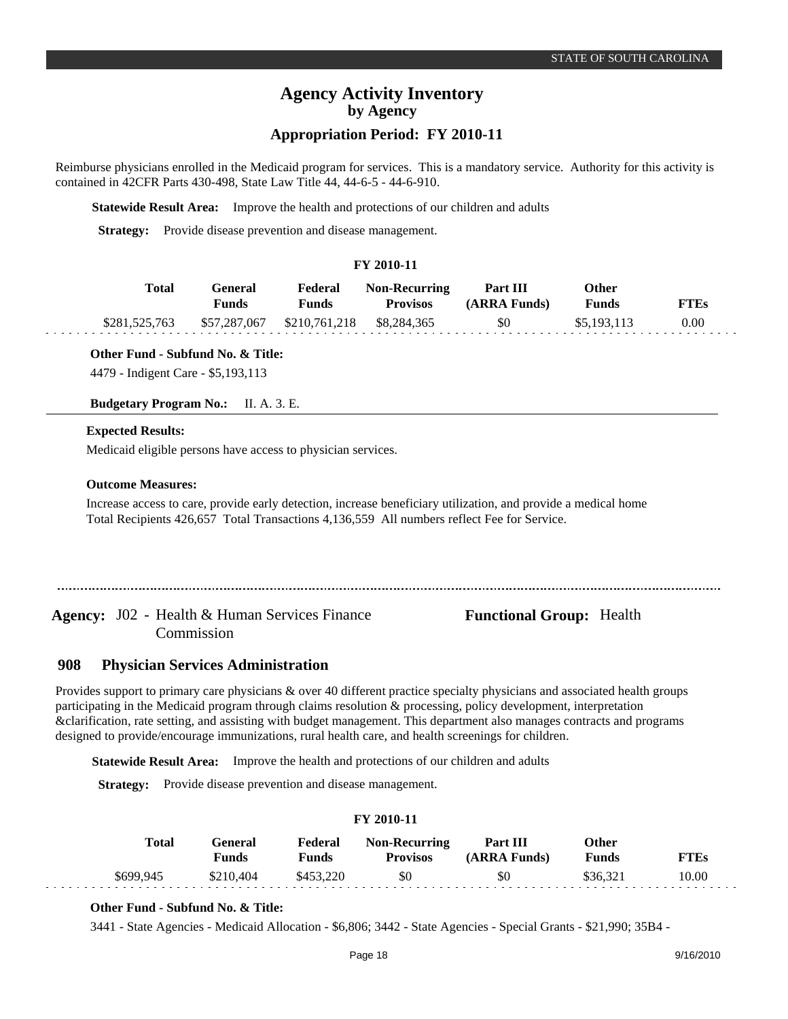### **Appropriation Period: FY 2010-11**

Reimburse physicians enrolled in the Medicaid program for services. This is a mandatory service. Authority for this activity is contained in 42CFR Parts 430-498, State Law Title 44, 44-6-5 - 44-6-910.

**Statewide Result Area:** Improve the health and protections of our children and adults

**Strategy:** Provide disease prevention and disease management.

### **FY 2010-11**

| Total         | General<br><b>Funds</b> | Federal<br><b>Funds</b>                | <b>Non-Recurring</b><br><b>Provisos</b> | Part III<br>(ARRA Funds) | Other<br><b>Funds</b> | <b>FTEs</b> |
|---------------|-------------------------|----------------------------------------|-----------------------------------------|--------------------------|-----------------------|-------------|
| \$281,525,763 |                         | \$57,287,067 \$210,761,218 \$8,284,365 |                                         | \$0                      | \$5,193,113           | 0.00        |

**Other Fund - Subfund No. & Title:**

4479 - Indigent Care - \$5,193,113

**Budgetary Program No.:** II. A. 3. E.

### **Expected Results:**

Medicaid eligible persons have access to physician services.

### **Outcome Measures:**

Increase access to care, provide early detection, increase beneficiary utilization, and provide a medical home Total Recipients 426,657 Total Transactions 4,136,559 All numbers reflect Fee for Service.

Agency: J02 - Health & Human Services Finance **Functional Group:** Health Commission

#### **Physician Services Administration 908**

Provides support to primary care physicians & over 40 different practice specialty physicians and associated health groups participating in the Medicaid program through claims resolution & processing, policy development, interpretation &clarification, rate setting, and assisting with budget management. This department also manages contracts and programs designed to provide/encourage immunizations, rural health care, and health screenings for children.

**Statewide Result Area:** Improve the health and protections of our children and adults

**Strategy:** Provide disease prevention and disease management.

### **FY 2010-11**

| <b>Total</b> | '÷eneral<br><b>Funds</b> | Federal<br>Funds | <b>Non-Recurring</b><br><b>Provisos</b> | Part III<br>(ARRA Funds) | Other<br><b>Funds</b> | <b>FTEs</b> |
|--------------|--------------------------|------------------|-----------------------------------------|--------------------------|-----------------------|-------------|
| \$699.945    | \$210,404                | \$453.220        | \$0                                     | \$0                      | \$36,321              | 10.00       |

### **Other Fund - Subfund No. & Title:**

3441 - State Agencies - Medicaid Allocation - \$6,806; 3442 - State Agencies - Special Grants - \$21,990; 35B4 -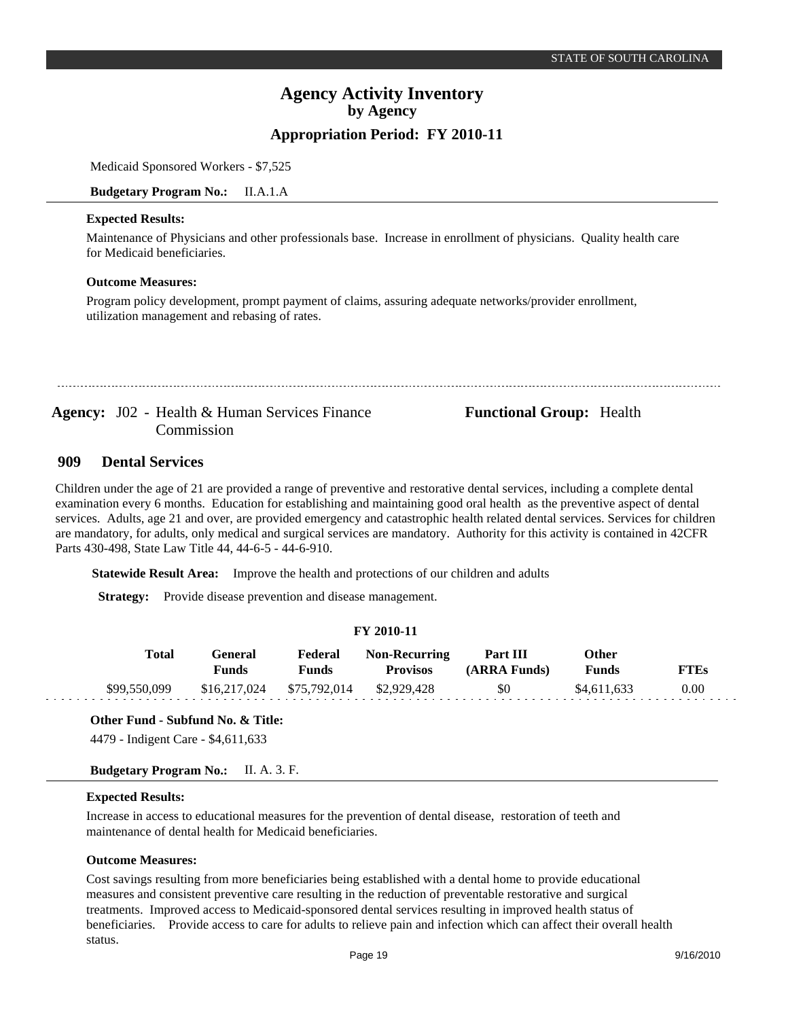Medicaid Sponsored Workers - \$7,525

**Budgetary Program No.:** II.A.1.A

### **Expected Results:**

Maintenance of Physicians and other professionals base. Increase in enrollment of physicians. Quality health care for Medicaid beneficiaries.

### **Outcome Measures:**

Program policy development, prompt payment of claims, assuring adequate networks/provider enrollment, utilization management and rebasing of rates.

Agency: J02 - Health & Human Services Finance **Functional Group:** Health Commission

#### **Dental Services 909**

Children under the age of 21 are provided a range of preventive and restorative dental services, including a complete dental examination every 6 months. Education for establishing and maintaining good oral health as the preventive aspect of dental services. Adults, age 21 and over, are provided emergency and catastrophic health related dental services. Services for children are mandatory, for adults, only medical and surgical services are mandatory. Authority for this activity is contained in 42CFR Parts 430-498, State Law Title 44, 44-6-5 - 44-6-910.

**Statewide Result Area:** Improve the health and protections of our children and adults

**Strategy:** Provide disease prevention and disease management.

|  |  | FY 2010-11 |  |
|--|--|------------|--|
|--|--|------------|--|

| Total        | General<br>Funds | Federal<br>Funds | <b>Non-Recurring</b><br><b>Provisos</b> | Part III<br>(ARRA Funds) | Other<br>Funds | <b>FTEs</b> |
|--------------|------------------|------------------|-----------------------------------------|--------------------------|----------------|-------------|
| \$99,550,099 | \$16,217,024     | \$75,792,014     | \$2,929,428                             | \$0                      | \$4,611,633    | 0.00        |

**Other Fund - Subfund No. & Title:** 4479 - Indigent Care - \$4,611,633

**Budgetary Program No.:** II. A. 3. F.

### **Expected Results:**

ana ana ana

Increase in access to educational measures for the prevention of dental disease, restoration of teeth and maintenance of dental health for Medicaid beneficiaries.

### **Outcome Measures:**

Cost savings resulting from more beneficiaries being established with a dental home to provide educational measures and consistent preventive care resulting in the reduction of preventable restorative and surgical treatments. Improved access to Medicaid-sponsored dental services resulting in improved health status of beneficiaries. Provide access to care for adults to relieve pain and infection which can affect their overall health status.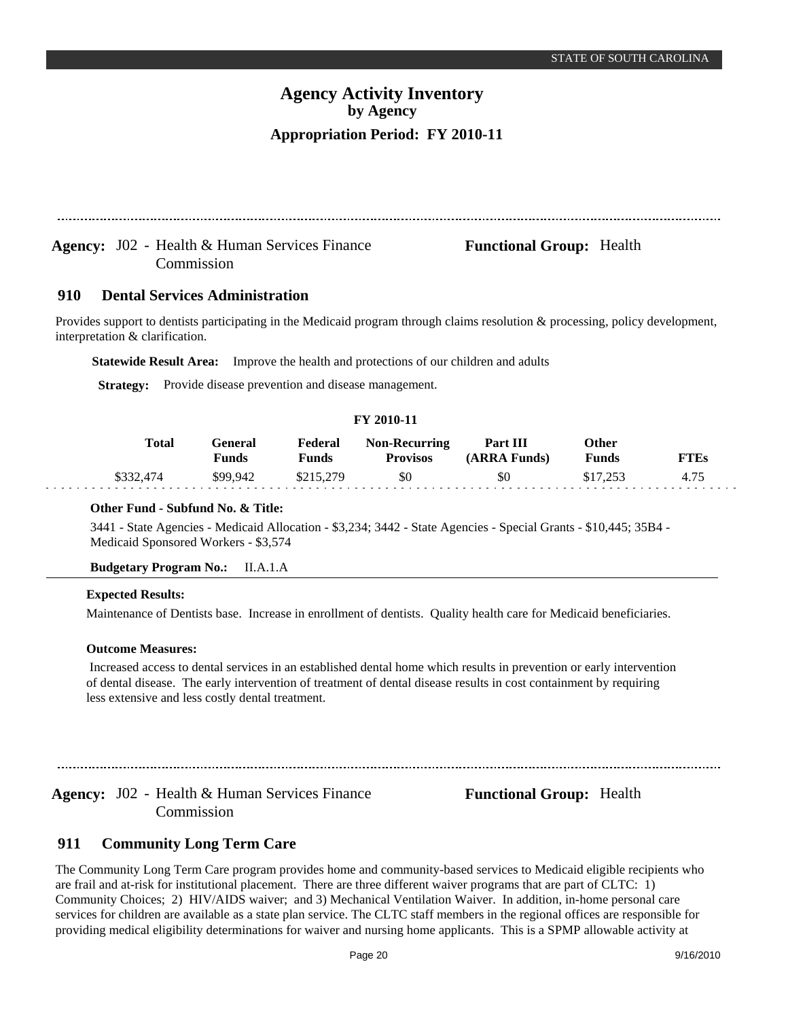Agency: J02 - Health & Human Services Finance **Functional Group:** Health

#### **Dental Services Administration 910**

Commission

Provides support to dentists participating in the Medicaid program through claims resolution & processing, policy development, interpretation & clarification.

**Statewide Result Area:** Improve the health and protections of our children and adults

**Strategy:** Provide disease prevention and disease management.

### **FY 2010-11**

| <b>Total</b> | General<br>Funds | Federal<br>Funds | <b>Non-Recurring</b><br><b>Provisos</b> | Part III<br>(ARRA Funds) | Other<br>Funds | <b>FTEs</b> |
|--------------|------------------|------------------|-----------------------------------------|--------------------------|----------------|-------------|
| \$332,474    | \$99.942         | \$215,279        | \$0                                     | \$0                      | \$17,253       | 4.75        |

### **Other Fund - Subfund No. & Title:**

3441 - State Agencies - Medicaid Allocation - \$3,234; 3442 - State Agencies - Special Grants - \$10,445; 35B4 - Medicaid Sponsored Workers - \$3,574

### **Budgetary Program No.:** II.A.1.A

### **Expected Results:**

Maintenance of Dentists base. Increase in enrollment of dentists. Quality health care for Medicaid beneficiaries.

### **Outcome Measures:**

 Increased access to dental services in an established dental home which results in prevention or early intervention of dental disease. The early intervention of treatment of dental disease results in cost containment by requiring less extensive and less costly dental treatment.

Agency: J02 - Health & Human Services Finance **Functional Group:** Health Commission

#### **Community Long Term Care 911**

The Community Long Term Care program provides home and community-based services to Medicaid eligible recipients who are frail and at-risk for institutional placement. There are three different waiver programs that are part of CLTC: 1) Community Choices; 2) HIV/AIDS waiver; and 3) Mechanical Ventilation Waiver. In addition, in-home personal care services for children are available as a state plan service. The CLTC staff members in the regional offices are responsible for providing medical eligibility determinations for waiver and nursing home applicants. This is a SPMP allowable activity at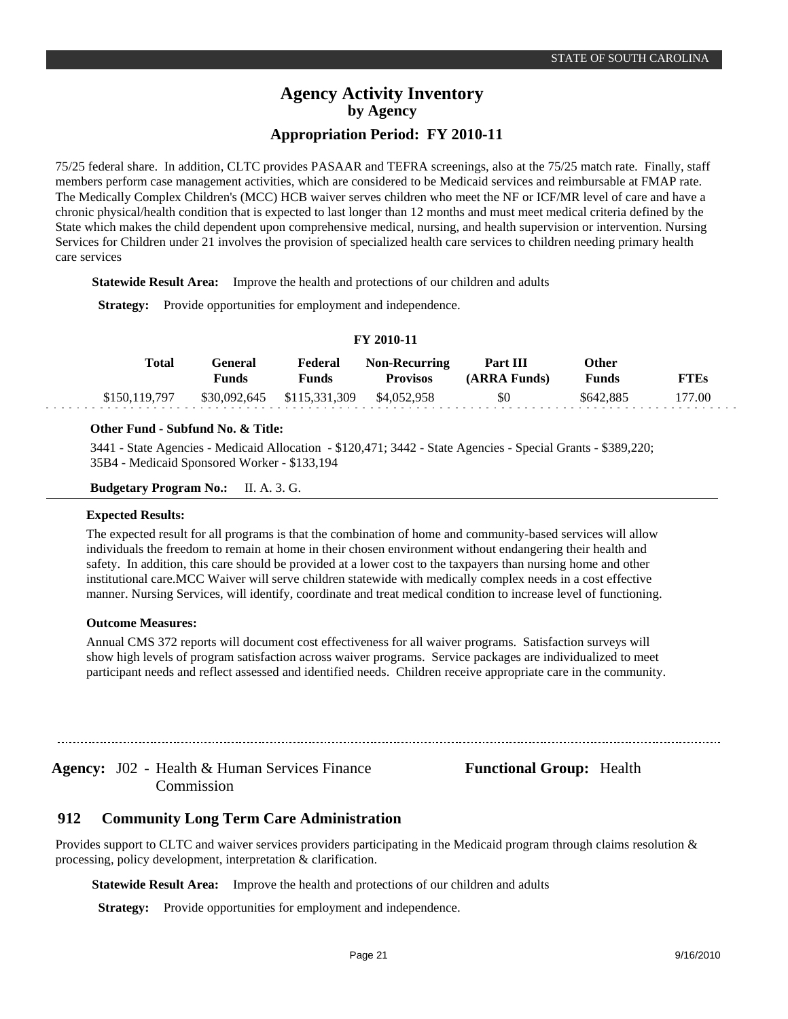75/25 federal share. In addition, CLTC provides PASAAR and TEFRA screenings, also at the 75/25 match rate. Finally, staff members perform case management activities, which are considered to be Medicaid services and reimbursable at FMAP rate. The Medically Complex Children's (MCC) HCB waiver serves children who meet the NF or ICF/MR level of care and have a chronic physical/health condition that is expected to last longer than 12 months and must meet medical criteria defined by the State which makes the child dependent upon comprehensive medical, nursing, and health supervision or intervention. Nursing Services for Children under 21 involves the provision of specialized health care services to children needing primary health care services

**Statewide Result Area:** Improve the health and protections of our children and adults

**Strategy:** Provide opportunities for employment and independence.

| <b>FY 2010-11</b> |                         |                            |                                         |                          |                |             |  |
|-------------------|-------------------------|----------------------------|-----------------------------------------|--------------------------|----------------|-------------|--|
| Total             | General<br><b>Funds</b> | Federal<br><b>Funds</b>    | <b>Non-Recurring</b><br><b>Provisos</b> | Part III<br>(ARRA Funds) | Other<br>Funds | <b>FTEs</b> |  |
| \$150,119,797     |                         | \$30,092,645 \$115,331,309 | \$4,052,958                             | \$0                      | \$642.885      | 177.00      |  |

### **Other Fund - Subfund No. & Title:**

3441 - State Agencies - Medicaid Allocation - \$120,471; 3442 - State Agencies - Special Grants - \$389,220; 35B4 - Medicaid Sponsored Worker - \$133,194

**Budgetary Program No.:** II. A. 3. G.

#### **Expected Results:**

The expected result for all programs is that the combination of home and community-based services will allow individuals the freedom to remain at home in their chosen environment without endangering their health and safety. In addition, this care should be provided at a lower cost to the taxpayers than nursing home and other institutional care.MCC Waiver will serve children statewide with medically complex needs in a cost effective manner. Nursing Services, will identify, coordinate and treat medical condition to increase level of functioning.

### **Outcome Measures:**

Annual CMS 372 reports will document cost effectiveness for all waiver programs. Satisfaction surveys will show high levels of program satisfaction across waiver programs. Service packages are individualized to meet participant needs and reflect assessed and identified needs. Children receive appropriate care in the community.

Agency: J02 - Health & Human Services Finance **Functional Group:** Health Commission

#### **Community Long Term Care Administration 912**

Provides support to CLTC and waiver services providers participating in the Medicaid program through claims resolution & processing, policy development, interpretation & clarification.

**Statewide Result Area:** Improve the health and protections of our children and adults

**Strategy:** Provide opportunities for employment and independence.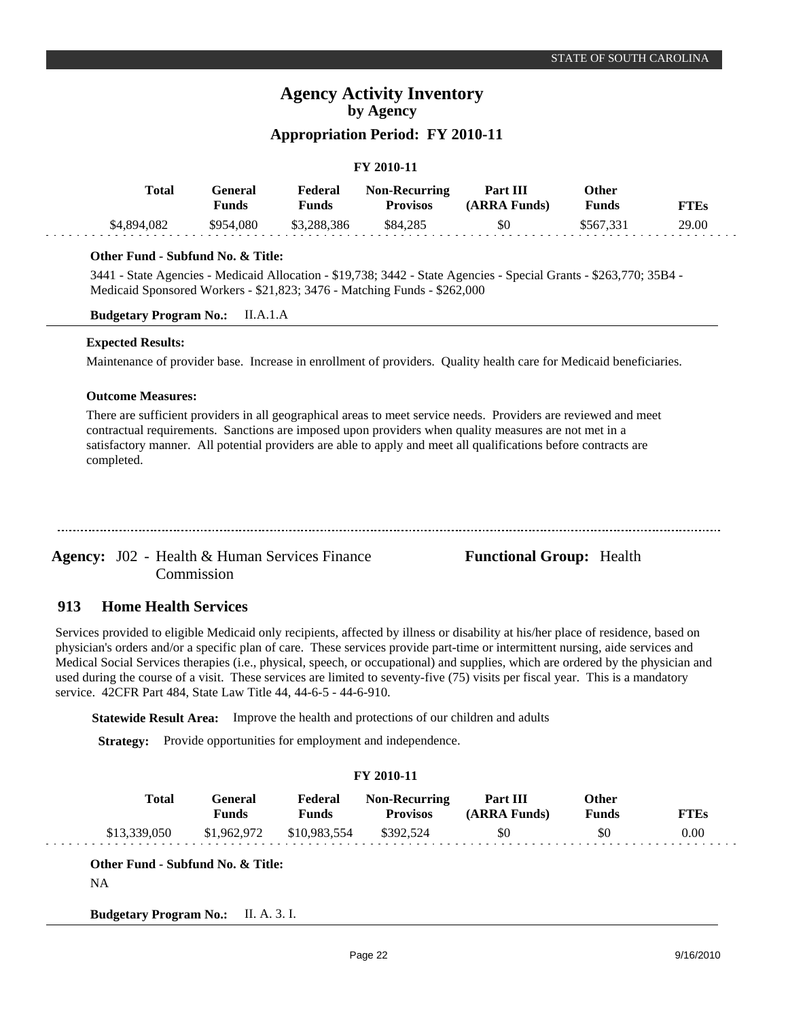## **Appropriation Period: FY 2010-11**

### **FY 2010-11**

| Total       | General<br>Funds | Federal<br>Funds | <b>Non-Recurring</b><br><b>Provisos</b> | Part III<br>(ARRA Funds) | Other<br><b>Funds</b> | FTEs  |
|-------------|------------------|------------------|-----------------------------------------|--------------------------|-----------------------|-------|
| \$4,894,082 | \$954,080        | \$3,288,386      | \$84,285                                | \$0                      | \$567.331             | 29.00 |

### **Other Fund - Subfund No. & Title:**

3441 - State Agencies - Medicaid Allocation - \$19,738; 3442 - State Agencies - Special Grants - \$263,770; 35B4 - Medicaid Sponsored Workers - \$21,823; 3476 - Matching Funds - \$262,000

**Budgetary Program No.:** II.A.1.A

### **Expected Results:**

Maintenance of provider base. Increase in enrollment of providers. Quality health care for Medicaid beneficiaries.

### **Outcome Measures:**

There are sufficient providers in all geographical areas to meet service needs. Providers are reviewed and meet contractual requirements. Sanctions are imposed upon providers when quality measures are not met in a satisfactory manner. All potential providers are able to apply and meet all qualifications before contracts are completed.

Agency: J02 - Health & Human Services Finance **Functional Group:** Health Commission

#### **Home Health Services 913**

Services provided to eligible Medicaid only recipients, affected by illness or disability at his/her place of residence, based on physician's orders and/or a specific plan of care. These services provide part-time or intermittent nursing, aide services and Medical Social Services therapies (i.e., physical, speech, or occupational) and supplies, which are ordered by the physician and used during the course of a visit. These services are limited to seventy-five (75) visits per fiscal year. This is a mandatory service. 42CFR Part 484, State Law Title 44, 44-6-5 - 44-6-910.

**Statewide Result Area:** Improve the health and protections of our children and adults

**Strategy:** Provide opportunities for employment and independence.

|              |                                |                         | FY 2010-11                              |                          |                              |             |
|--------------|--------------------------------|-------------------------|-----------------------------------------|--------------------------|------------------------------|-------------|
| <b>Total</b> | <b>General</b><br><b>Funds</b> | Federal<br><b>Funds</b> | <b>Non-Recurring</b><br><b>Provisos</b> | Part III<br>(ARRA Funds) | <b>Other</b><br><b>Funds</b> | <b>FTEs</b> |
| \$13,339,050 | \$1,962,972                    | \$10,983,554            | \$392,524                               | \$0                      | -\$0                         | 0.00        |

**Budgetary Program No.:** II. A. 3. I.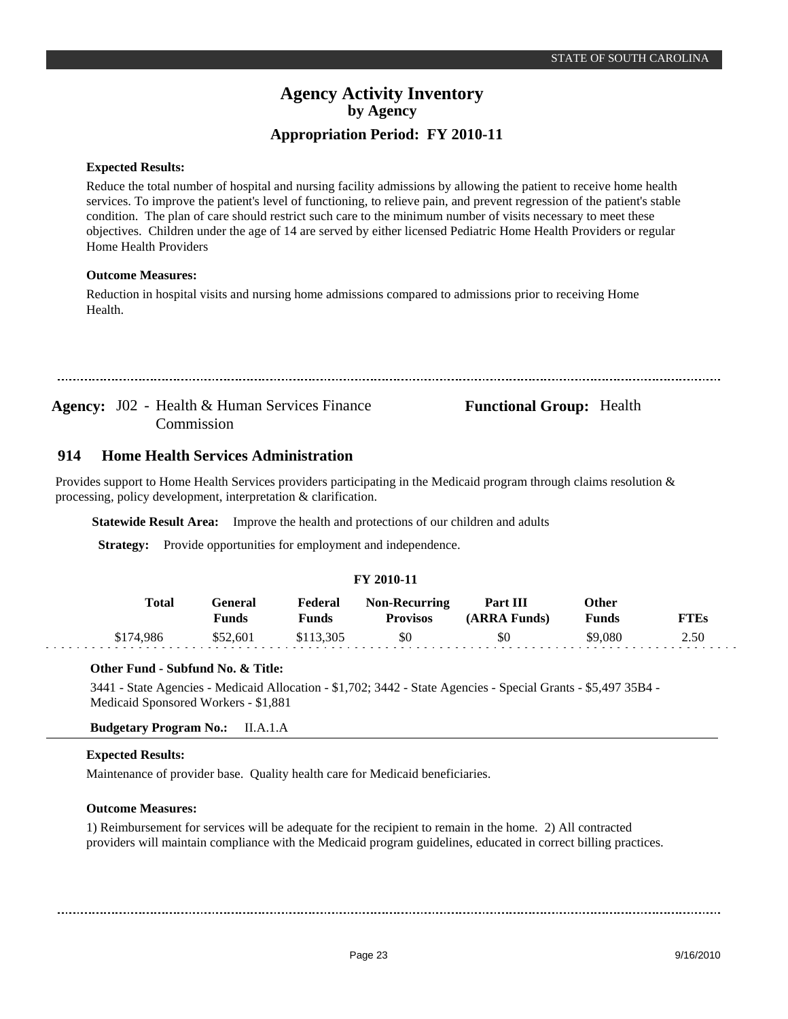### **Expected Results:**

Reduce the total number of hospital and nursing facility admissions by allowing the patient to receive home health services. To improve the patient's level of functioning, to relieve pain, and prevent regression of the patient's stable condition. The plan of care should restrict such care to the minimum number of visits necessary to meet these objectives. Children under the age of 14 are served by either licensed Pediatric Home Health Providers or regular Home Health Providers

### **Outcome Measures:**

Reduction in hospital visits and nursing home admissions compared to admissions prior to receiving Home Health.

Agency: J02 - Health & Human Services Finance **Functional Group:** Health Commission

#### **Home Health Services Administration 914**

Provides support to Home Health Services providers participating in the Medicaid program through claims resolution & processing, policy development, interpretation & clarification.

**Statewide Result Area:** Improve the health and protections of our children and adults

**Strategy:** Provide opportunities for employment and independence.

### **FY 2010-11**

| Total     | General<br><b>Funds</b> | Federal<br>Funds | <b>Non-Recurring</b><br><b>Provisos</b> | <b>Part III</b><br>(ARRA Funds) | Other<br><b>Funds</b> | <b>FTEs</b> |
|-----------|-------------------------|------------------|-----------------------------------------|---------------------------------|-----------------------|-------------|
| \$174.986 | \$52.601                | \$113.305        | \$0                                     | \$0                             | \$9.080               | 2.50        |

### **Other Fund - Subfund No. & Title:**

3441 - State Agencies - Medicaid Allocation - \$1,702; 3442 - State Agencies - Special Grants - \$5,497 35B4 - Medicaid Sponsored Workers - \$1,881

### **Budgetary Program No.:** II.A.1.A

### **Expected Results:**

Maintenance of provider base. Quality health care for Medicaid beneficiaries.

### **Outcome Measures:**

1) Reimbursement for services will be adequate for the recipient to remain in the home. 2) All contracted providers will maintain compliance with the Medicaid program guidelines, educated in correct billing practices.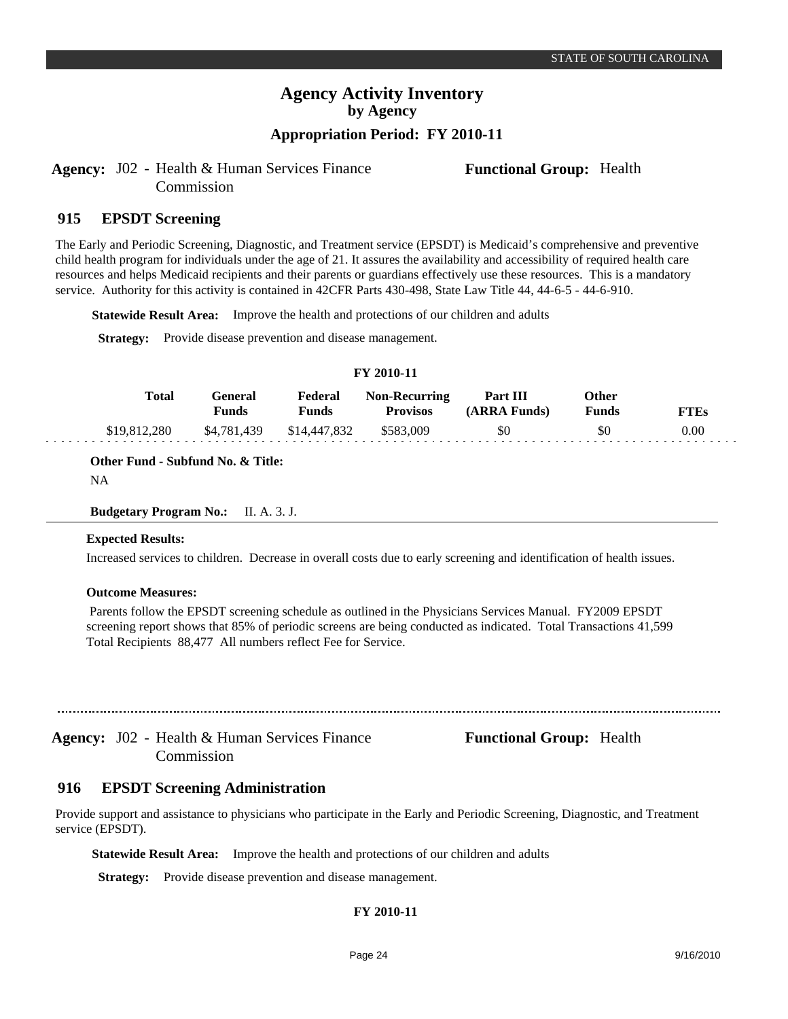## **Appropriation Period: FY 2010-11**

Agency: J02 - Health & Human Services Finance **Functional Group:** Health Commission

#### **EPSDT Screening 915**

The Early and Periodic Screening, Diagnostic, and Treatment service (EPSDT) is Medicaid's comprehensive and preventive child health program for individuals under the age of 21. It assures the availability and accessibility of required health care resources and helps Medicaid recipients and their parents or guardians effectively use these resources. This is a mandatory service. Authority for this activity is contained in 42CFR Parts 430-498, State Law Title 44, 44-6-5 - 44-6-910.

**Statewide Result Area:** Improve the health and protections of our children and adults

**Strategy:** Provide disease prevention and disease management.

#### **FY 2010-11**

| Total        | General<br><b>Funds</b> | Federal<br><b>Funds</b> | <b>Non-Recurring</b><br><b>Provisos</b> | Part III<br>(ARRA Funds) | Other<br>Funds | <b>FTEs</b> |
|--------------|-------------------------|-------------------------|-----------------------------------------|--------------------------|----------------|-------------|
| \$19.812.280 | \$4.781.439             | \$14,447,832            | \$583.009                               | \$0                      | \$0            | 0.00        |

**Other Fund - Subfund No. & Title:**

NA

**Budgetary Program No.:** II. A. 3. J.

### **Expected Results:**

Increased services to children. Decrease in overall costs due to early screening and identification of health issues.

### **Outcome Measures:**

 Parents follow the EPSDT screening schedule as outlined in the Physicians Services Manual. FY2009 EPSDT screening report shows that 85% of periodic screens are being conducted as indicated. Total Transactions 41,599 Total Recipients 88,477 All numbers reflect Fee for Service.

Agency: J02 - Health & Human Services Finance **Functional Group:** Health Commission

#### **EPSDT Screening Administration 916**

Provide support and assistance to physicians who participate in the Early and Periodic Screening, Diagnostic, and Treatment service (EPSDT).

**Statewide Result Area:** Improve the health and protections of our children and adults

**Strategy:** Provide disease prevention and disease management.

### **FY 2010-11**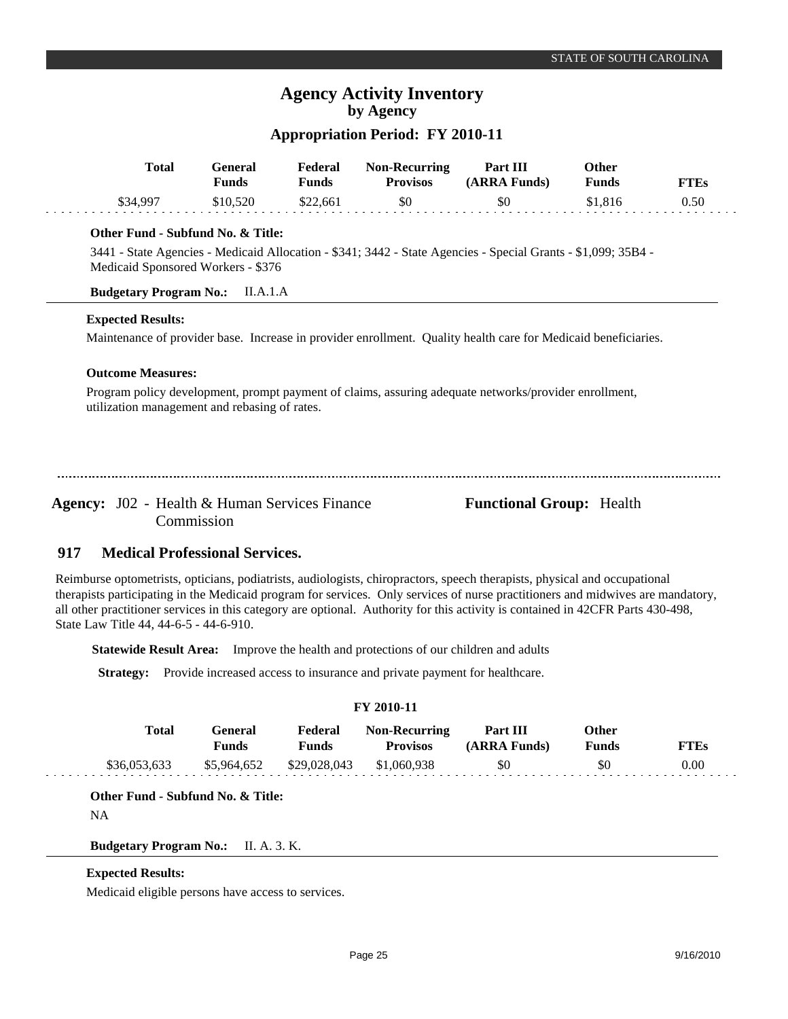### **Appropriation Period: FY 2010-11**

| Total    | General<br>Funds | Federal<br>Funds | <b>Non-Recurring</b><br><b>Provisos</b> | Part III<br>(ARRA Funds) | Other<br>Funds | <b>FTEs</b> |
|----------|------------------|------------------|-----------------------------------------|--------------------------|----------------|-------------|
| \$34.997 | \$10.520         | \$22,661         | \$0                                     | \$0                      | \$1.816        | 0.50        |

### **Other Fund - Subfund No. & Title:**

3441 - State Agencies - Medicaid Allocation - \$341; 3442 - State Agencies - Special Grants - \$1,099; 35B4 - Medicaid Sponsored Workers - \$376

### **Budgetary Program No.:** II.A.1.A

### **Expected Results:**

Maintenance of provider base. Increase in provider enrollment. Quality health care for Medicaid beneficiaries.

### **Outcome Measures:**

Program policy development, prompt payment of claims, assuring adequate networks/provider enrollment, utilization management and rebasing of rates.

Agency: J02 - Health & Human Services Finance **Functional Group:** Health Commission

#### **Medical Professional Services. 917**

Reimburse optometrists, opticians, podiatrists, audiologists, chiropractors, speech therapists, physical and occupational therapists participating in the Medicaid program for services. Only services of nurse practitioners and midwives are mandatory, all other practitioner services in this category are optional. Authority for this activity is contained in 42CFR Parts 430-498, State Law Title 44, 44-6-5 - 44-6-910.

**Statewide Result Area:** Improve the health and protections of our children and adults

**Strategy:** Provide increased access to insurance and private payment for healthcare.

### **FY 2010-11**

| <b>Total</b> | `eneral<br>Funds | Federal<br>Funds | <b>Non-Recurring</b><br><b>Provisos</b> | Part III<br>(ARRA Funds) | Other<br><b>Funds</b> | FTFs |
|--------------|------------------|------------------|-----------------------------------------|--------------------------|-----------------------|------|
| \$36,053,633 | \$5,964,652      | \$29,028,043     | \$1,060,938                             | \$0                      | \$0                   | 0.00 |

**Other Fund - Subfund No. & Title:**

NA

**Budgetary Program No.:** II. A. 3. K.

### **Expected Results:**

Medicaid eligible persons have access to services.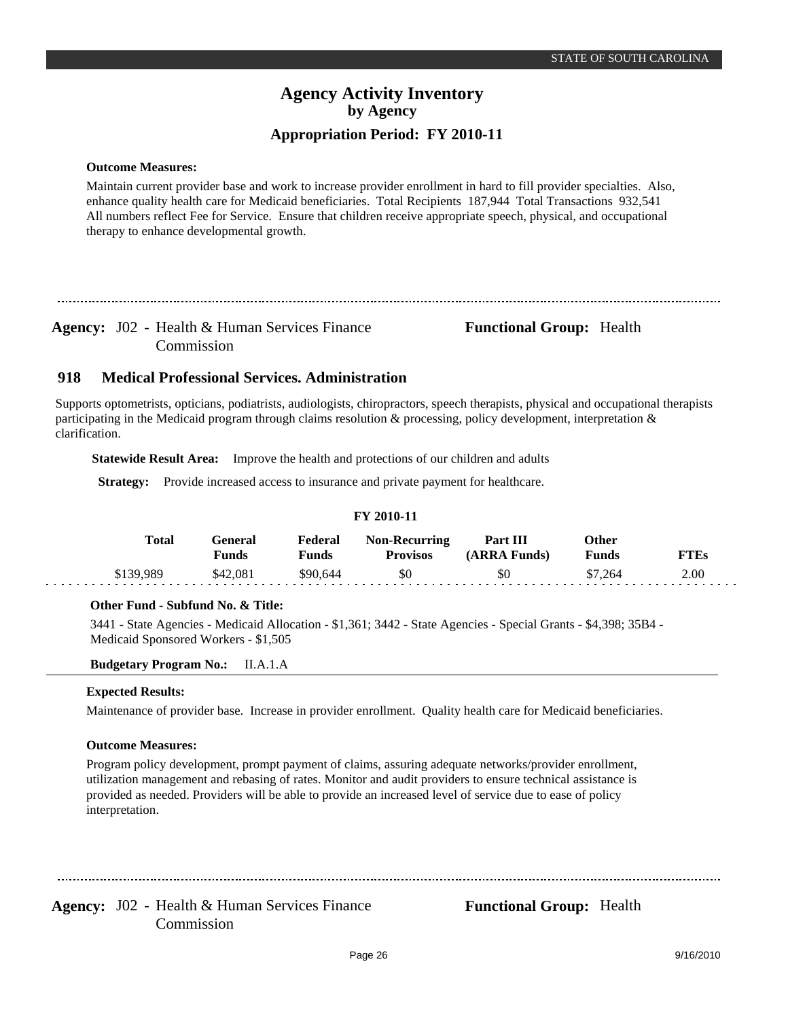### **Outcome Measures:**

Maintain current provider base and work to increase provider enrollment in hard to fill provider specialties. Also, enhance quality health care for Medicaid beneficiaries. Total Recipients 187,944 Total Transactions 932,541 All numbers reflect Fee for Service. Ensure that children receive appropriate speech, physical, and occupational therapy to enhance developmental growth.

Agency: J02 - Health & Human Services Finance **Functional Group:** Health Commission

#### **Medical Professional Services. Administration 918**

Supports optometrists, opticians, podiatrists, audiologists, chiropractors, speech therapists, physical and occupational therapists participating in the Medicaid program through claims resolution & processing, policy development, interpretation & clarification.

**Statewide Result Area:** Improve the health and protections of our children and adults

**Strategy:** Provide increased access to insurance and private payment for healthcare.

### **FY 2010-11**

| Total     | General)<br>Funds | Federal<br>Funds | <b>Non-Recurring</b><br><b>Provisos</b> | Part III<br>(ARRA Funds) | Other<br><b>Funds</b> | <b>FTEs</b> |
|-----------|-------------------|------------------|-----------------------------------------|--------------------------|-----------------------|-------------|
| \$139.989 | \$42.081          | \$90.644         | \$0                                     | SO.                      | \$7.264               | 2.00        |

### **Other Fund - Subfund No. & Title:**

3441 - State Agencies - Medicaid Allocation - \$1,361; 3442 - State Agencies - Special Grants - \$4,398; 35B4 - Medicaid Sponsored Workers - \$1,505

### **Budgetary Program No.:** II.A.1.A

### **Expected Results:**

Maintenance of provider base. Increase in provider enrollment. Quality health care for Medicaid beneficiaries.

### **Outcome Measures:**

Program policy development, prompt payment of claims, assuring adequate networks/provider enrollment, utilization management and rebasing of rates. Monitor and audit providers to ensure technical assistance is provided as needed. Providers will be able to provide an increased level of service due to ease of policy interpretation.

Agency: J02 - Health & Human Services Finance **Functional Group:** Health Commission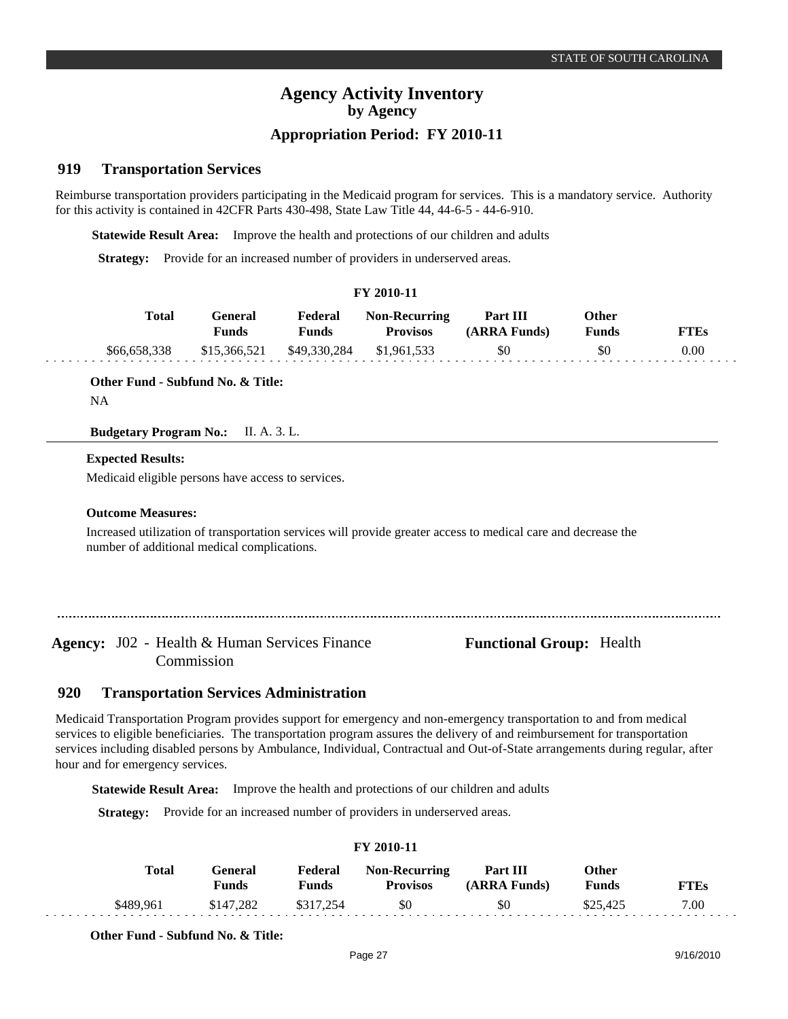## **Appropriation Period: FY 2010-11**

#### **Transportation Services 919**

Reimburse transportation providers participating in the Medicaid program for services. This is a mandatory service. Authority for this activity is contained in 42CFR Parts 430-498, State Law Title 44, 44-6-5 - 44-6-910.

**Statewide Result Area:** Improve the health and protections of our children and adults

**Strategy:** Provide for an increased number of providers in underserved areas.

|              | FY 2010-11              |                         |                                         |                          |                              |             |  |  |  |  |
|--------------|-------------------------|-------------------------|-----------------------------------------|--------------------------|------------------------------|-------------|--|--|--|--|
| <b>Total</b> | General<br><b>Funds</b> | Federal<br><b>Funds</b> | <b>Non-Recurring</b><br><b>Provisos</b> | Part III<br>(ARRA Funds) | <b>Other</b><br><b>Funds</b> | <b>FTEs</b> |  |  |  |  |
| \$66,658,338 | \$15,366,521            | \$49,330,284            | \$1.961.533                             | \$0                      | \$0                          | 0.00        |  |  |  |  |

### **Other Fund - Subfund No. & Title:**

NA

**Budgetary Program No.:** II. A. 3. L.

### **Expected Results:**

Medicaid eligible persons have access to services.

### **Outcome Measures:**

Increased utilization of transportation services will provide greater access to medical care and decrease the number of additional medical complications.

Agency: J02 - Health & Human Services Finance **Functional Group:** Health Commission

#### **Transportation Services Administration 920**

Medicaid Transportation Program provides support for emergency and non-emergency transportation to and from medical services to eligible beneficiaries. The transportation program assures the delivery of and reimbursement for transportation services including disabled persons by Ambulance, Individual, Contractual and Out-of-State arrangements during regular, after hour and for emergency services.

**Statewide Result Area:** Improve the health and protections of our children and adults

**Strategy:** Provide for an increased number of providers in underserved areas.

| <b>Total</b> | General<br>Funds | Federal<br><b>Funds</b> | <b>Non-Recurring</b><br><b>Provisos</b> | Part III<br>(ARRA Funds) | Other<br>Funds | <b>FTEs</b> |
|--------------|------------------|-------------------------|-----------------------------------------|--------------------------|----------------|-------------|
| \$489.961    | \$147.282        | \$317,254               | \$0                                     | \$0                      | \$25.425       | 7.00        |

### **FY 2010-11**

**Other Fund - Subfund No. & Title:**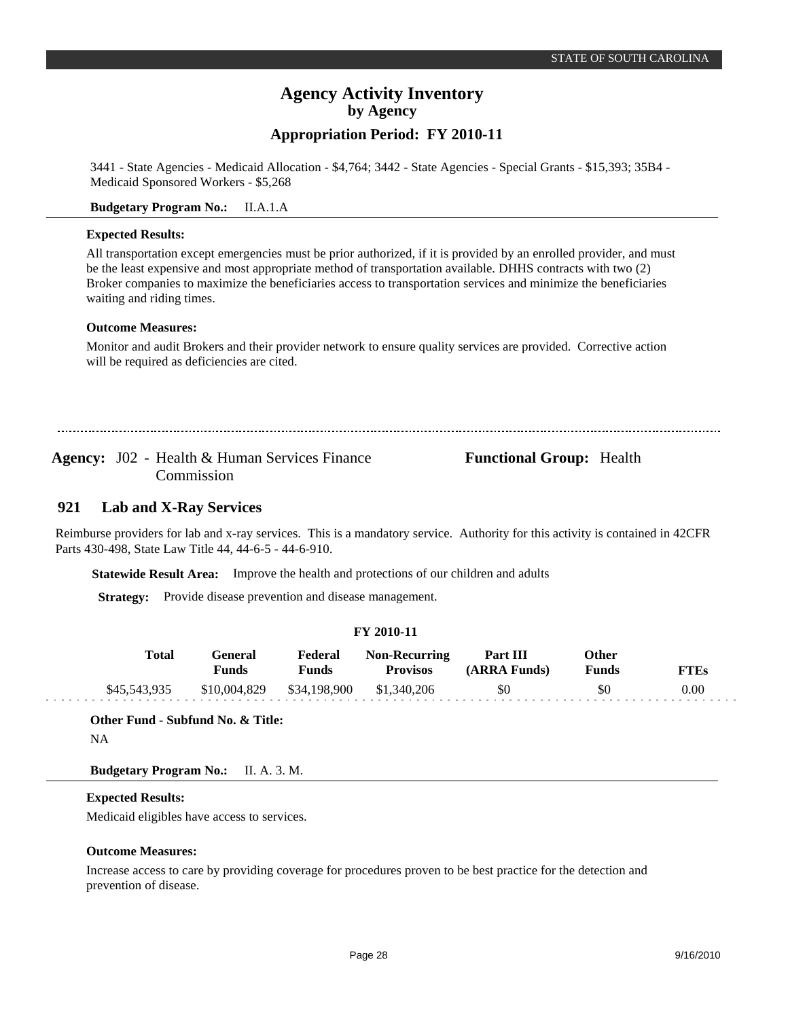## **Appropriation Period: FY 2010-11**

3441 - State Agencies - Medicaid Allocation - \$4,764; 3442 - State Agencies - Special Grants - \$15,393; 35B4 - Medicaid Sponsored Workers - \$5,268

### **Budgetary Program No.:** II.A.1.A

### **Expected Results:**

All transportation except emergencies must be prior authorized, if it is provided by an enrolled provider, and must be the least expensive and most appropriate method of transportation available. DHHS contracts with two (2) Broker companies to maximize the beneficiaries access to transportation services and minimize the beneficiaries waiting and riding times.

### **Outcome Measures:**

Monitor and audit Brokers and their provider network to ensure quality services are provided. Corrective action will be required as deficiencies are cited.

Agency: J02 - Health & Human Services Finance **Functional Group:** Health Commission

#### **Lab and X-Ray Services 921**

Reimburse providers for lab and x-ray services. This is a mandatory service. Authority for this activity is contained in 42CFR Parts 430-498, State Law Title 44, 44-6-5 - 44-6-910.

**Statewide Result Area:** Improve the health and protections of our children and adults

**Strategy:** Provide disease prevention and disease management.

|  | FY 2010-11 |
|--|------------|
|--|------------|

| Total        | General<br><b>Funds</b> | Federal<br><b>Funds</b> | <b>Non-Recurring</b><br><b>Provisos</b> | Part III<br>(ARRA Funds) | Other<br><b>Funds</b> | FTEs |
|--------------|-------------------------|-------------------------|-----------------------------------------|--------------------------|-----------------------|------|
| \$45,543,935 | \$10,004,829            | \$34,198,900            | \$1,340,206                             | \$0                      | \$0                   | 0.00 |

**Other Fund - Subfund No. & Title:**

NA

. . . . . .

**Budgetary Program No.:** II. A. 3. M.

### **Expected Results:**

Medicaid eligibles have access to services.

#### **Outcome Measures:**

Increase access to care by providing coverage for procedures proven to be best practice for the detection and prevention of disease.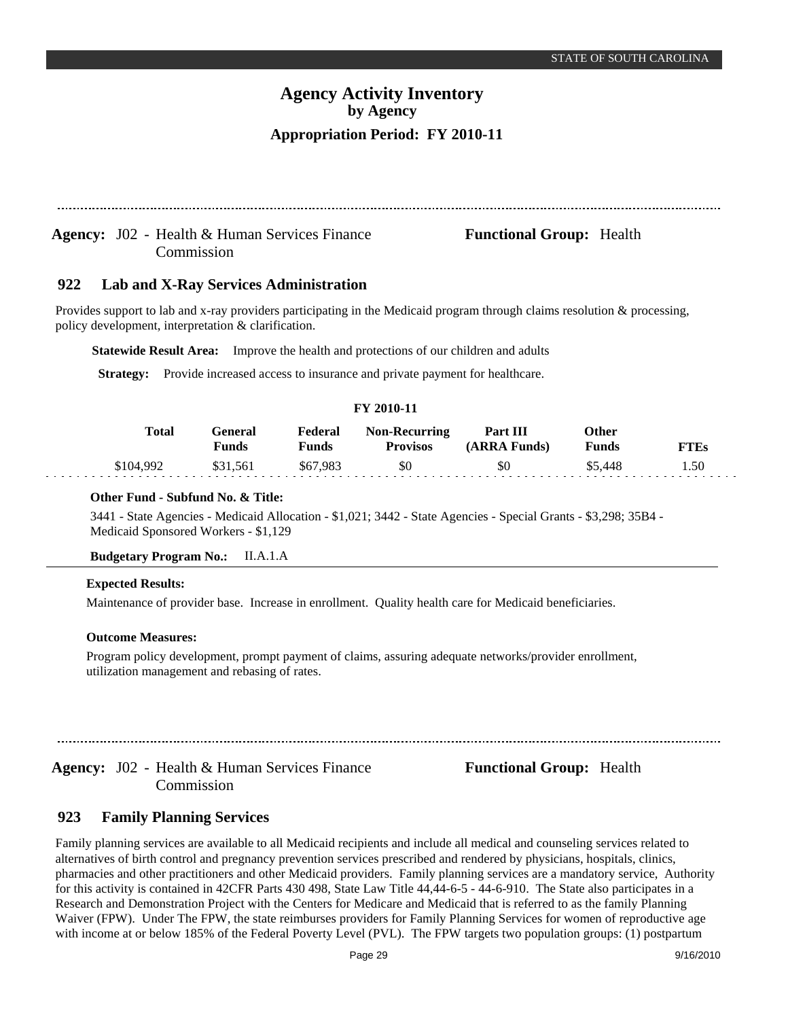### Agency: J02 - Health & Human Services Finance **Functional Group:** Health Commission

#### **Lab and X-Ray Services Administration 922**

Provides support to lab and x-ray providers participating in the Medicaid program through claims resolution & processing, policy development, interpretation & clarification.

**Statewide Result Area:** Improve the health and protections of our children and adults

**Strategy:** Provide increased access to insurance and private payment for healthcare.

### **FY 2010-11**

| Total     | Feneral<br>Funds | Federal<br>Funds | <b>Non-Recurring</b><br>Provisos | Part III<br>(ARRA Funds) | Other<br>Funds | TTEs |
|-----------|------------------|------------------|----------------------------------|--------------------------|----------------|------|
| \$104.992 | .561             | \$67,983         | \$0                              | \$0                      | 448            | 1.50 |

### **Other Fund - Subfund No. & Title:**

3441 - State Agencies - Medicaid Allocation - \$1,021; 3442 - State Agencies - Special Grants - \$3,298; 35B4 - Medicaid Sponsored Workers - \$1,129

#### **Budgetary Program No.:** II.A.1.A

#### **Expected Results:**

Maintenance of provider base. Increase in enrollment. Quality health care for Medicaid beneficiaries.

### **Outcome Measures:**

Program policy development, prompt payment of claims, assuring adequate networks/provider enrollment, utilization management and rebasing of rates.

Agency: J02 - Health & Human Services Finance **Functional Group:** Health Commission

#### **Family Planning Services 923**

Family planning services are available to all Medicaid recipients and include all medical and counseling services related to alternatives of birth control and pregnancy prevention services prescribed and rendered by physicians, hospitals, clinics, pharmacies and other practitioners and other Medicaid providers. Family planning services are a mandatory service, Authority for this activity is contained in 42CFR Parts 430 498, State Law Title 44,44-6-5 - 44-6-910. The State also participates in a Research and Demonstration Project with the Centers for Medicare and Medicaid that is referred to as the family Planning Waiver (FPW). Under The FPW, the state reimburses providers for Family Planning Services for women of reproductive age with income at or below 185% of the Federal Poverty Level (PVL). The FPW targets two population groups: (1) postpartum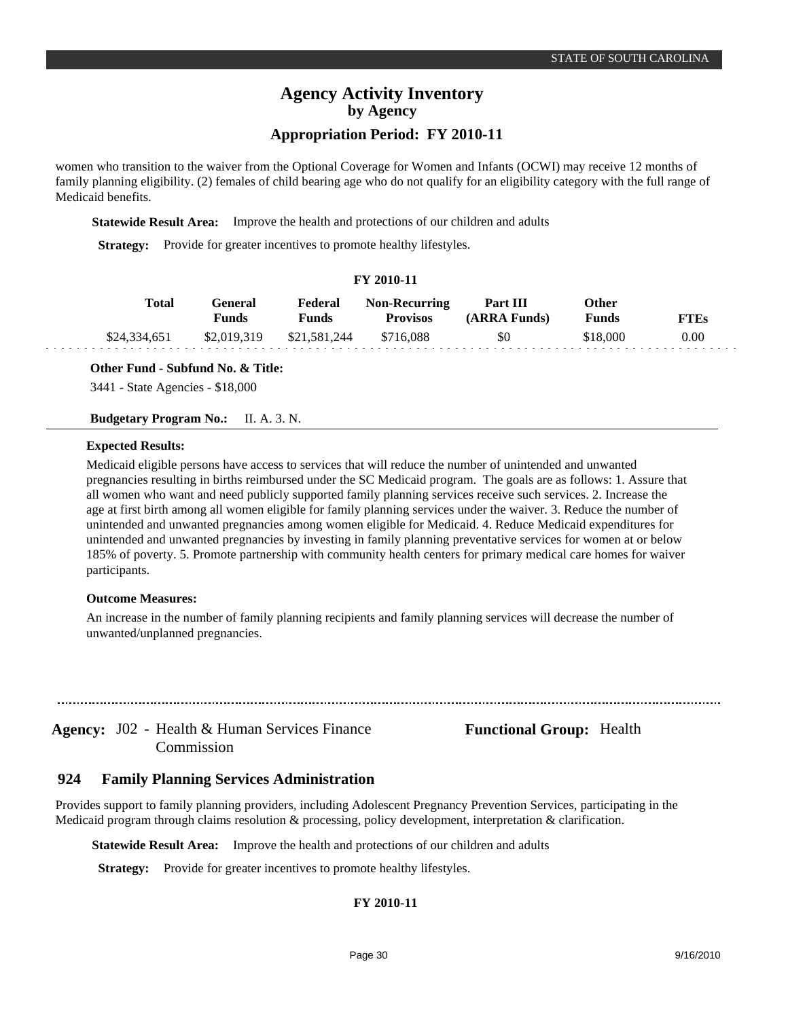### **Appropriation Period: FY 2010-11**

women who transition to the waiver from the Optional Coverage for Women and Infants (OCWI) may receive 12 months of family planning eligibility. (2) females of child bearing age who do not qualify for an eligibility category with the full range of Medicaid benefits.

**Statewide Result Area:** Improve the health and protections of our children and adults

**Strategy:** Provide for greater incentives to promote healthy lifestyles.

### **FY 2010-11**

| Total        | General<br>Funds | Federal<br><b>Funds</b> | <b>Non-Recurring</b><br><b>Provisos</b> | Part III<br>(ARRA Funds) | Other<br><b>Funds</b> | <b>FTEs</b> |
|--------------|------------------|-------------------------|-----------------------------------------|--------------------------|-----------------------|-------------|
| \$24,334,651 | \$2,019,319      | \$21,581,244            | \$716,088                               | \$0                      | \$18,000              | 0.00        |

**Other Fund - Subfund No. & Title:**

3441 - State Agencies - \$18,000

**Budgetary Program No.:** II. A. 3. N.

### **Expected Results:**

Medicaid eligible persons have access to services that will reduce the number of unintended and unwanted pregnancies resulting in births reimbursed under the SC Medicaid program. The goals are as follows: 1. Assure that all women who want and need publicly supported family planning services receive such services. 2. Increase the age at first birth among all women eligible for family planning services under the waiver. 3. Reduce the number of unintended and unwanted pregnancies among women eligible for Medicaid. 4. Reduce Medicaid expenditures for unintended and unwanted pregnancies by investing in family planning preventative services for women at or below 185% of poverty. 5. Promote partnership with community health centers for primary medical care homes for waiver participants.

### **Outcome Measures:**

An increase in the number of family planning recipients and family planning services will decrease the number of unwanted/unplanned pregnancies.

Agency: J02 - Health & Human Services Finance **Functional Group:** Health Commission

#### **Family Planning Services Administration 924**

Provides support to family planning providers, including Adolescent Pregnancy Prevention Services, participating in the Medicaid program through claims resolution & processing, policy development, interpretation & clarification.

**Statewide Result Area:** Improve the health and protections of our children and adults

**Strategy:** Provide for greater incentives to promote healthy lifestyles.

### **FY 2010-11**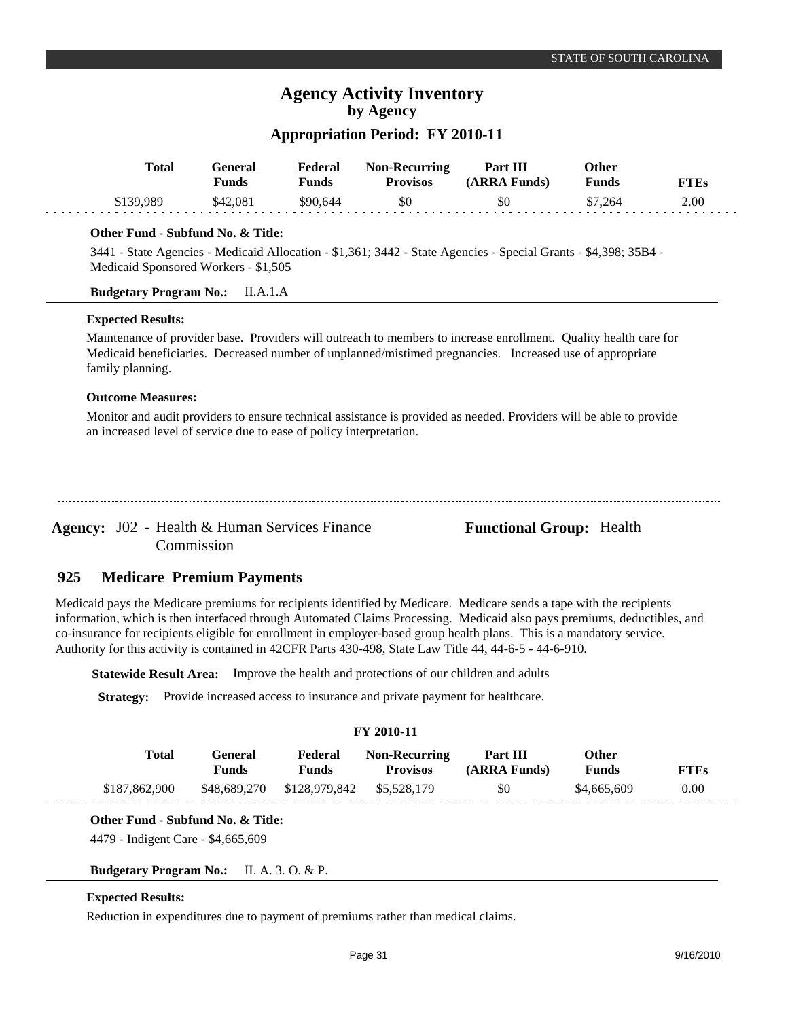### **Appropriation Period: FY 2010-11**

| <b>Total</b> | General<br>Funds | Federal<br>Funds | <b>Non-Recurring</b><br><b>Provisos</b> | Part III<br>(ARRA Funds) | Other<br><b>Funds</b> | <b>FTEs</b> |
|--------------|------------------|------------------|-----------------------------------------|--------------------------|-----------------------|-------------|
| \$139.989    | \$42,081         | \$90,644         | \$0                                     | \$0                      | \$7,264               | 2.00        |

### **Other Fund - Subfund No. & Title:**

3441 - State Agencies - Medicaid Allocation - \$1,361; 3442 - State Agencies - Special Grants - \$4,398; 35B4 - Medicaid Sponsored Workers - \$1,505

### **Budgetary Program No.:** II.A.1.A

### **Expected Results:**

Maintenance of provider base. Providers will outreach to members to increase enrollment. Quality health care for Medicaid beneficiaries. Decreased number of unplanned/mistimed pregnancies. Increased use of appropriate family planning.

### **Outcome Measures:**

Monitor and audit providers to ensure technical assistance is provided as needed. Providers will be able to provide an increased level of service due to ease of policy interpretation.

Agency: J02 - Health & Human Services Finance **Functional Group:** Health Commission

#### **Medicare Premium Payments 925**

Medicaid pays the Medicare premiums for recipients identified by Medicare. Medicare sends a tape with the recipients information, which is then interfaced through Automated Claims Processing. Medicaid also pays premiums, deductibles, and co-insurance for recipients eligible for enrollment in employer-based group health plans. This is a mandatory service. Authority for this activity is contained in 42CFR Parts 430-498, State Law Title 44, 44-6-5 - 44-6-910.

**Statewide Result Area:** Improve the health and protections of our children and adults

**Strategy:** Provide increased access to insurance and private payment for healthcare.

### **FY 2010-11**

| Total         | General)<br><b>Funds</b> | Federal<br>Funds          | <b>Non-Recurring</b><br><b>Provisos</b> | Part III<br>(ARRA Funds) | Other<br>Funds | FTEs |
|---------------|--------------------------|---------------------------|-----------------------------------------|--------------------------|----------------|------|
| \$187,862,900 | \$48.689.270             | \$128,979,842 \$5,528,179 |                                         | \$0                      | \$4,665,609    | 0.00 |

**Other Fund - Subfund No. & Title:**

4479 - Indigent Care - \$4,665,609

**Budgetary Program No.:** II. A. 3. O. & P.

### **Expected Results:**

Reduction in expenditures due to payment of premiums rather than medical claims.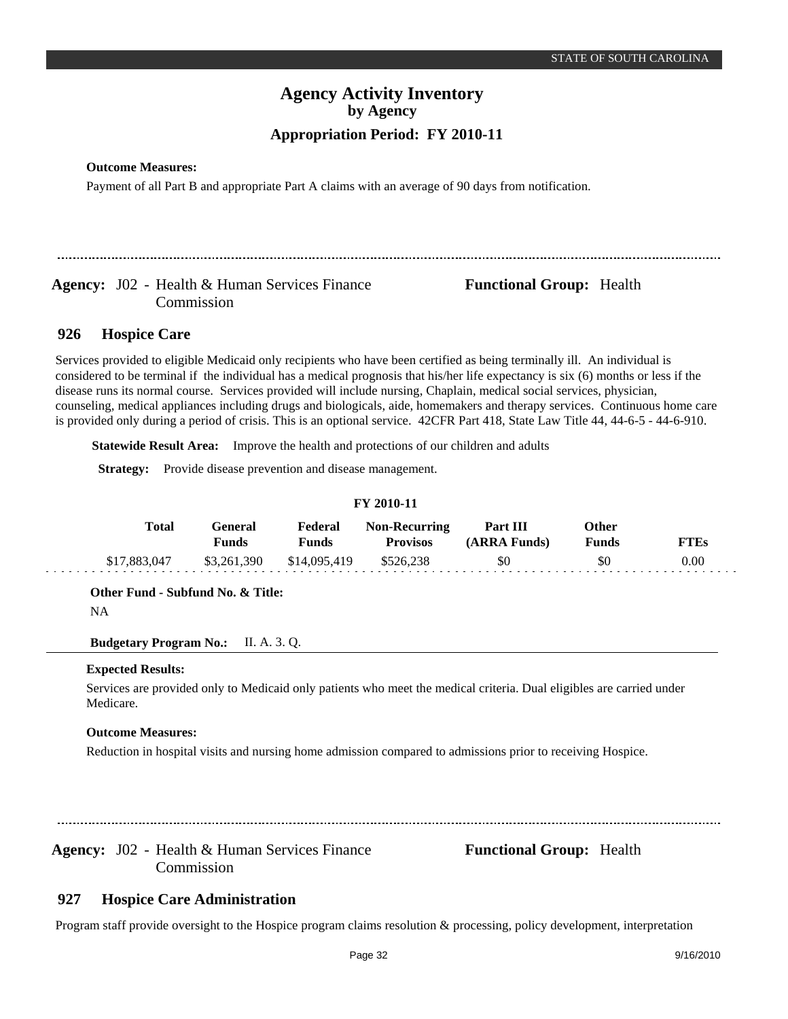### **Outcome Measures:**

Payment of all Part B and appropriate Part A claims with an average of 90 days from notification.

## Agency: J02 - Health & Human Services Finance **Functional Group:** Health Commission

#### **Hospice Care 926**

Services provided to eligible Medicaid only recipients who have been certified as being terminally ill. An individual is considered to be terminal if the individual has a medical prognosis that his/her life expectancy is six (6) months or less if the disease runs its normal course. Services provided will include nursing, Chaplain, medical social services, physician, counseling, medical appliances including drugs and biologicals, aide, homemakers and therapy services. Continuous home care is provided only during a period of crisis. This is an optional service. 42CFR Part 418, State Law Title 44, 44-6-5 - 44-6-910.

**Statewide Result Area:** Improve the health and protections of our children and adults

**Strategy:** Provide disease prevention and disease management.

| FY 2010-11   |                         |                         |                                         |                          |                       |             |  |  |  |  |
|--------------|-------------------------|-------------------------|-----------------------------------------|--------------------------|-----------------------|-------------|--|--|--|--|
| Total        | General<br><b>Funds</b> | Federal<br><b>Funds</b> | <b>Non-Recurring</b><br><b>Provisos</b> | Part III<br>(ARRA Funds) | Other<br><b>Funds</b> | <b>FTEs</b> |  |  |  |  |
| \$17,883,047 | \$3,261,390             | \$14,095,419            | \$526.238                               | \$0                      | \$0                   | 0.00        |  |  |  |  |

**FY 2010-11**

**Other Fund - Subfund No. & Title:**

NA

**Budgetary Program No.:** II. A. 3. Q.

### **Expected Results:**

Services are provided only to Medicaid only patients who meet the medical criteria. Dual eligibles are carried under Medicare.

### **Outcome Measures:**

Reduction in hospital visits and nursing home admission compared to admissions prior to receiving Hospice.

Agency: J02 - Health & Human Services Finance **Functional Group:** Health Commission

#### **Hospice Care Administration 927**

Program staff provide oversight to the Hospice program claims resolution & processing, policy development, interpretation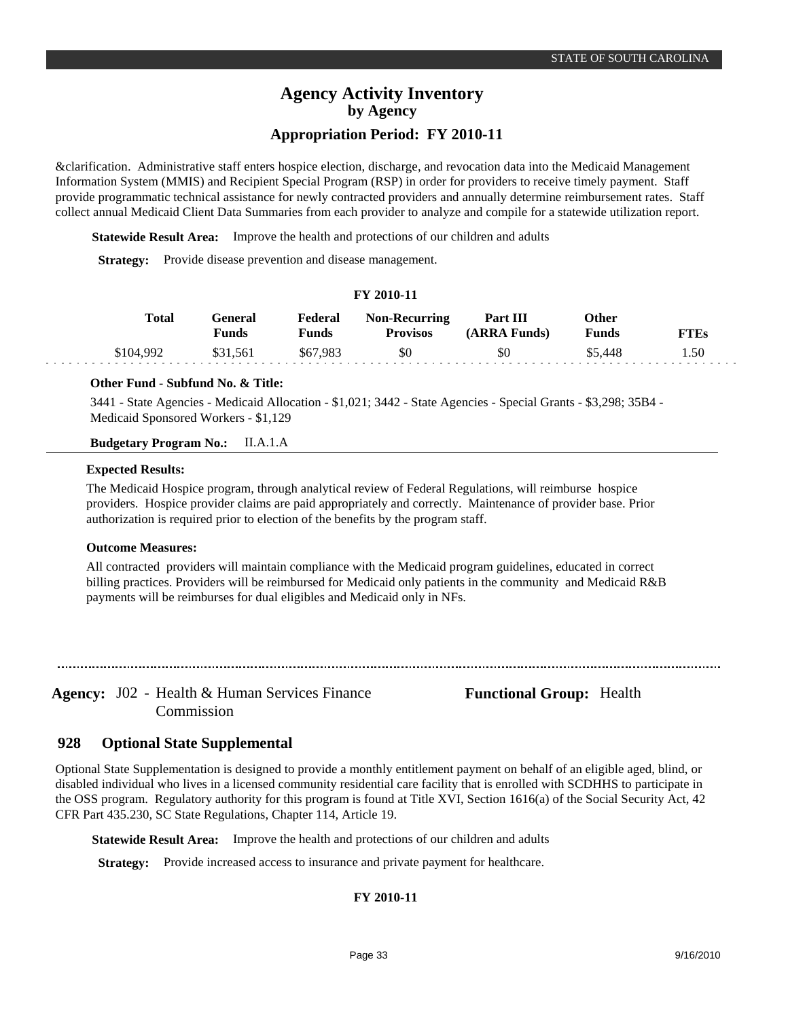## **Appropriation Period: FY 2010-11**

&clarification. Administrative staff enters hospice election, discharge, and revocation data into the Medicaid Management Information System (MMIS) and Recipient Special Program (RSP) in order for providers to receive timely payment. Staff provide programmatic technical assistance for newly contracted providers and annually determine reimbursement rates. Staff collect annual Medicaid Client Data Summaries from each provider to analyze and compile for a statewide utilization report.

**Statewide Result Area:** Improve the health and protections of our children and adults

**Strategy:** Provide disease prevention and disease management.

### **FY 2010-11**

| Total     | General<br>Funds | Federal<br>Funds | <b>Non-Recurring</b><br><b>Provisos</b> | Part III<br>(ARRA Funds) | Other<br>Funds | <b>FTEs</b> |
|-----------|------------------|------------------|-----------------------------------------|--------------------------|----------------|-------------|
| \$104.992 | \$31,561         | \$67,983         | \$0                                     | \$0                      | \$5.448        | 1.50        |

### **Other Fund - Subfund No. & Title:**

3441 - State Agencies - Medicaid Allocation - \$1,021; 3442 - State Agencies - Special Grants - \$3,298; 35B4 - Medicaid Sponsored Workers - \$1,129

### **Budgetary Program No.:** II.A.1.A

### **Expected Results:**

The Medicaid Hospice program, through analytical review of Federal Regulations, will reimburse hospice providers. Hospice provider claims are paid appropriately and correctly. Maintenance of provider base. Prior authorization is required prior to election of the benefits by the program staff.

### **Outcome Measures:**

All contracted providers will maintain compliance with the Medicaid program guidelines, educated in correct billing practices. Providers will be reimbursed for Medicaid only patients in the community and Medicaid R&B payments will be reimburses for dual eligibles and Medicaid only in NFs.

Agency: J02 - Health & Human Services Finance **Functional Group:** Health Commission

#### **Optional State Supplemental 928**

Optional State Supplementation is designed to provide a monthly entitlement payment on behalf of an eligible aged, blind, or disabled individual who lives in a licensed community residential care facility that is enrolled with SCDHHS to participate in the OSS program. Regulatory authority for this program is found at Title XVI, Section 1616(a) of the Social Security Act, 42 CFR Part 435.230, SC State Regulations, Chapter 114, Article 19.

**Statewide Result Area:** Improve the health and protections of our children and adults

**Strategy:** Provide increased access to insurance and private payment for healthcare.

### **FY 2010-11**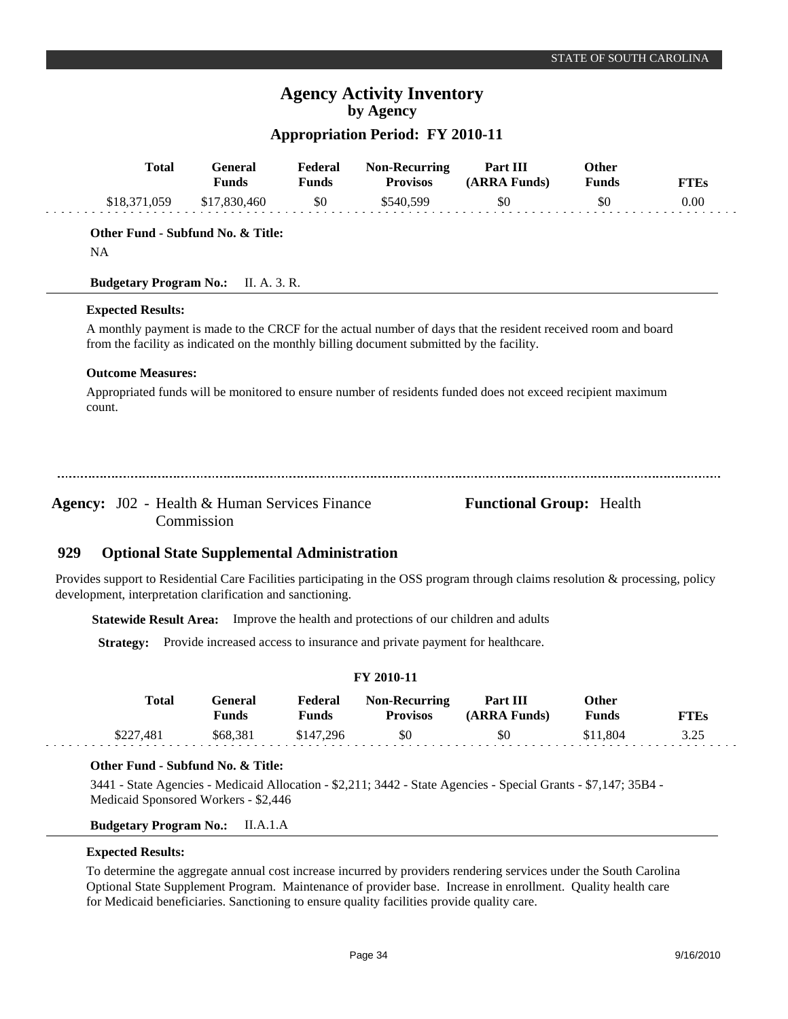## **Appropriation Period: FY 2010-11**

| <b>Total</b>                                                                                                                                                                                  | <b>General</b><br><b>Funds</b>                    | Federal<br><b>Funds</b> | <b>Non-Recurring</b><br><b>Provisos</b>                                                   | Part III<br>(ARRA Funds)                                                                                      | Other<br><b>Funds</b> | <b>FTEs</b> |
|-----------------------------------------------------------------------------------------------------------------------------------------------------------------------------------------------|---------------------------------------------------|-------------------------|-------------------------------------------------------------------------------------------|---------------------------------------------------------------------------------------------------------------|-----------------------|-------------|
| \$18,371,059                                                                                                                                                                                  | \$17,830,460                                      | \$0                     | \$540,599                                                                                 | \$0                                                                                                           | \$0                   | 0.00        |
| Other Fund - Subfund No. & Title:                                                                                                                                                             |                                                   |                         |                                                                                           |                                                                                                               |                       |             |
| <b>NA</b>                                                                                                                                                                                     |                                                   |                         |                                                                                           |                                                                                                               |                       |             |
| <b>Budgetary Program No.:</b>                                                                                                                                                                 | II. A. 3. R.                                      |                         |                                                                                           |                                                                                                               |                       |             |
| <b>Expected Results:</b>                                                                                                                                                                      |                                                   |                         |                                                                                           |                                                                                                               |                       |             |
|                                                                                                                                                                                               |                                                   |                         | from the facility as indicated on the monthly billing document submitted by the facility. | A monthly payment is made to the CRCF for the actual number of days that the resident received room and board |                       |             |
| <b>Outcome Measures:</b>                                                                                                                                                                      |                                                   |                         |                                                                                           |                                                                                                               |                       |             |
| count.                                                                                                                                                                                        |                                                   |                         |                                                                                           | Appropriated funds will be monitored to ensure number of residents funded does not exceed recipient maximum   |                       |             |
|                                                                                                                                                                                               |                                                   |                         |                                                                                           |                                                                                                               |                       |             |
|                                                                                                                                                                                               |                                                   |                         |                                                                                           |                                                                                                               |                       |             |
| <b>Agency:</b> J02 - Health & Human Services Finance                                                                                                                                          | Commission                                        |                         |                                                                                           | <b>Functional Group:</b> Health                                                                               |                       |             |
| 929                                                                                                                                                                                           | <b>Optional State Supplemental Administration</b> |                         |                                                                                           |                                                                                                               |                       |             |
| Provides support to Residential Care Facilities participating in the OSS program through claims resolution & processing, policy<br>development, interpretation clarification and sanctioning. |                                                   |                         |                                                                                           |                                                                                                               |                       |             |
|                                                                                                                                                                                               |                                                   |                         | Statewide Result Area: Improve the health and protections of our children and adults      |                                                                                                               |                       |             |
| <b>Strategy:</b>                                                                                                                                                                              |                                                   |                         | Provide increased access to insurance and private payment for healthcare.                 |                                                                                                               |                       |             |

| FY 2010-11 |                         |                         |                                         |                          |                |             |  |  |  |
|------------|-------------------------|-------------------------|-----------------------------------------|--------------------------|----------------|-------------|--|--|--|
| Total      | General<br><b>Funds</b> | Federal<br><b>Funds</b> | <b>Non-Recurring</b><br><b>Provisos</b> | Part III<br>(ARRA Funds) | Other<br>Funds | <b>FTEs</b> |  |  |  |
| \$227.481  | \$68.381                | \$147.296               | \$0                                     | \$0                      | \$11.804       | 3.25        |  |  |  |

### **Other Fund - Subfund No. & Title:**

3441 - State Agencies - Medicaid Allocation - \$2,211; 3442 - State Agencies - Special Grants - \$7,147; 35B4 - Medicaid Sponsored Workers - \$2,446

**Budgetary Program No.:** II.A.1.A

### **Expected Results:**

والوالو

To determine the aggregate annual cost increase incurred by providers rendering services under the South Carolina Optional State Supplement Program. Maintenance of provider base. Increase in enrollment. Quality health care for Medicaid beneficiaries. Sanctioning to ensure quality facilities provide quality care.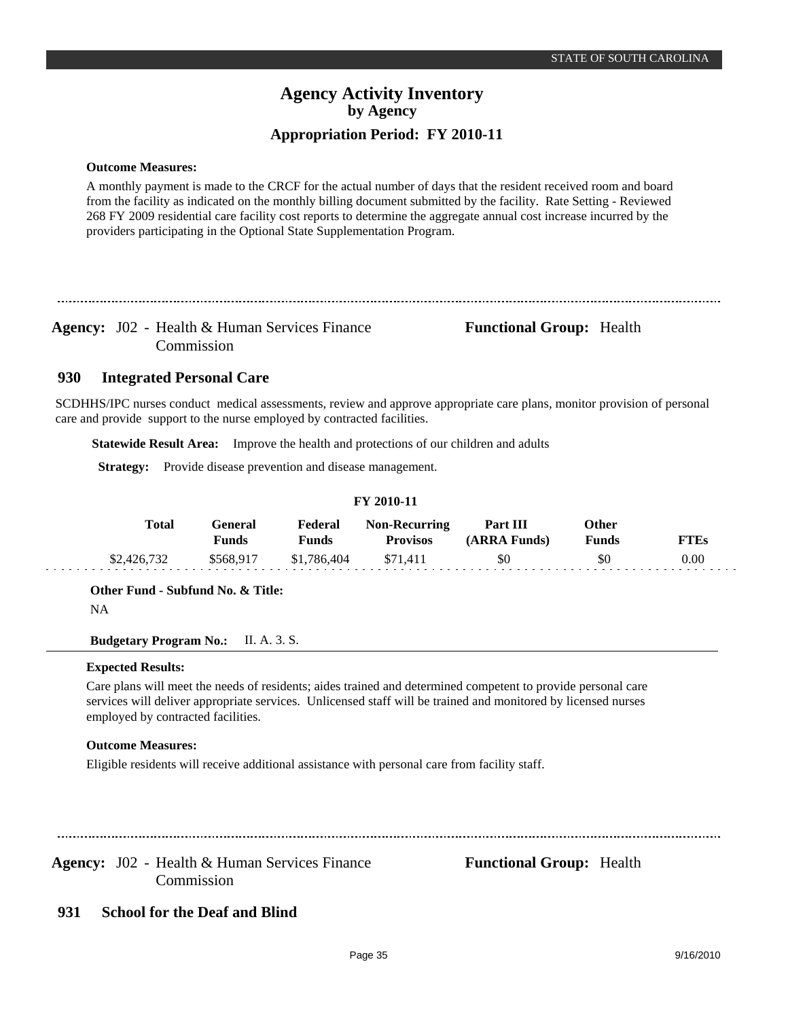### **Outcome Measures:**

A monthly payment is made to the CRCF for the actual number of days that the resident received room and board from the facility as indicated on the monthly billing document submitted by the facility. Rate Setting - Reviewed 268 FY 2009 residential care facility cost reports to determine the aggregate annual cost increase incurred by the providers participating in the Optional State Supplementation Program.

Agency: J02 - Health & Human Services Finance **Functional Group:** Health Commission

#### **Integrated Personal Care 930**

SCDHHS/IPC nurses conduct medical assessments, review and approve appropriate care plans, monitor provision of personal care and provide support to the nurse employed by contracted facilities.

**Statewide Result Area:** Improve the health and protections of our children and adults

**Strategy:** Provide disease prevention and disease management.

| Total       | General<br>Funds | Federal<br>Funds | <b>Non-Recurring</b><br><b>Provisos</b> | Part III<br>(ARRA Funds) | Other<br>Funds | <b>FTEs</b> |
|-------------|------------------|------------------|-----------------------------------------|--------------------------|----------------|-------------|
| \$2,426,732 | \$568.917        | \$1,786,404      | \$71.411                                | \$0                      | \$0            | 0.00        |

**FY 2010-11**

**Other Fund - Subfund No. & Title:**

NA

**Budgetary Program No.:** II. A. 3. S.

### **Expected Results:**

Care plans will meet the needs of residents; aides trained and determined competent to provide personal care services will deliver appropriate services. Unlicensed staff will be trained and monitored by licensed nurses employed by contracted facilities.

### **Outcome Measures:**

Eligible residents will receive additional assistance with personal care from facility staff.

Agency: J02 - Health & Human Services Finance **Functional Group:** Health Commission

#### **School for the Deaf and Blind 931**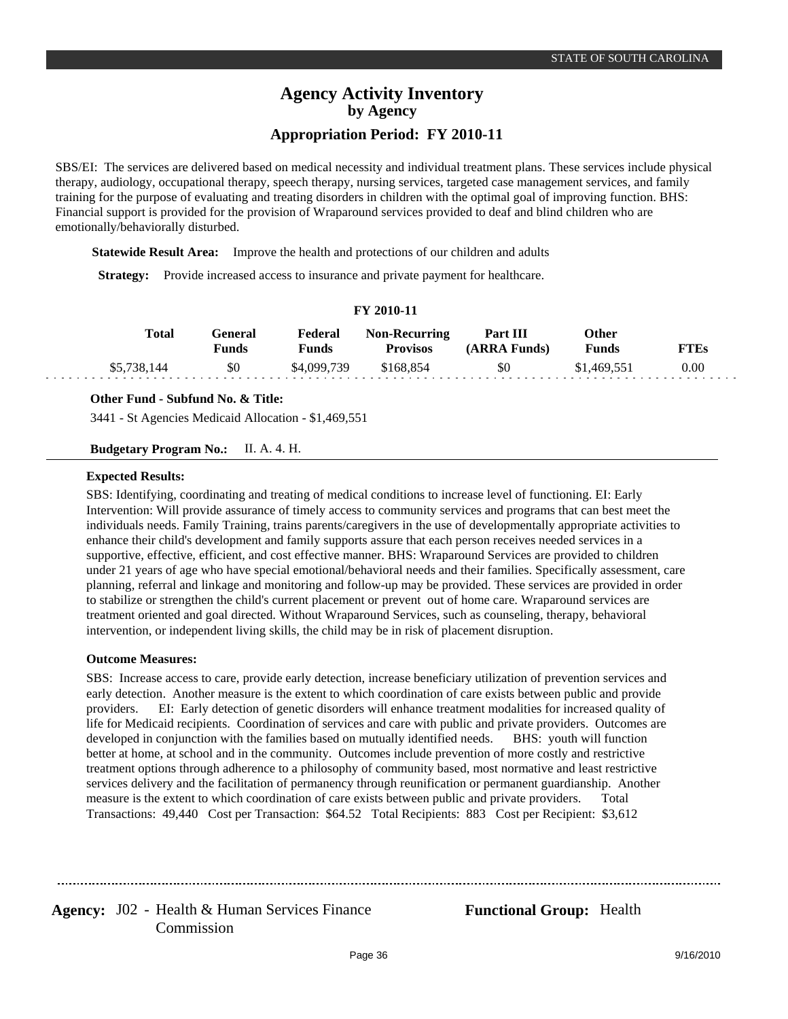SBS/EI: The services are delivered based on medical necessity and individual treatment plans. These services include physical therapy, audiology, occupational therapy, speech therapy, nursing services, targeted case management services, and family training for the purpose of evaluating and treating disorders in children with the optimal goal of improving function. BHS: Financial support is provided for the provision of Wraparound services provided to deaf and blind children who are emotionally/behaviorally disturbed.

**Statewide Result Area:** Improve the health and protections of our children and adults

**Strategy:** Provide increased access to insurance and private payment for healthcare.

### **FY 2010-11**

| Total       | General<br>Funds | Federal<br>Funds | <b>Non-Recurring</b><br><b>Provisos</b> | <b>Part III</b><br>(ARRA Funds) | Other<br>Funds | <b>THES</b> |
|-------------|------------------|------------------|-----------------------------------------|---------------------------------|----------------|-------------|
| \$5,738,144 | \$0              | \$4,099,739      | \$168.854                               | \$0                             | \$1,469,551    | $0.00\,$    |

**Other Fund - Subfund No. & Title:**

3441 - St Agencies Medicaid Allocation - \$1,469,551

**Budgetary Program No.:** II. A. 4. H.

### **Expected Results:**

SBS: Identifying, coordinating and treating of medical conditions to increase level of functioning. EI: Early Intervention: Will provide assurance of timely access to community services and programs that can best meet the individuals needs. Family Training, trains parents/caregivers in the use of developmentally appropriate activities to enhance their child's development and family supports assure that each person receives needed services in a supportive, effective, efficient, and cost effective manner. BHS: Wraparound Services are provided to children under 21 years of age who have special emotional/behavioral needs and their families. Specifically assessment, care planning, referral and linkage and monitoring and follow-up may be provided. These services are provided in order to stabilize or strengthen the child's current placement or prevent out of home care. Wraparound services are treatment oriented and goal directed. Without Wraparound Services, such as counseling, therapy, behavioral intervention, or independent living skills, the child may be in risk of placement disruption.

### **Outcome Measures:**

SBS: Increase access to care, provide early detection, increase beneficiary utilization of prevention services and early detection. Another measure is the extent to which coordination of care exists between public and provide providers.EI: Early detection of genetic disorders will enhance treatment modalities for increased quality of life for Medicaid recipients. Coordination of services and care with public and private providers. Outcomes are developed in conjunction with the families based on mutually identified needs. BHS: youth will function better at home, at school and in the community. Outcomes include prevention of more costly and restrictive treatment options through adherence to a philosophy of community based, most normative and least restrictive services delivery and the facilitation of permanency through reunification or permanent guardianship. Another measure is the extent to which coordination of care exists between public and private providers. Total Transactions: 49,440 Cost per Transaction: \$64.52 Total Recipients: 883 Cost per Recipient: \$3,612

......................................

Agency: J02 - Health & Human Services Finance **Functional Group:** Health Commission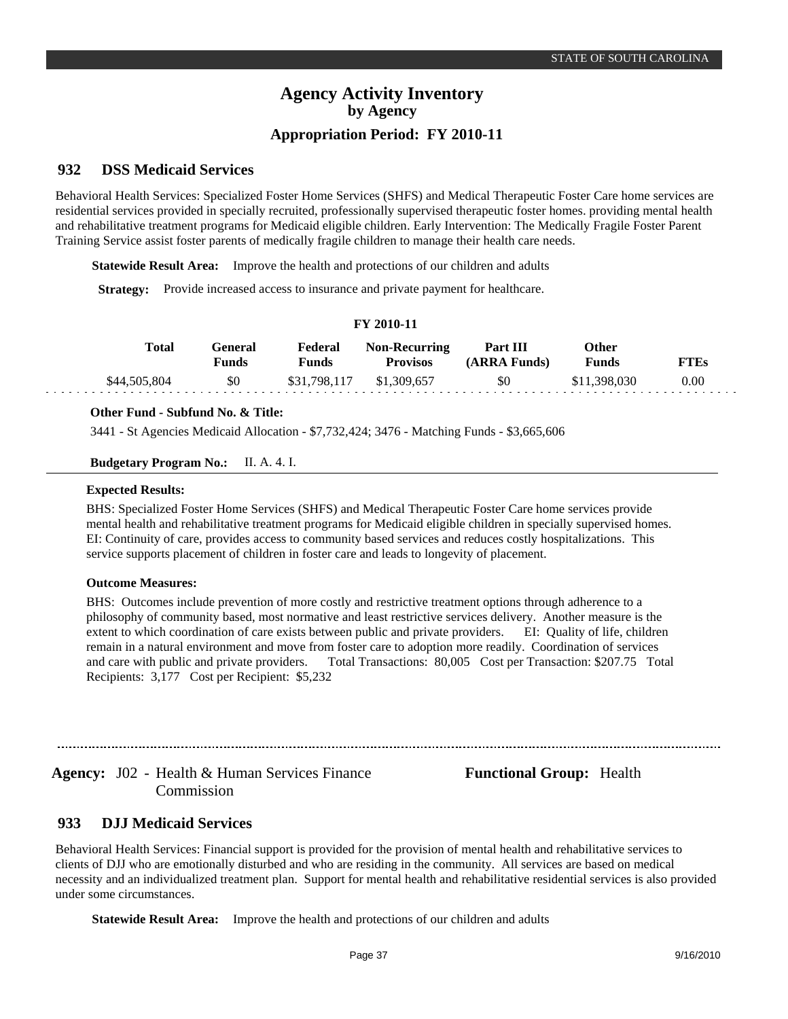#### **DSS Medicaid Services 932**

Behavioral Health Services: Specialized Foster Home Services (SHFS) and Medical Therapeutic Foster Care home services are residential services provided in specially recruited, professionally supervised therapeutic foster homes. providing mental health and rehabilitative treatment programs for Medicaid eligible children. Early Intervention: The Medically Fragile Foster Parent Training Service assist foster parents of medically fragile children to manage their health care needs.

**Statewide Result Area:** Improve the health and protections of our children and adults

**Strategy:** Provide increased access to insurance and private payment for healthcare.

### **FY 2010-11**

| Total        | Feneral<br>Funds | Federal<br>Funds | <b>Non-Recurring</b><br><b>Provisos</b> | Part III<br>(ARRA Funds) | Other<br>Funds | FTEs |
|--------------|------------------|------------------|-----------------------------------------|--------------------------|----------------|------|
| \$44,505,804 | \$0              | \$31,798,117     | \$1,309,657                             | \$0                      | .398.030       | 0.00 |

### **Other Fund - Subfund No. & Title:**

3441 - St Agencies Medicaid Allocation - \$7,732,424; 3476 - Matching Funds - \$3,665,606

**Budgetary Program No.:** II. A. 4. I.

### **Expected Results:**

BHS: Specialized Foster Home Services (SHFS) and Medical Therapeutic Foster Care home services provide mental health and rehabilitative treatment programs for Medicaid eligible children in specially supervised homes. EI: Continuity of care, provides access to community based services and reduces costly hospitalizations. This service supports placement of children in foster care and leads to longevity of placement.

### **Outcome Measures:**

BHS: Outcomes include prevention of more costly and restrictive treatment options through adherence to a philosophy of community based, most normative and least restrictive services delivery. Another measure is the extent to which coordination of care exists between public and private providers. EI: Quality of life, children remain in a natural environment and move from foster care to adoption more readily. Coordination of services and care with public and private providers. Total Transactions: 80,005 Cost per Transaction: \$207.75 Total Recipients: 3,177 Cost per Recipient: \$5,232

Agency: J02 - Health & Human Services Finance **Functional Group:** Health Commission

#### **DJJ Medicaid Services 933**

Behavioral Health Services: Financial support is provided for the provision of mental health and rehabilitative services to clients of DJJ who are emotionally disturbed and who are residing in the community. All services are based on medical necessity and an individualized treatment plan. Support for mental health and rehabilitative residential services is also provided under some circumstances.

**Statewide Result Area:** Improve the health and protections of our children and adults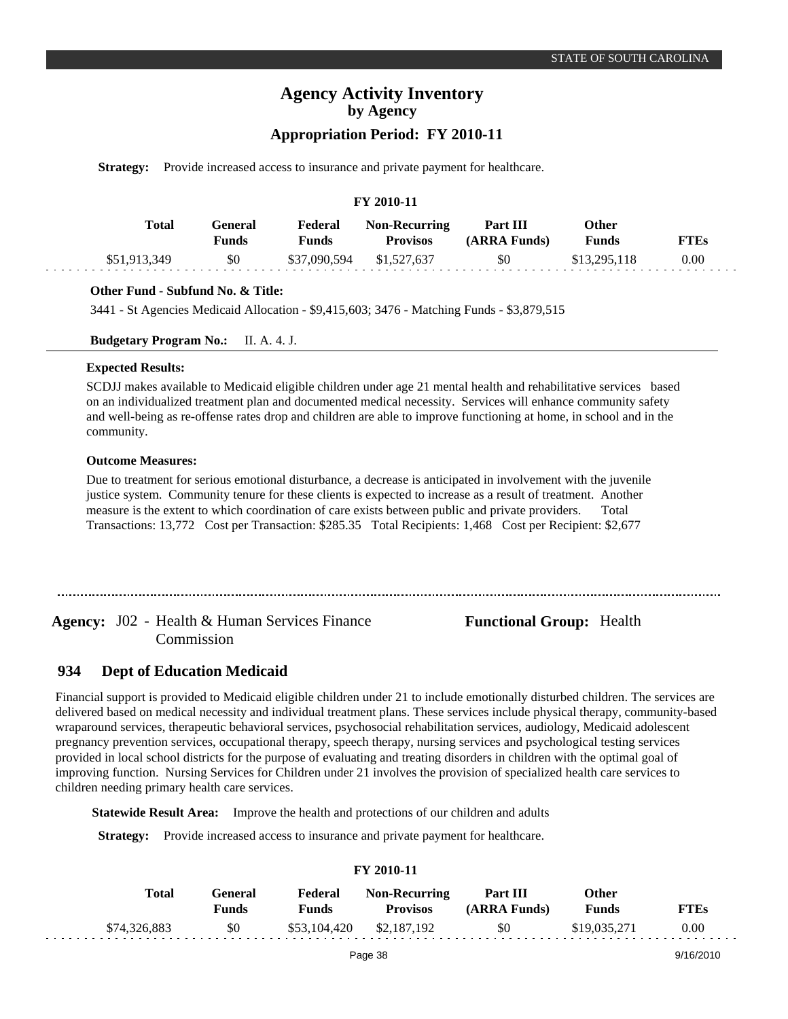### **Appropriation Period: FY 2010-11**

**Strategy:** Provide increased access to insurance and private payment for healthcare.

### **FY 2010-11**

| <b>Total</b> | General<br>Funds | Federal<br>Funds | <b>Non-Recurring</b><br><b>Provisos</b> | Part III<br>(ARRA Funds) | Other<br><b>Funds</b> | <b>FTEs</b> |
|--------------|------------------|------------------|-----------------------------------------|--------------------------|-----------------------|-------------|
| \$51,913,349 | \$0              | \$37,090,594     | \$1,527,637                             | \$0                      | \$13,295,118          | 0.00        |

### **Other Fund - Subfund No. & Title:**

3441 - St Agencies Medicaid Allocation - \$9,415,603; 3476 - Matching Funds - \$3,879,515

**Budgetary Program No.:** II. A. 4. J.

### **Expected Results:**

SCDJJ makes available to Medicaid eligible children under age 21 mental health and rehabilitative services based on an individualized treatment plan and documented medical necessity. Services will enhance community safety and well-being as re-offense rates drop and children are able to improve functioning at home, in school and in the community.

### **Outcome Measures:**

Due to treatment for serious emotional disturbance, a decrease is anticipated in involvement with the juvenile justice system. Community tenure for these clients is expected to increase as a result of treatment. Another measure is the extent to which coordination of care exists between public and private providers. Total Transactions: 13,772 Cost per Transaction: \$285.35 Total Recipients: 1,468 Cost per Recipient: \$2,677

Agency: J02 - Health & Human Services Finance **Functional Group:** Health Commission

#### **Dept of Education Medicaid 934**

Financial support is provided to Medicaid eligible children under 21 to include emotionally disturbed children. The services are delivered based on medical necessity and individual treatment plans. These services include physical therapy, community-based wraparound services, therapeutic behavioral services, psychosocial rehabilitation services, audiology, Medicaid adolescent pregnancy prevention services, occupational therapy, speech therapy, nursing services and psychological testing services provided in local school districts for the purpose of evaluating and treating disorders in children with the optimal goal of improving function. Nursing Services for Children under 21 involves the provision of specialized health care services to children needing primary health care services.

**Statewide Result Area:** Improve the health and protections of our children and adults

**Strategy:** Provide increased access to insurance and private payment for healthcare.

| <b>FY 2010-11</b> |                  |                  |                                         |                          |                              |             |  |  |  |
|-------------------|------------------|------------------|-----------------------------------------|--------------------------|------------------------------|-------------|--|--|--|
| Total             | General<br>Funds | Federal<br>Funds | <b>Non-Recurring</b><br><b>Provisos</b> | Part III<br>(ARRA Funds) | <b>Other</b><br><b>Funds</b> | <b>FTEs</b> |  |  |  |
| \$74,326,883      | \$0              | \$53,104,420     | \$2,187,192                             | \$0                      | \$19,035,271                 | 0.00        |  |  |  |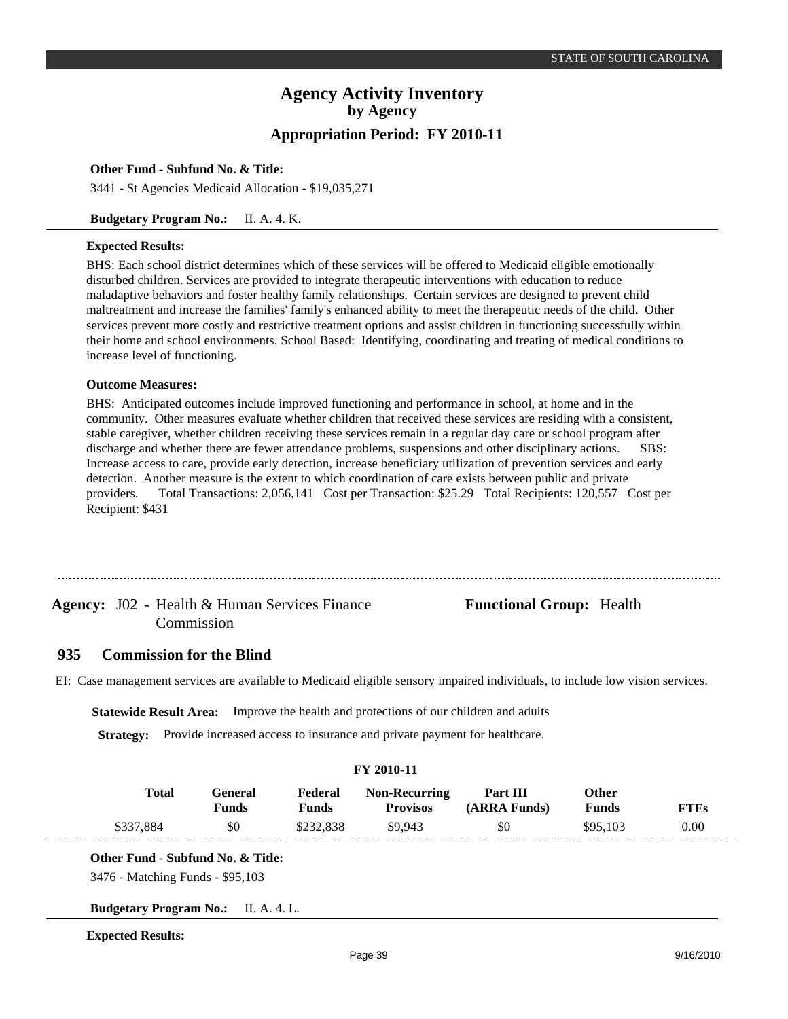### **Other Fund - Subfund No. & Title:**

3441 - St Agencies Medicaid Allocation - \$19,035,271

### **Budgetary Program No.:** II. A. 4. K.

### **Expected Results:**

BHS: Each school district determines which of these services will be offered to Medicaid eligible emotionally disturbed children. Services are provided to integrate therapeutic interventions with education to reduce maladaptive behaviors and foster healthy family relationships. Certain services are designed to prevent child maltreatment and increase the families' family's enhanced ability to meet the therapeutic needs of the child. Other services prevent more costly and restrictive treatment options and assist children in functioning successfully within their home and school environments. School Based: Identifying, coordinating and treating of medical conditions to increase level of functioning.

### **Outcome Measures:**

BHS: Anticipated outcomes include improved functioning and performance in school, at home and in the community. Other measures evaluate whether children that received these services are residing with a consistent, stable caregiver, whether children receiving these services remain in a regular day care or school program after discharge and whether there are fewer attendance problems, suspensions and other disciplinary actions. SBS: Increase access to care, provide early detection, increase beneficiary utilization of prevention services and early detection. Another measure is the extent to which coordination of care exists between public and private providers. Total Transactions: 2,056,141 Cost per Transaction: \$25.29 Total Recipients: 120,557 Cost per Recipient: \$431

# Agency: J02 - Health & Human Services Finance **Functional Group:** Health Commission

#### **Commission for the Blind 935**

EI: Case management services are available to Medicaid eligible sensory impaired individuals, to include low vision services.

**Statewide Result Area:** Improve the health and protections of our children and adults

**Strategy:** Provide increased access to insurance and private payment for healthcare.

| <b>FY 2010-11</b> |                  |                  |                                         |                          |                |             |  |  |
|-------------------|------------------|------------------|-----------------------------------------|--------------------------|----------------|-------------|--|--|
| Total             | General<br>Funds | Federal<br>Funds | <b>Non-Recurring</b><br><b>Provisos</b> | Part III<br>(ARRA Funds) | Other<br>Funds | <b>FTEs</b> |  |  |
| \$337,884         | \$0              | \$232,838        | \$9.943                                 | \$0                      | \$95,103       | 0.00        |  |  |

**Other Fund - Subfund No. & Title:**

3476 - Matching Funds - \$95,103

**Budgetary Program No.:** II. A. 4. L.

**Expected Results:**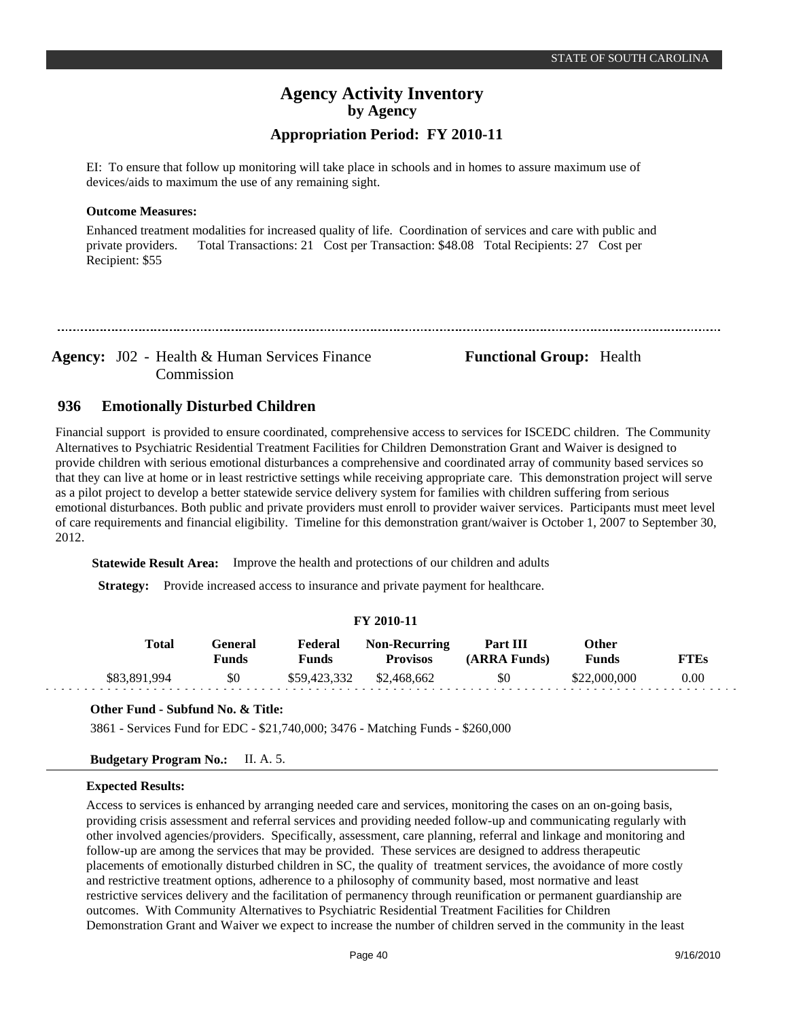EI: To ensure that follow up monitoring will take place in schools and in homes to assure maximum use of devices/aids to maximum the use of any remaining sight.

### **Outcome Measures:**

Enhanced treatment modalities for increased quality of life. Coordination of services and care with public and private providers. Total Transactions: 21 Cost per Transaction: \$48.08 Total Recipients: 27 Cost per Recipient: \$55

Agency: J02 - Health & Human Services Finance **Functional Group:** Health Commission

#### **Emotionally Disturbed Children 936**

Financial support is provided to ensure coordinated, comprehensive access to services for ISCEDC children. The Community Alternatives to Psychiatric Residential Treatment Facilities for Children Demonstration Grant and Waiver is designed to provide children with serious emotional disturbances a comprehensive and coordinated array of community based services so that they can live at home or in least restrictive settings while receiving appropriate care. This demonstration project will serve as a pilot project to develop a better statewide service delivery system for families with children suffering from serious emotional disturbances. Both public and private providers must enroll to provider waiver services. Participants must meet level of care requirements and financial eligibility. Timeline for this demonstration grant/waiver is October 1, 2007 to September 30, 2012.

**Statewide Result Area:** Improve the health and protections of our children and adults

**Strategy:** Provide increased access to insurance and private payment for healthcare.

### **FY 2010-11**

| Total        | General)<br>Funds | Federal<br>Funds | <b>Non-Recurring</b><br><b>Provisos</b> | Part III<br>(ARRA Funds) | <b>Other</b><br><b>Funds</b> | <b>FTEs</b> |
|--------------|-------------------|------------------|-----------------------------------------|--------------------------|------------------------------|-------------|
| \$83,891,994 | \$0               | \$59,423,332     | \$2,468,662                             | \$0                      | \$22,000,000                 | $0.00\,$    |

### **Other Fund - Subfund No. & Title:**

3861 - Services Fund for EDC - \$21,740,000; 3476 - Matching Funds - \$260,000

### **Budgetary Program No.:** II. A. 5.

### **Expected Results:**

Access to services is enhanced by arranging needed care and services, monitoring the cases on an on-going basis, providing crisis assessment and referral services and providing needed follow-up and communicating regularly with other involved agencies/providers. Specifically, assessment, care planning, referral and linkage and monitoring and follow-up are among the services that may be provided. These services are designed to address therapeutic placements of emotionally disturbed children in SC, the quality of treatment services, the avoidance of more costly and restrictive treatment options, adherence to a philosophy of community based, most normative and least restrictive services delivery and the facilitation of permanency through reunification or permanent guardianship are outcomes. With Community Alternatives to Psychiatric Residential Treatment Facilities for Children Demonstration Grant and Waiver we expect to increase the number of children served in the community in the least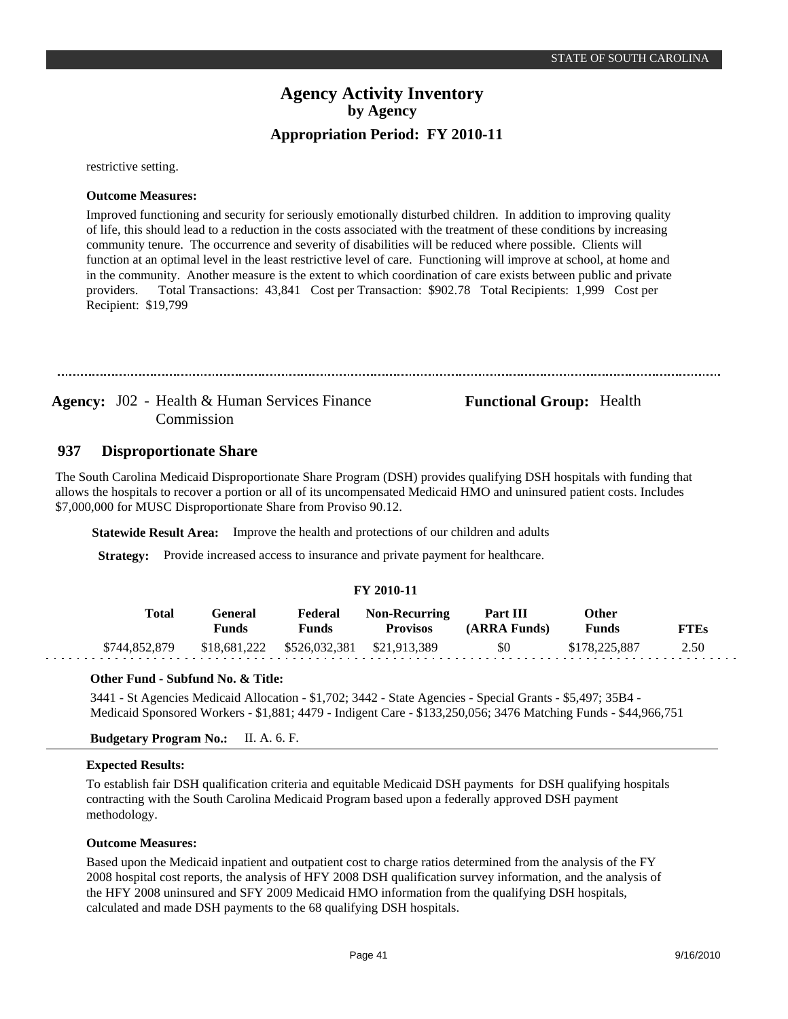restrictive setting.

### **Outcome Measures:**

Improved functioning and security for seriously emotionally disturbed children. In addition to improving quality of life, this should lead to a reduction in the costs associated with the treatment of these conditions by increasing community tenure. The occurrence and severity of disabilities will be reduced where possible. Clients will function at an optimal level in the least restrictive level of care. Functioning will improve at school, at home and in the community. Another measure is the extent to which coordination of care exists between public and private providers. Total Transactions: 43,841 Cost per Transaction: \$902.78 Total Recipients: 1,999 Cost per Recipient: \$19,799

Agency: J02 - Health & Human Services Finance **Functional Group:** Health Commission

#### **Disproportionate Share 937**

The South Carolina Medicaid Disproportionate Share Program (DSH) provides qualifying DSH hospitals with funding that allows the hospitals to recover a portion or all of its uncompensated Medicaid HMO and uninsured patient costs. Includes \$7,000,000 for MUSC Disproportionate Share from Proviso 90.12.

**Statewide Result Area:** Improve the health and protections of our children and adults

**Strategy:** Provide increased access to insurance and private payment for healthcare.

### **FY 2010-11**

| Total         | General<br>Funds | Federal<br>Funds           | <b>Non-Recurring</b><br><b>Provisos</b> | Part III<br>(ARRA Funds) | Other<br>Funds | <b>FTEs</b> |
|---------------|------------------|----------------------------|-----------------------------------------|--------------------------|----------------|-------------|
| \$744,852,879 |                  | \$18,681,222 \$526,032,381 | \$21.913.389                            | \$0                      | \$178,225,887  | 2.50        |

### **Other Fund - Subfund No. & Title:**

3441 - St Agencies Medicaid Allocation - \$1,702; 3442 - State Agencies - Special Grants - \$5,497; 35B4 - Medicaid Sponsored Workers - \$1,881; 4479 - Indigent Care - \$133,250,056; 3476 Matching Funds - \$44,966,751

### **Budgetary Program No.:** II. A. 6. F.

### **Expected Results:**

To establish fair DSH qualification criteria and equitable Medicaid DSH payments for DSH qualifying hospitals contracting with the South Carolina Medicaid Program based upon a federally approved DSH payment methodology.

### **Outcome Measures:**

Based upon the Medicaid inpatient and outpatient cost to charge ratios determined from the analysis of the FY 2008 hospital cost reports, the analysis of HFY 2008 DSH qualification survey information, and the analysis of the HFY 2008 uninsured and SFY 2009 Medicaid HMO information from the qualifying DSH hospitals, calculated and made DSH payments to the 68 qualifying DSH hospitals.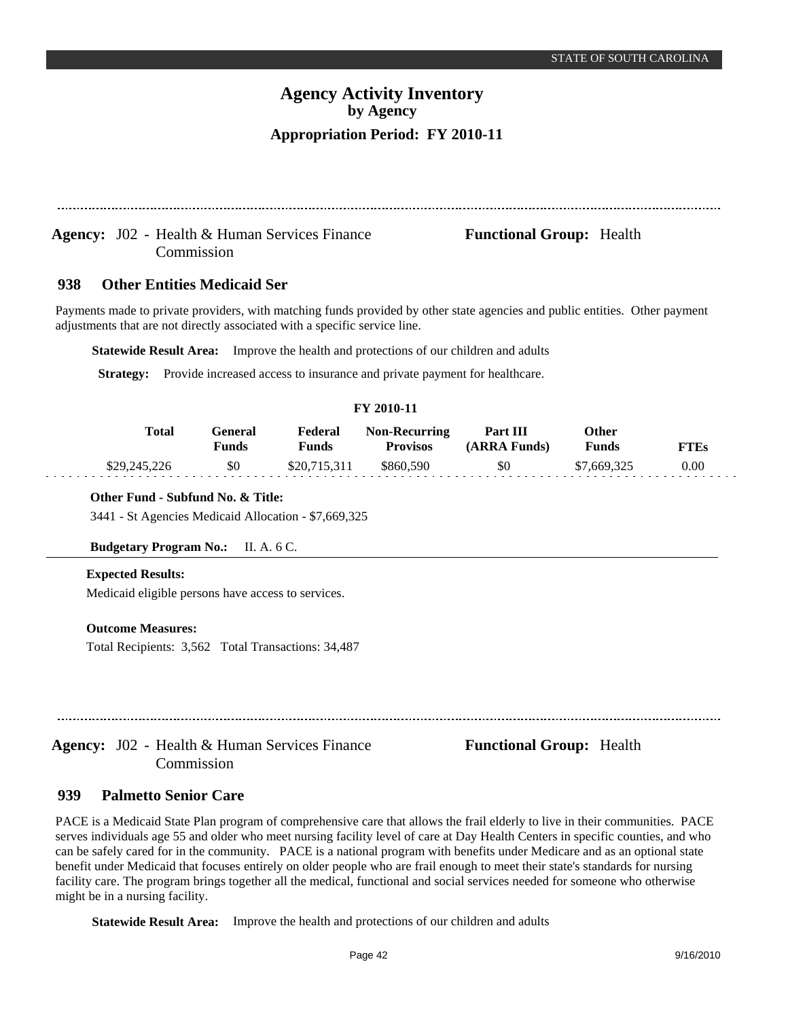### Agency: J02 - Health & Human Services Finance **Functional Group:** Health Commission

#### **Other Entities Medicaid Ser 938**

Payments made to private providers, with matching funds provided by other state agencies and public entities. Other payment adjustments that are not directly associated with a specific service line.

**Statewide Result Area:** Improve the health and protections of our children and adults

**Strategy:** Provide increased access to insurance and private payment for healthcare.

### **FY 2010-11**

| <b>Total</b> | General<br>Funds | Federal<br>Funds | <b>Non-Recurring</b><br>Provisos | Part III<br>(ARRA Funds) | Other<br><b>Funds</b> | FTEs |
|--------------|------------------|------------------|----------------------------------|--------------------------|-----------------------|------|
| \$29,245,226 | \$0              | \$20,715,311     | \$860,590                        | \$0                      | \$7,669,325           | 0.00 |

### **Other Fund - Subfund No. & Title:**

3441 - St Agencies Medicaid Allocation - \$7,669,325

### **Budgetary Program No.:** II. A. 6 C.

### **Expected Results:**

Medicaid eligible persons have access to services.

### **Outcome Measures:**

Total Recipients: 3,562 Total Transactions: 34,487

Agency: J02 - Health & Human Services Finance **Functional Group:** Health Commission

#### **Palmetto Senior Care 939**

PACE is a Medicaid State Plan program of comprehensive care that allows the frail elderly to live in their communities. PACE serves individuals age 55 and older who meet nursing facility level of care at Day Health Centers in specific counties, and who can be safely cared for in the community. PACE is a national program with benefits under Medicare and as an optional state benefit under Medicaid that focuses entirely on older people who are frail enough to meet their state's standards for nursing facility care. The program brings together all the medical, functional and social services needed for someone who otherwise might be in a nursing facility.

**Statewide Result Area:** Improve the health and protections of our children and adults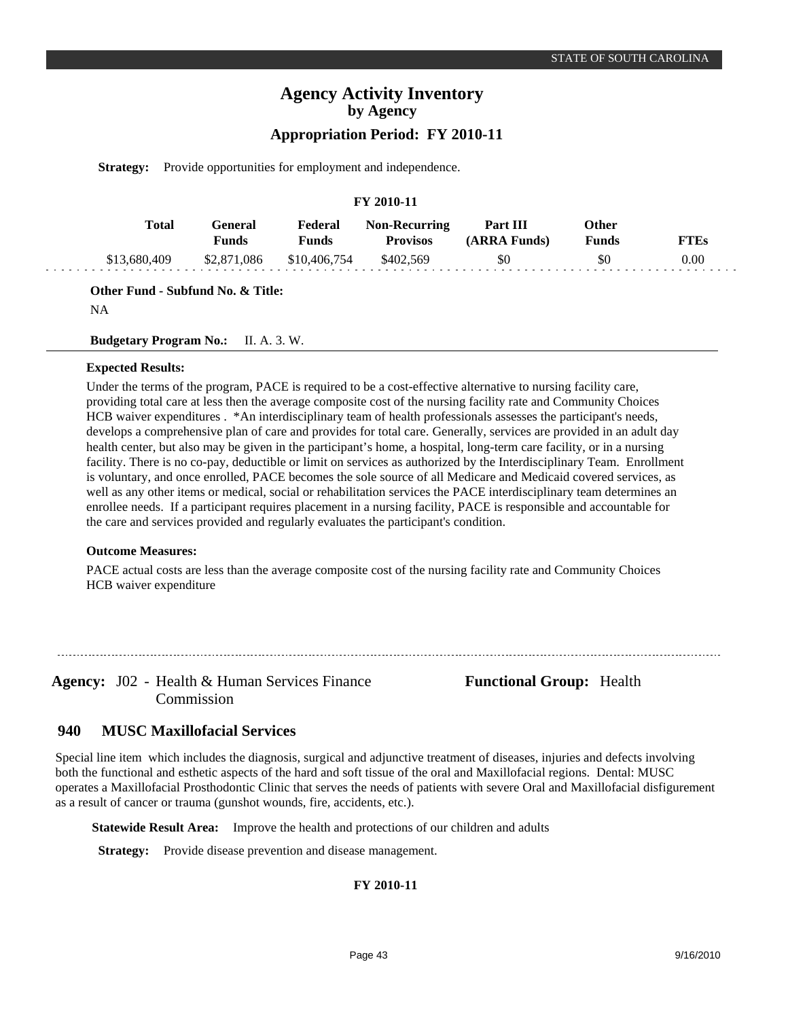## **Appropriation Period: FY 2010-11**

**Strategy:** Provide opportunities for employment and independence.

### **FY 2010-11**

| Total        | General<br><b>Funds</b>            | Federal<br>Funds | <b>Non-Recurring</b><br><b>Provisos</b> | Part III<br>(ARRA Funds) | Other<br><b>Funds</b> | <b>FTEs</b> |
|--------------|------------------------------------|------------------|-----------------------------------------|--------------------------|-----------------------|-------------|
| \$13,680,409 | \$2,871,086 \$10,406,754 \$402,569 |                  |                                         | \$0                      | \$0                   | 0.00        |

**Other Fund - Subfund No. & Title:**

NA

**Budgetary Program No.:** II. A. 3. W.

### **Expected Results:**

Under the terms of the program, PACE is required to be a cost-effective alternative to nursing facility care, providing total care at less then the average composite cost of the nursing facility rate and Community Choices HCB waiver expenditures . \*An interdisciplinary team of health professionals assesses the participant's needs, develops a comprehensive plan of care and provides for total care. Generally, services are provided in an adult day health center, but also may be given in the participant's home, a hospital, long-term care facility, or in a nursing facility. There is no co-pay, deductible or limit on services as authorized by the Interdisciplinary Team. Enrollment is voluntary, and once enrolled, PACE becomes the sole source of all Medicare and Medicaid covered services, as well as any other items or medical, social or rehabilitation services the PACE interdisciplinary team determines an enrollee needs. If a participant requires placement in a nursing facility, PACE is responsible and accountable for the care and services provided and regularly evaluates the participant's condition.

### **Outcome Measures:**

PACE actual costs are less than the average composite cost of the nursing facility rate and Community Choices HCB waiver expenditure

Agency: J02 - Health & Human Services Finance Functional Group: Health Commission

#### **MUSC Maxillofacial Services 940**

Special line item which includes the diagnosis, surgical and adjunctive treatment of diseases, injuries and defects involving both the functional and esthetic aspects of the hard and soft tissue of the oral and Maxillofacial regions. Dental: MUSC operates a Maxillofacial Prosthodontic Clinic that serves the needs of patients with severe Oral and Maxillofacial disfigurement as a result of cancer or trauma (gunshot wounds, fire, accidents, etc.).

**Statewide Result Area:** Improve the health and protections of our children and adults

**Strategy:** Provide disease prevention and disease management.

### **FY 2010-11**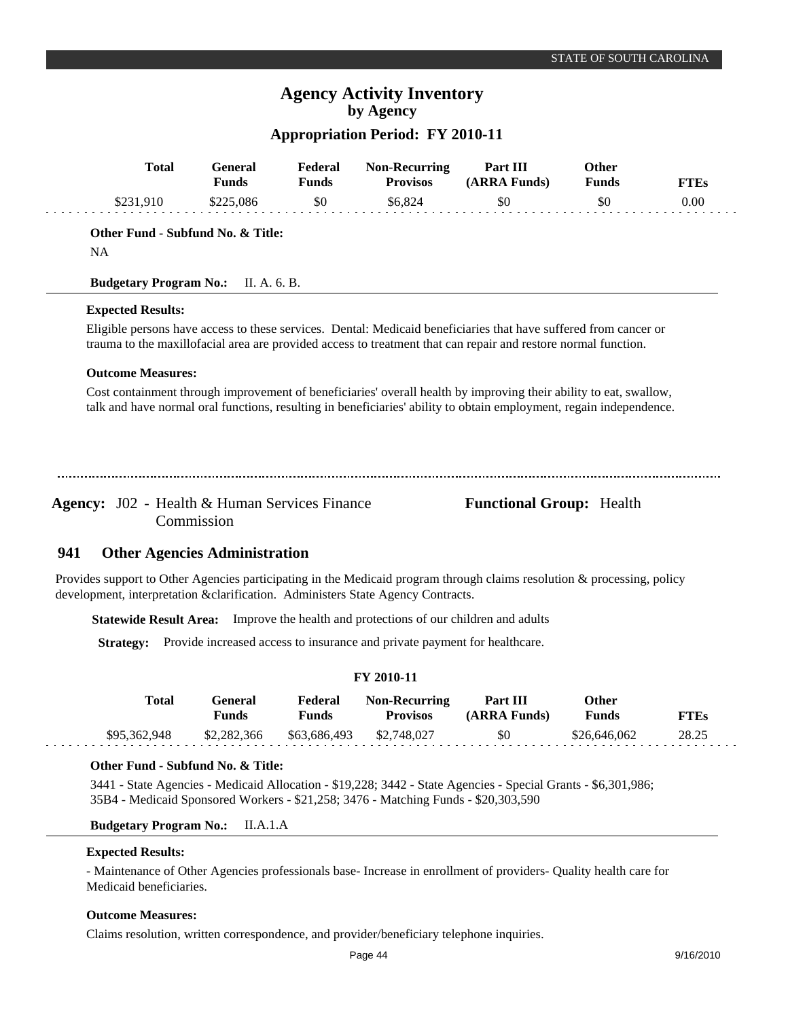## **Appropriation Period: FY 2010-11**

|     | <b>Total</b>                                         | <b>General</b><br><b>Funds</b>       | Federal<br><b>Funds</b> | <b>Non-Recurring</b><br><b>Provisos</b>                                          | Part III<br>(ARRA Funds)                                                                                                                                                                                                                 | Other<br><b>Funds</b> | <b>FTEs</b> |
|-----|------------------------------------------------------|--------------------------------------|-------------------------|----------------------------------------------------------------------------------|------------------------------------------------------------------------------------------------------------------------------------------------------------------------------------------------------------------------------------------|-----------------------|-------------|
|     | \$231,910                                            | \$225,086                            | \$0                     | \$6,824                                                                          | \$0                                                                                                                                                                                                                                      | \$0                   | 0.00        |
|     | Other Fund - Subfund No. & Title:<br><b>NA</b>       |                                      |                         |                                                                                  |                                                                                                                                                                                                                                          |                       |             |
|     | <b>Budgetary Program No.:</b>                        | II. A. 6. B.                         |                         |                                                                                  |                                                                                                                                                                                                                                          |                       |             |
|     | <b>Expected Results:</b>                             |                                      |                         |                                                                                  | Eligible persons have access to these services. Dental: Medicaid beneficiaries that have suffered from cancer or                                                                                                                         |                       |             |
|     |                                                      |                                      |                         |                                                                                  | trauma to the maxillofacial area are provided access to treatment that can repair and restore normal function.                                                                                                                           |                       |             |
|     | <b>Outcome Measures:</b>                             |                                      |                         |                                                                                  |                                                                                                                                                                                                                                          |                       |             |
|     |                                                      |                                      |                         |                                                                                  | Cost containment through improvement of beneficiaries' overall health by improving their ability to eat, swallow,<br>talk and have normal oral functions, resulting in beneficiaries' ability to obtain employment, regain independence. |                       |             |
|     | <b>Agency:</b> J02 - Health & Human Services Finance | Commission                           |                         |                                                                                  | <b>Functional Group:</b> Health                                                                                                                                                                                                          |                       |             |
| 941 |                                                      | <b>Other Agencies Administration</b> |                         |                                                                                  |                                                                                                                                                                                                                                          |                       |             |
|     |                                                      |                                      |                         | development, interpretation & clarification. Administers State Agency Contracts. | Provides support to Other Agencies participating in the Medicaid program through claims resolution & processing, policy                                                                                                                  |                       |             |
|     | <b>Statewide Result Area:</b>                        |                                      |                         | Improve the health and protections of our children and adults                    |                                                                                                                                                                                                                                          |                       |             |
|     | <b>Strategy:</b>                                     |                                      |                         | Provide increased access to insurance and private payment for healthcare.        |                                                                                                                                                                                                                                          |                       |             |
|     |                                                      |                                      |                         | FY 2010-11                                                                       |                                                                                                                                                                                                                                          |                       |             |

| Total        | General<br>Funds | Federal<br>Funds         | <b>Non-Recurring</b><br><b>Provisos</b> | Part III<br>(ARRA Funds) | Other<br><b>Funds</b> | <b>FTEs</b> |  |
|--------------|------------------|--------------------------|-----------------------------------------|--------------------------|-----------------------|-------------|--|
| \$95,362,948 | \$2,282,366      | \$63,686,493 \$2,748,027 |                                         | \$0                      | \$26,646,062          | 28.25       |  |

### **Other Fund - Subfund No. & Title:**

3441 - State Agencies - Medicaid Allocation - \$19,228; 3442 - State Agencies - Special Grants - \$6,301,986; 35B4 - Medicaid Sponsored Workers - \$21,258; 3476 - Matching Funds - \$20,303,590

### **Budgetary Program No.:** II.A.1.A

### **Expected Results:**

والوالو والوالو

- Maintenance of Other Agencies professionals base- Increase in enrollment of providers- Quality health care for Medicaid beneficiaries.

### **Outcome Measures:**

Claims resolution, written correspondence, and provider/beneficiary telephone inquiries.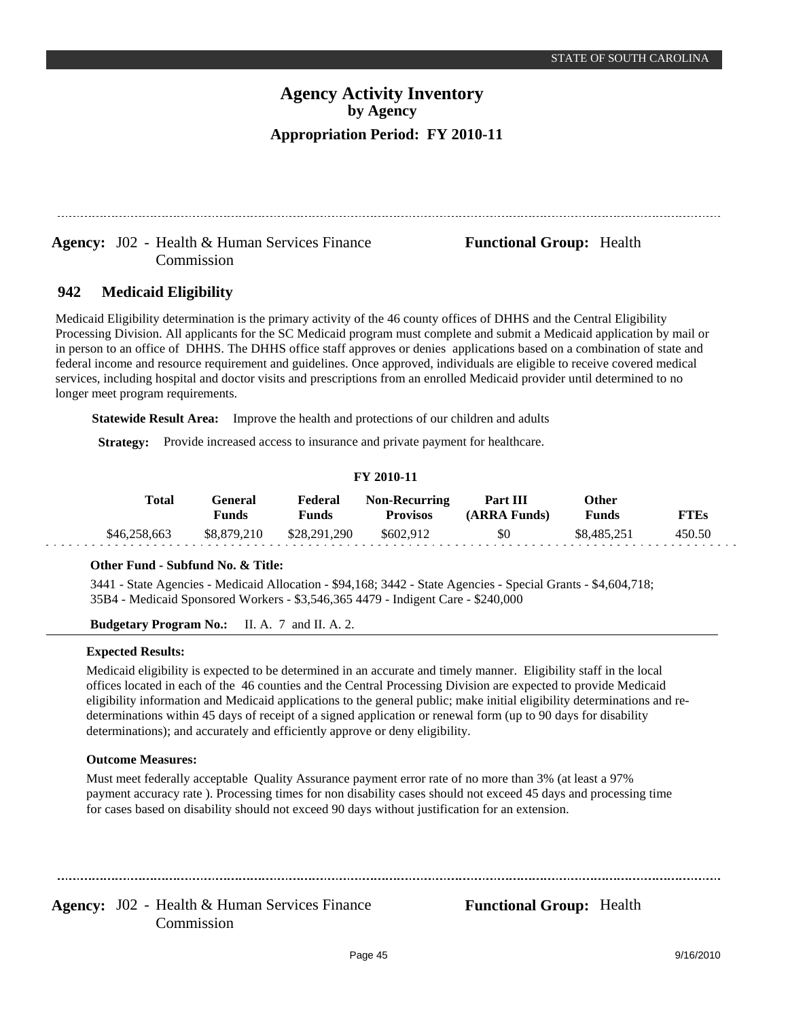## Agency: J02 - Health & Human Services Finance **Functional Group:** Health Commission

#### **Medicaid Eligibility 942**

Medicaid Eligibility determination is the primary activity of the 46 county offices of DHHS and the Central Eligibility Processing Division. All applicants for the SC Medicaid program must complete and submit a Medicaid application by mail or in person to an office of DHHS. The DHHS office staff approves or denies applications based on a combination of state and federal income and resource requirement and guidelines. Once approved, individuals are eligible to receive covered medical services, including hospital and doctor visits and prescriptions from an enrolled Medicaid provider until determined to no longer meet program requirements.

**Statewide Result Area:** Improve the health and protections of our children and adults

**Strategy:** Provide increased access to insurance and private payment for healthcare.

### **FY 2010-11**

| Total        | General<br><b>Funds</b> | Federal<br>Funds | <b>Non-Recurring</b><br><b>Provisos</b> | Part III<br>(ARRA Funds) | Other<br><b>Funds</b> | FTEs   |
|--------------|-------------------------|------------------|-----------------------------------------|--------------------------|-----------------------|--------|
| \$46,258,663 | \$8,879,210             | \$28,291,290     | \$602.912                               | \$0                      | \$8,485,251           | 450.50 |

### **Other Fund - Subfund No. & Title:**

3441 - State Agencies - Medicaid Allocation - \$94,168; 3442 - State Agencies - Special Grants - \$4,604,718; 35B4 - Medicaid Sponsored Workers - \$3,546,365 4479 - Indigent Care - \$240,000

**Budgetary Program No.:** II. A. 7 and II. A. 2.

### **Expected Results:**

Medicaid eligibility is expected to be determined in an accurate and timely manner. Eligibility staff in the local offices located in each of the 46 counties and the Central Processing Division are expected to provide Medicaid eligibility information and Medicaid applications to the general public; make initial eligibility determinations and redeterminations within 45 days of receipt of a signed application or renewal form (up to 90 days for disability determinations); and accurately and efficiently approve or deny eligibility.

### **Outcome Measures:**

Must meet federally acceptable Quality Assurance payment error rate of no more than 3% (at least a 97% payment accuracy rate ). Processing times for non disability cases should not exceed 45 days and processing time for cases based on disability should not exceed 90 days without justification for an extension.

Agency: J02 - Health & Human Services Finance **Functional Group:** Health Commission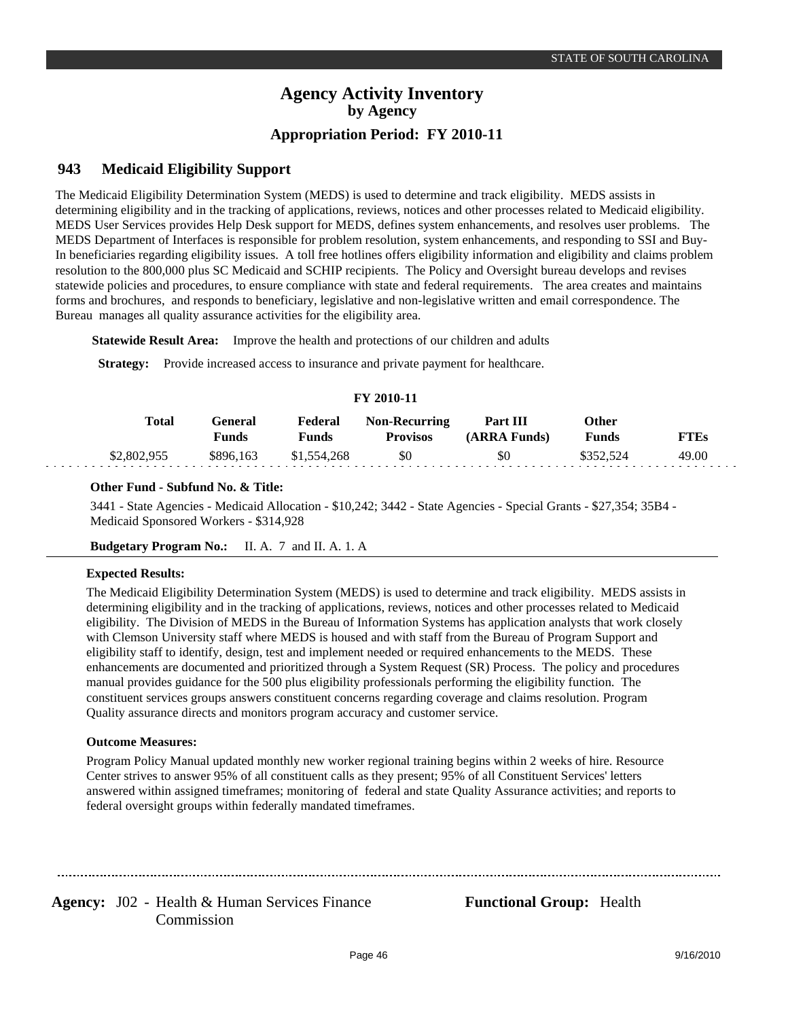#### **Medicaid Eligibility Support 943**

The Medicaid Eligibility Determination System (MEDS) is used to determine and track eligibility. MEDS assists in determining eligibility and in the tracking of applications, reviews, notices and other processes related to Medicaid eligibility. MEDS User Services provides Help Desk support for MEDS, defines system enhancements, and resolves user problems. The MEDS Department of Interfaces is responsible for problem resolution, system enhancements, and responding to SSI and Buy-In beneficiaries regarding eligibility issues. A toll free hotlines offers eligibility information and eligibility and claims problem resolution to the 800,000 plus SC Medicaid and SCHIP recipients. The Policy and Oversight bureau develops and revises statewide policies and procedures, to ensure compliance with state and federal requirements. The area creates and maintains forms and brochures, and responds to beneficiary, legislative and non-legislative written and email correspondence. The Bureau manages all quality assurance activities for the eligibility area.

**Statewide Result Area:** Improve the health and protections of our children and adults

**Strategy:** Provide increased access to insurance and private payment for healthcare.

### **FY 2010-11**

| Total       | General<br>Funds | Federal<br>Funds | <b>Non-Recurring</b><br><b>Provisos</b> | Part III<br>(ARRA Funds) | Other<br>Funds | <b>FTEs</b> |
|-------------|------------------|------------------|-----------------------------------------|--------------------------|----------------|-------------|
| \$2,802,955 | \$896.163        | \$1,554,268      | \$0                                     | \$0                      | \$352.524      | 49.00       |

### **Other Fund - Subfund No. & Title:**

3441 - State Agencies - Medicaid Allocation - \$10,242; 3442 - State Agencies - Special Grants - \$27,354; 35B4 - Medicaid Sponsored Workers - \$314,928

**Budgetary Program No.:** II. A. 7 and II. A. 1. A

### **Expected Results:**

The Medicaid Eligibility Determination System (MEDS) is used to determine and track eligibility. MEDS assists in determining eligibility and in the tracking of applications, reviews, notices and other processes related to Medicaid eligibility. The Division of MEDS in the Bureau of Information Systems has application analysts that work closely with Clemson University staff where MEDS is housed and with staff from the Bureau of Program Support and eligibility staff to identify, design, test and implement needed or required enhancements to the MEDS. These enhancements are documented and prioritized through a System Request (SR) Process. The policy and procedures manual provides guidance for the 500 plus eligibility professionals performing the eligibility function. The constituent services groups answers constituent concerns regarding coverage and claims resolution. Program Quality assurance directs and monitors program accuracy and customer service.

### **Outcome Measures:**

Program Policy Manual updated monthly new worker regional training begins within 2 weeks of hire. Resource Center strives to answer 95% of all constituent calls as they present; 95% of all Constituent Services' letters answered within assigned timeframes; monitoring of federal and state Quality Assurance activities; and reports to federal oversight groups within federally mandated timeframes.

Agency: J02 - Health & Human Services Finance **Functional Group:** Health Commission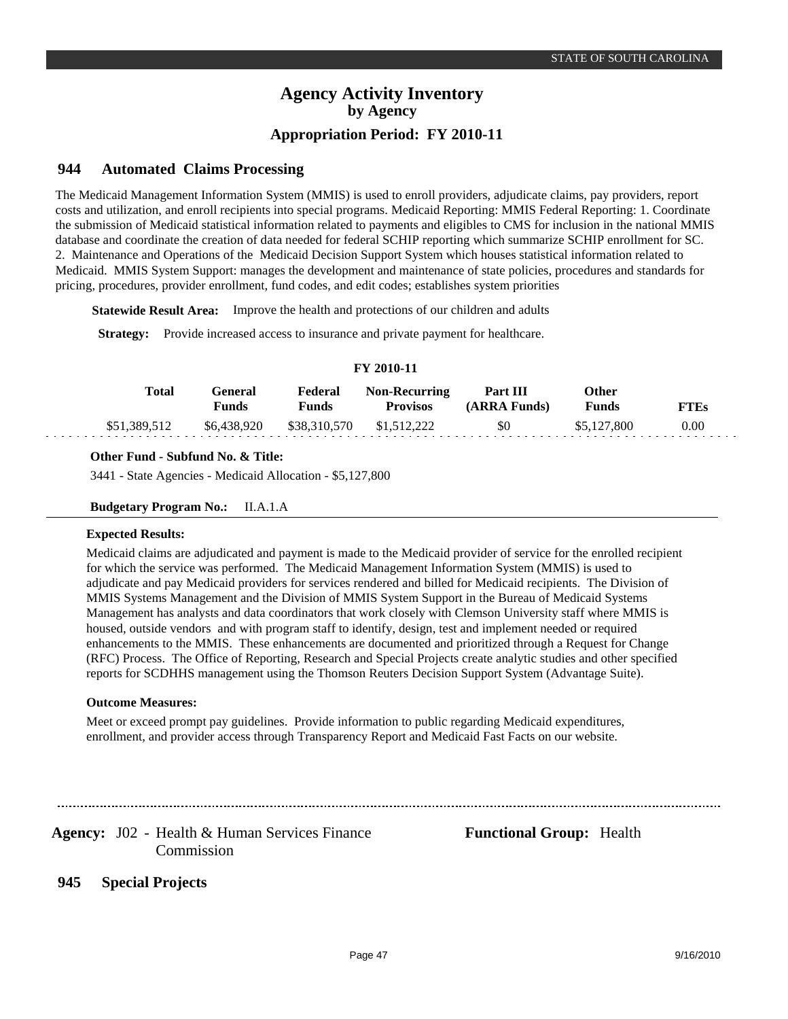#### **Automated Claims Processing 944**

The Medicaid Management Information System (MMIS) is used to enroll providers, adjudicate claims, pay providers, report costs and utilization, and enroll recipients into special programs. Medicaid Reporting: MMIS Federal Reporting: 1. Coordinate the submission of Medicaid statistical information related to payments and eligibles to CMS for inclusion in the national MMIS database and coordinate the creation of data needed for federal SCHIP reporting which summarize SCHIP enrollment for SC. 2. Maintenance and Operations of the Medicaid Decision Support System which houses statistical information related to Medicaid. MMIS System Support: manages the development and maintenance of state policies, procedures and standards for pricing, procedures, provider enrollment, fund codes, and edit codes; establishes system priorities

**Statewide Result Area:** Improve the health and protections of our children and adults

**Strategy:** Provide increased access to insurance and private payment for healthcare.

| FY 2010-11   |                  |                  |                                         |                          |                              |             |  |  |  |  |
|--------------|------------------|------------------|-----------------------------------------|--------------------------|------------------------------|-------------|--|--|--|--|
| Total        | General<br>Funds | Federal<br>Funds | <b>Non-Recurring</b><br><b>Provisos</b> | Part III<br>(ARRA Funds) | <b>Other</b><br><b>Funds</b> | <b>FTEs</b> |  |  |  |  |
| \$51,389,512 | \$6,438,920      | \$38,310,570     | \$1,512,222                             | \$0                      | \$5,127,800                  | 0.00        |  |  |  |  |

### **Other Fund - Subfund No. & Title:**

3441 - State Agencies - Medicaid Allocation - \$5,127,800

**Budgetary Program No.:** II.A.1.A

### **Expected Results:**

Medicaid claims are adjudicated and payment is made to the Medicaid provider of service for the enrolled recipient for which the service was performed. The Medicaid Management Information System (MMIS) is used to adjudicate and pay Medicaid providers for services rendered and billed for Medicaid recipients. The Division of MMIS Systems Management and the Division of MMIS System Support in the Bureau of Medicaid Systems Management has analysts and data coordinators that work closely with Clemson University staff where MMIS is housed, outside vendors and with program staff to identify, design, test and implement needed or required enhancements to the MMIS. These enhancements are documented and prioritized through a Request for Change (RFC) Process. The Office of Reporting, Research and Special Projects create analytic studies and other specified reports for SCDHHS management using the Thomson Reuters Decision Support System (Advantage Suite).

### **Outcome Measures:**

Meet or exceed prompt pay guidelines. Provide information to public regarding Medicaid expenditures, enrollment, and provider access through Transparency Report and Medicaid Fast Facts on our website.

Agency: J02 - Health & Human Services Finance **Functional Group:** Health Commission

**Special Projects 945**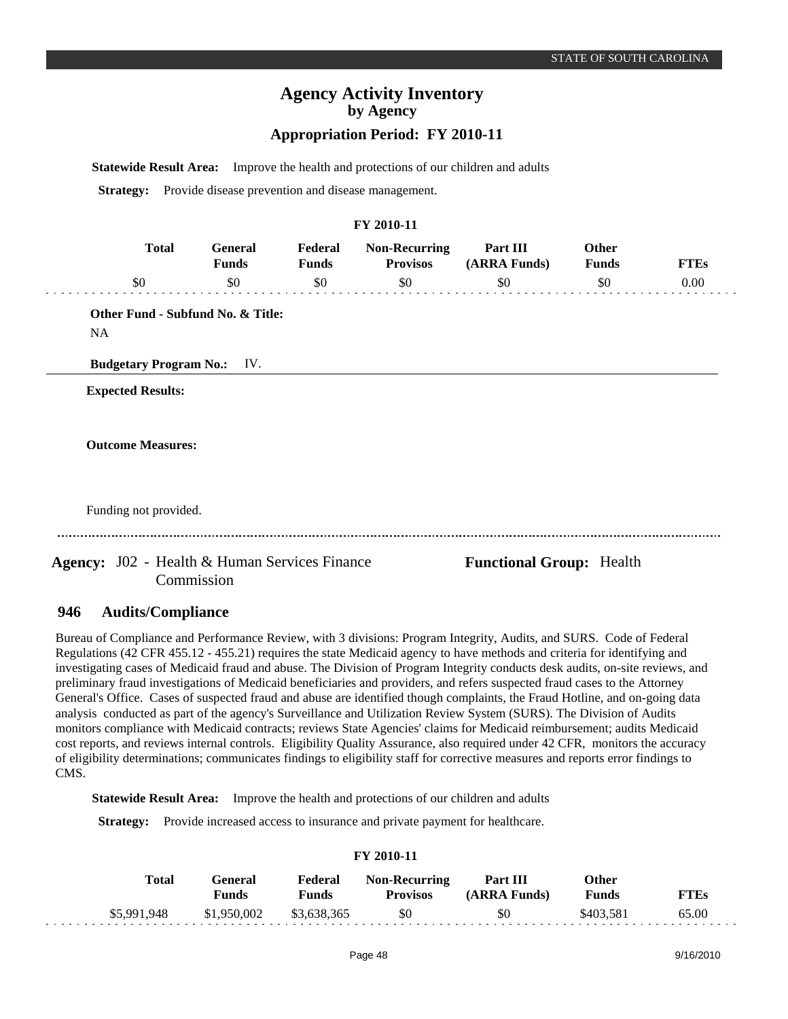### **Appropriation Period: FY 2010-11**

**Statewide Result Area:** Improve the health and protections of our children and adults

**Strategy:** Provide disease prevention and disease management.

### **FY 2010-11**

|     | General<br><b>Funds</b> | Federal<br><b>Funds</b> | <b>Non-Recurring</b><br><b>Provisos</b> | Part III<br>(ARRA Funds) | Other<br><b>Funds</b> | <b>FTEs</b> |
|-----|-------------------------|-------------------------|-----------------------------------------|--------------------------|-----------------------|-------------|
| \$0 | \$0                     | \$0                     | \$0                                     | \$0                      | \$0                   | 0.00        |

**Other Fund - Subfund No. & Title:** NA

**Budgetary Program No.:** IV.

**Expected Results:**

**Outcome Measures:**

Funding not provided.

Agency: J02 - Health & Human Services Finance **Functional Group:** Health Commission

#### **Audits/Compliance 946**

Bureau of Compliance and Performance Review, with 3 divisions: Program Integrity, Audits, and SURS. Code of Federal Regulations (42 CFR 455.12 - 455.21) requires the state Medicaid agency to have methods and criteria for identifying and investigating cases of Medicaid fraud and abuse. The Division of Program Integrity conducts desk audits, on-site reviews, and preliminary fraud investigations of Medicaid beneficiaries and providers, and refers suspected fraud cases to the Attorney General's Office. Cases of suspected fraud and abuse are identified though complaints, the Fraud Hotline, and on-going data analysis conducted as part of the agency's Surveillance and Utilization Review System (SURS). The Division of Audits monitors compliance with Medicaid contracts; reviews State Agencies' claims for Medicaid reimbursement; audits Medicaid cost reports, and reviews internal controls. Eligibility Quality Assurance, also required under 42 CFR, monitors the accuracy of eligibility determinations; communicates findings to eligibility staff for corrective measures and reports error findings to CMS.

**Statewide Result Area:** Improve the health and protections of our children and adults

**Strategy:** Provide increased access to insurance and private payment for healthcare.

### **FY 2010-11**

| Total       | Feneral<br>Funds | Federal<br>Funds | <b>Non-Recurring</b><br><b>Provisos</b> | <b>Part III</b><br>(ARRA Funds) | Other<br><b>Funds</b> | FTEs  |
|-------------|------------------|------------------|-----------------------------------------|---------------------------------|-----------------------|-------|
| \$5,991,948 | \$1,950,002      | \$3,638,365      | \$0                                     | \$0                             | \$403.581             | 65.00 |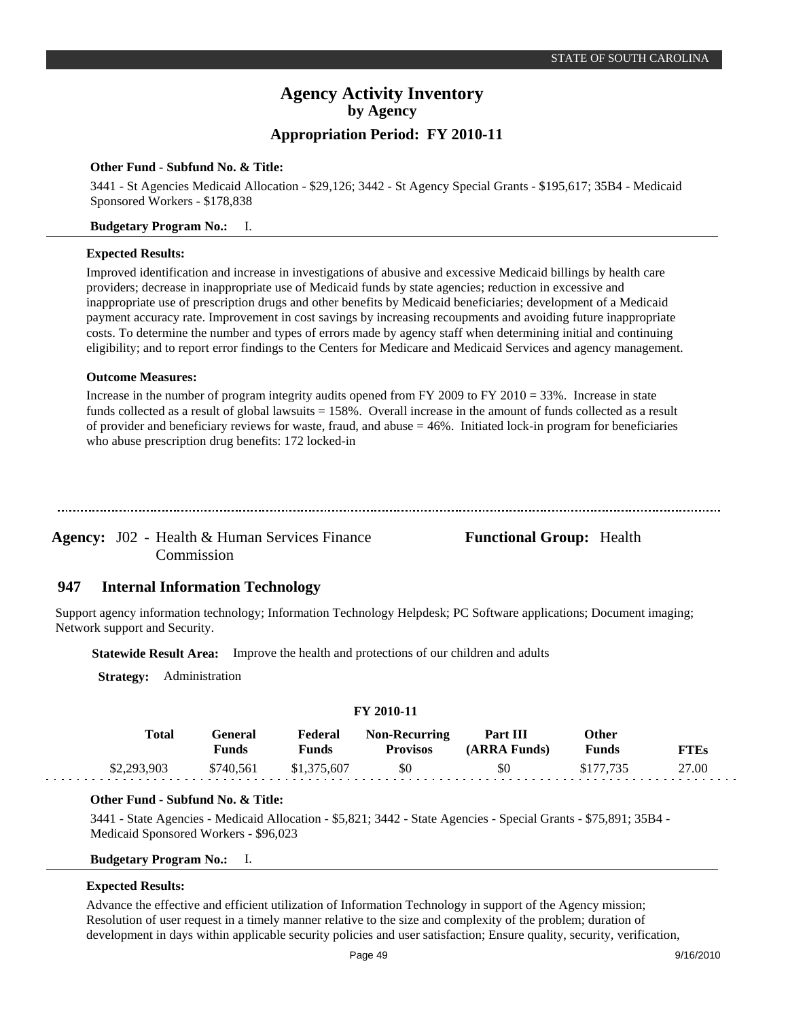## **Appropriation Period: FY 2010-11**

### **Other Fund - Subfund No. & Title:**

3441 - St Agencies Medicaid Allocation - \$29,126; 3442 - St Agency Special Grants - \$195,617; 35B4 - Medicaid Sponsored Workers - \$178,838

### **Budgetary Program No.:** I.

### **Expected Results:**

Improved identification and increase in investigations of abusive and excessive Medicaid billings by health care providers; decrease in inappropriate use of Medicaid funds by state agencies; reduction in excessive and inappropriate use of prescription drugs and other benefits by Medicaid beneficiaries; development of a Medicaid payment accuracy rate. Improvement in cost savings by increasing recoupments and avoiding future inappropriate costs. To determine the number and types of errors made by agency staff when determining initial and continuing eligibility; and to report error findings to the Centers for Medicare and Medicaid Services and agency management.

### **Outcome Measures:**

Increase in the number of program integrity audits opened from FY 2009 to FY 2010 = 33%. Increase in state funds collected as a result of global lawsuits = 158%. Overall increase in the amount of funds collected as a result of provider and beneficiary reviews for waste, fraud, and abuse  $= 46\%$ . Initiated lock-in program for beneficiaries who abuse prescription drug benefits: 172 locked-in

Agency: J02 - Health & Human Services Finance Functional Group: Health Commission

#### **Internal Information Technology 947**

Support agency information technology; Information Technology Helpdesk; PC Software applications; Document imaging; Network support and Security.

**Statewide Result Area:** Improve the health and protections of our children and adults

**Strategy:** Administration

| I 1 2010-11  |                  |                  |                                         |                          |                |             |  |  |  |  |
|--------------|------------------|------------------|-----------------------------------------|--------------------------|----------------|-------------|--|--|--|--|
| <b>Total</b> | General<br>Funds | Federal<br>Funds | <b>Non-Recurring</b><br><b>Provisos</b> | Part III<br>(ARRA Funds) | Other<br>Funds | <b>FTEs</b> |  |  |  |  |
| \$2,293,903  | \$740.561        | \$1,375,607      | \$0                                     | \$0                      | \$177.735      | 27.00       |  |  |  |  |

**FY 2010-11**

### **Other Fund - Subfund No. & Title:**

3441 - State Agencies - Medicaid Allocation - \$5,821; 3442 - State Agencies - Special Grants - \$75,891; 35B4 - Medicaid Sponsored Workers - \$96,023

### **Budgetary Program No.:** I.

### **Expected Results:**

Advance the effective and efficient utilization of Information Technology in support of the Agency mission; Resolution of user request in a timely manner relative to the size and complexity of the problem; duration of development in days within applicable security policies and user satisfaction; Ensure quality, security, verification,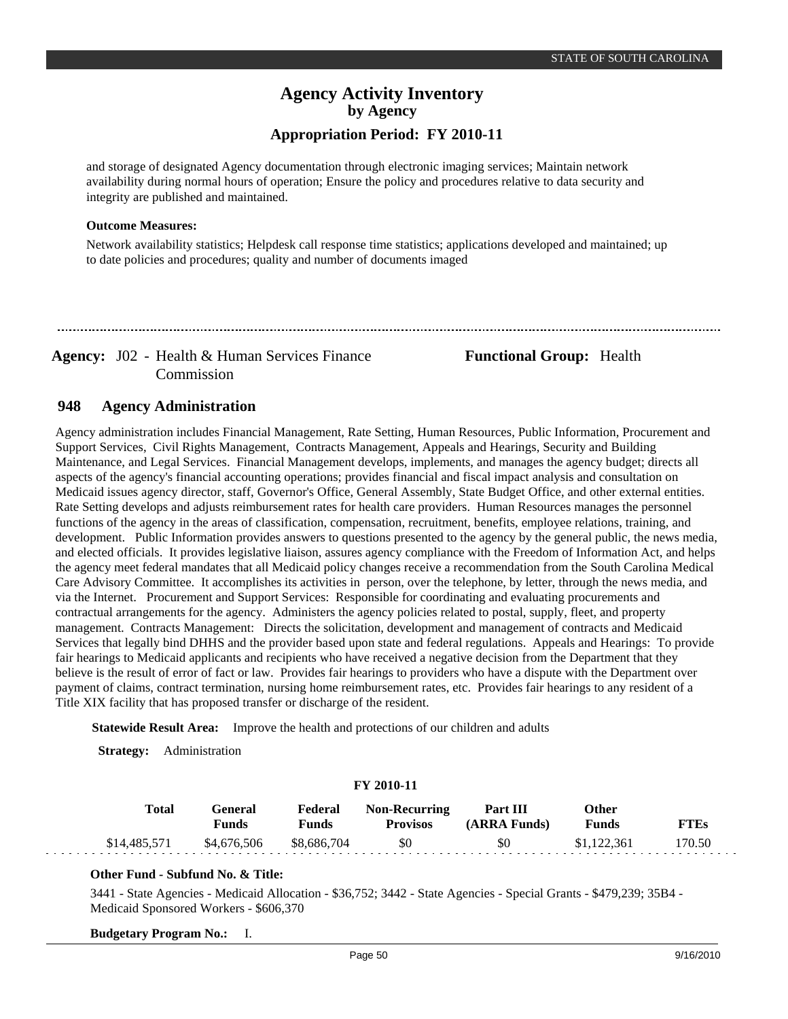## **Agency Activity Inventory by Agency Appropriation Period: FY 2010-11**

and storage of designated Agency documentation through electronic imaging services; Maintain network availability during normal hours of operation; Ensure the policy and procedures relative to data security and integrity are published and maintained.

### **Outcome Measures:**

Network availability statistics; Helpdesk call response time statistics; applications developed and maintained; up to date policies and procedures; quality and number of documents imaged

Agency: J02 - Health & Human Services Finance **Functional Group:** Health Commission

#### **Agency Administration 948**

Agency administration includes Financial Management, Rate Setting, Human Resources, Public Information, Procurement and Support Services, Civil Rights Management, Contracts Management, Appeals and Hearings, Security and Building Maintenance, and Legal Services. Financial Management develops, implements, and manages the agency budget; directs all aspects of the agency's financial accounting operations; provides financial and fiscal impact analysis and consultation on Medicaid issues agency director, staff, Governor's Office, General Assembly, State Budget Office, and other external entities. Rate Setting develops and adjusts reimbursement rates for health care providers. Human Resources manages the personnel functions of the agency in the areas of classification, compensation, recruitment, benefits, employee relations, training, and development. Public Information provides answers to questions presented to the agency by the general public, the news media, and elected officials. It provides legislative liaison, assures agency compliance with the Freedom of Information Act, and helps the agency meet federal mandates that all Medicaid policy changes receive a recommendation from the South Carolina Medical Care Advisory Committee. It accomplishes its activities in person, over the telephone, by letter, through the news media, and via the Internet. Procurement and Support Services: Responsible for coordinating and evaluating procurements and contractual arrangements for the agency. Administers the agency policies related to postal, supply, fleet, and property management. Contracts Management: Directs the solicitation, development and management of contracts and Medicaid Services that legally bind DHHS and the provider based upon state and federal regulations. Appeals and Hearings: To provide fair hearings to Medicaid applicants and recipients who have received a negative decision from the Department that they believe is the result of error of fact or law. Provides fair hearings to providers who have a dispute with the Department over payment of claims, contract termination, nursing home reimbursement rates, etc. Provides fair hearings to any resident of a Title XIX facility that has proposed transfer or discharge of the resident.

**Statewide Result Area:** Improve the health and protections of our children and adults

**Strategy:** Administration

| <b>FY 2010-11</b> |                         |                         |                                         |                          |                |             |  |  |  |  |
|-------------------|-------------------------|-------------------------|-----------------------------------------|--------------------------|----------------|-------------|--|--|--|--|
| Total             | General<br><b>Funds</b> | Federal<br><b>Funds</b> | <b>Non-Recurring</b><br><b>Provisos</b> | Part III<br>(ARRA Funds) | Other<br>Funds | <b>FTEs</b> |  |  |  |  |
| \$14,485,571      | \$4,676,506             | \$8.686.704             | \$0                                     | \$0                      | \$1,122,361    | 170.50      |  |  |  |  |

### **Other Fund - Subfund No. & Title:**

3441 - State Agencies - Medicaid Allocation - \$36,752; 3442 - State Agencies - Special Grants - \$479,239; 35B4 - Medicaid Sponsored Workers - \$606,370

**Budgetary Program No.:** I.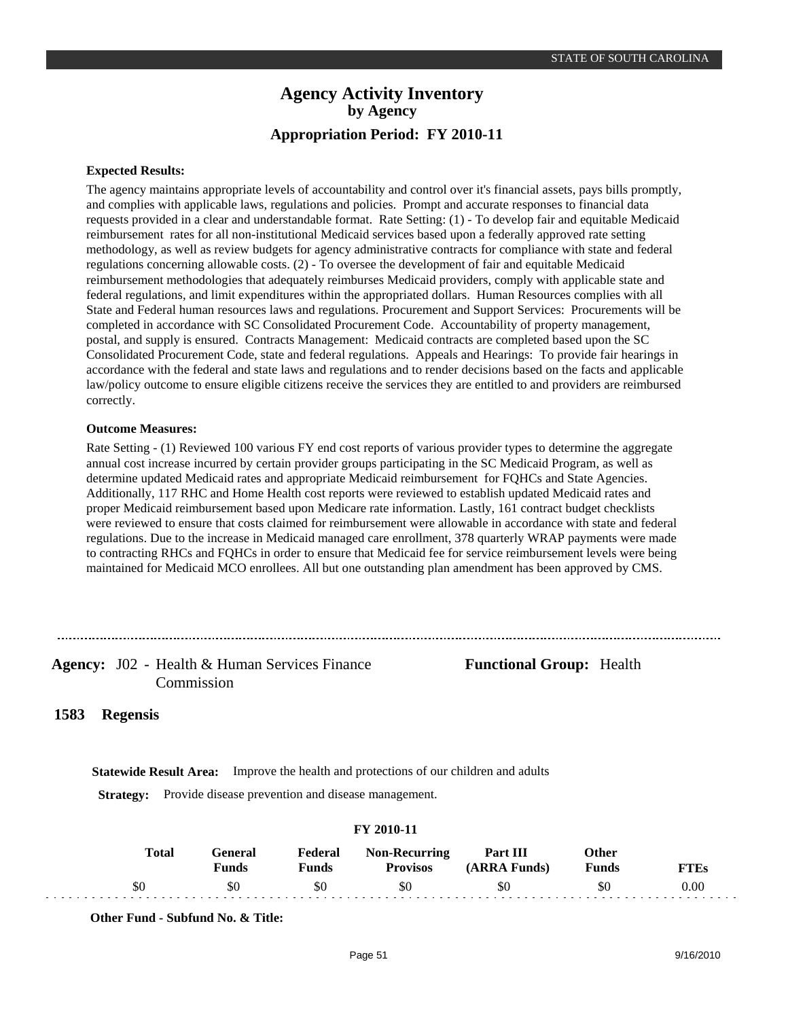### **Expected Results:**

The agency maintains appropriate levels of accountability and control over it's financial assets, pays bills promptly, and complies with applicable laws, regulations and policies. Prompt and accurate responses to financial data requests provided in a clear and understandable format. Rate Setting: (1) - To develop fair and equitable Medicaid reimbursement rates for all non-institutional Medicaid services based upon a federally approved rate setting methodology, as well as review budgets for agency administrative contracts for compliance with state and federal regulations concerning allowable costs. (2) - To oversee the development of fair and equitable Medicaid reimbursement methodologies that adequately reimburses Medicaid providers, comply with applicable state and federal regulations, and limit expenditures within the appropriated dollars. Human Resources complies with all State and Federal human resources laws and regulations. Procurement and Support Services: Procurements will be completed in accordance with SC Consolidated Procurement Code. Accountability of property management, postal, and supply is ensured. Contracts Management: Medicaid contracts are completed based upon the SC Consolidated Procurement Code, state and federal regulations. Appeals and Hearings: To provide fair hearings in accordance with the federal and state laws and regulations and to render decisions based on the facts and applicable law/policy outcome to ensure eligible citizens receive the services they are entitled to and providers are reimbursed correctly.

### **Outcome Measures:**

Rate Setting - (1) Reviewed 100 various FY end cost reports of various provider types to determine the aggregate annual cost increase incurred by certain provider groups participating in the SC Medicaid Program, as well as determine updated Medicaid rates and appropriate Medicaid reimbursement for FQHCs and State Agencies. Additionally, 117 RHC and Home Health cost reports were reviewed to establish updated Medicaid rates and proper Medicaid reimbursement based upon Medicare rate information. Lastly, 161 contract budget checklists were reviewed to ensure that costs claimed for reimbursement were allowable in accordance with state and federal regulations. Due to the increase in Medicaid managed care enrollment, 378 quarterly WRAP payments were made to contracting RHCs and FQHCs in order to ensure that Medicaid fee for service reimbursement levels were being maintained for Medicaid MCO enrollees. All but one outstanding plan amendment has been approved by CMS.

### Agency: J02 - Health & Human Services Finance Functional Group: Health Commission

#### **Regensis 1583**

**Statewide Result Area:** Improve the health and protections of our children and adults

**Strategy:** Provide disease prevention and disease management.

| <b>Total</b> | (÷eneral<br><b>Funds</b> | Federal<br>Funds | <b>Non-Recurring</b><br><b>Provisos</b> | Part III<br>(ARRA Funds) | Other<br><b>Funds</b> | <sup>v</sup> TEs |
|--------------|--------------------------|------------------|-----------------------------------------|--------------------------|-----------------------|------------------|
|              |                          | \$0              | \$0                                     |                          | 80                    | $0.00\,$         |

### **FY 2010-11**

**Other Fund - Subfund No. & Title:**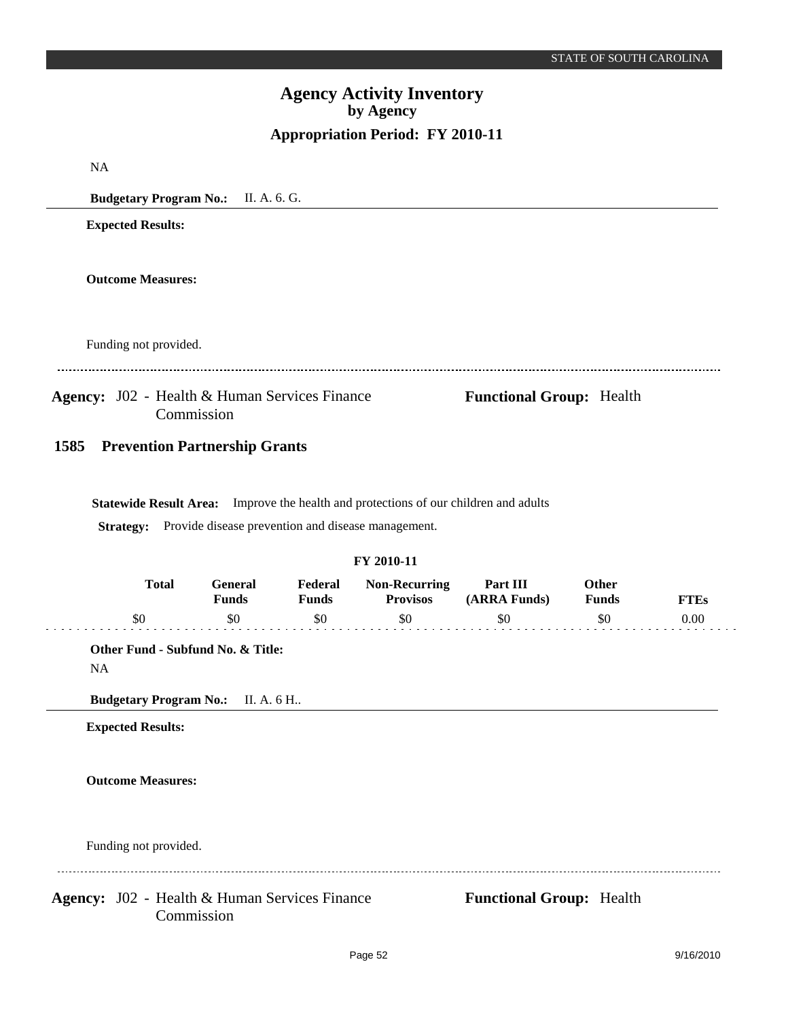|      |                                                                                                    |                     |                     | Appropriation Period: FY 2010-11                                                                                                                     |                                 |                     |                     |
|------|----------------------------------------------------------------------------------------------------|---------------------|---------------------|------------------------------------------------------------------------------------------------------------------------------------------------------|---------------------------------|---------------------|---------------------|
| NA   |                                                                                                    |                     |                     |                                                                                                                                                      |                                 |                     |                     |
|      | Budgetary Program No.: II. A. 6. G.                                                                |                     |                     |                                                                                                                                                      |                                 |                     |                     |
|      | <b>Expected Results:</b>                                                                           |                     |                     |                                                                                                                                                      |                                 |                     |                     |
|      | <b>Outcome Measures:</b>                                                                           |                     |                     |                                                                                                                                                      |                                 |                     |                     |
|      | Funding not provided.                                                                              |                     |                     |                                                                                                                                                      |                                 |                     |                     |
|      | <b>Agency:</b> J02 - Health & Human Services Finance<br>Commission                                 |                     |                     |                                                                                                                                                      | <b>Functional Group: Health</b> |                     |                     |
| 1585 | <b>Prevention Partnership Grants</b>                                                               |                     |                     |                                                                                                                                                      |                                 |                     |                     |
|      |                                                                                                    |                     |                     | Statewide Result Area: Improve the health and protections of our children and adults<br>Strategy: Provide disease prevention and disease management. |                                 |                     |                     |
|      | <b>Total</b>                                                                                       | <b>General</b>      | Federal             | FY 2010-11<br><b>Non-Recurring</b>                                                                                                                   | Part III                        | Other               |                     |
|      | \$0                                                                                                | <b>Funds</b><br>\$0 | <b>Funds</b><br>\$0 | <b>Provisos</b><br>\$0                                                                                                                               | (ARRA Funds)<br>\$0             | <b>Funds</b><br>\$0 | <b>FTEs</b><br>0.00 |
| NA   | Other Fund - Subfund No. & Title:<br>Budgetary Program No.: II. A. 6 H<br><b>Expected Results:</b> |                     |                     |                                                                                                                                                      |                                 |                     |                     |
|      | <b>Outcome Measures:</b>                                                                           |                     |                     |                                                                                                                                                      |                                 |                     |                     |
|      | Funding not provided.                                                                              |                     |                     |                                                                                                                                                      |                                 |                     |                     |
|      | Agency: J02 - Health & Human Services Finance<br>Commission                                        |                     |                     |                                                                                                                                                      | <b>Functional Group: Health</b> |                     |                     |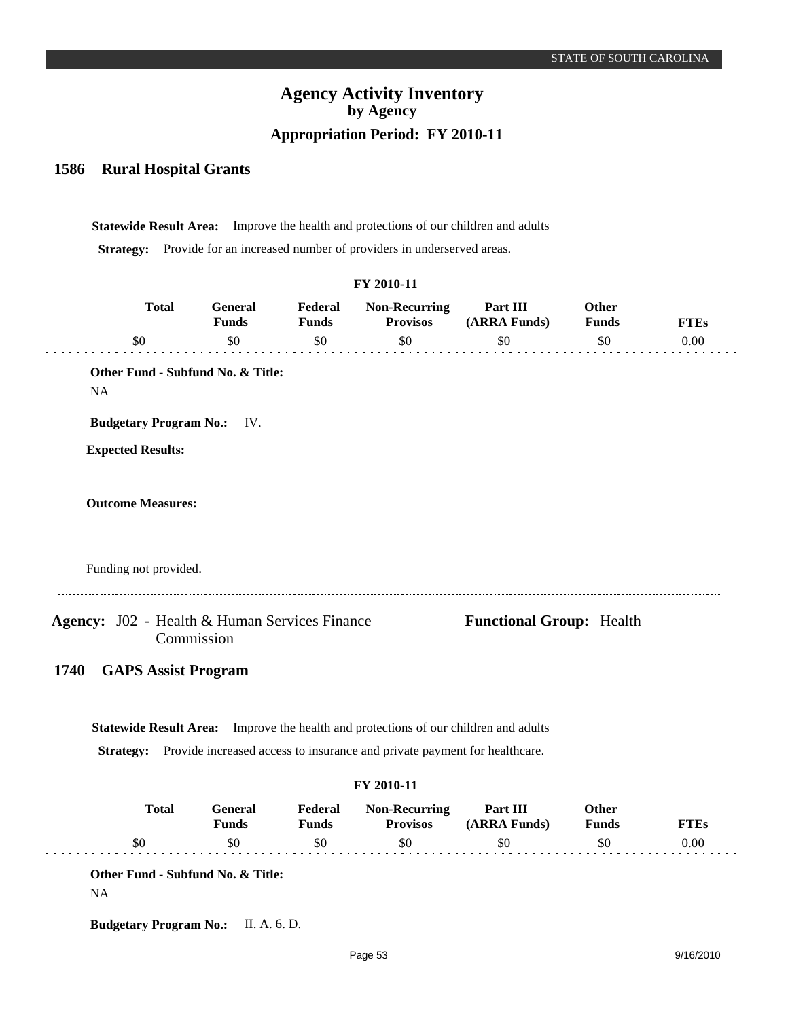#### **Rural Hospital Grants 1586**

**Statewide Result Area:** Improve the health and protections of our children and adults **Strategy:** Provide for an increased number of providers in underserved areas.

|      |                               |                                                                                             |                         | FY 2010-11                                                                |                                 |                       |             |
|------|-------------------------------|---------------------------------------------------------------------------------------------|-------------------------|---------------------------------------------------------------------------|---------------------------------|-----------------------|-------------|
|      | <b>Total</b>                  | General<br><b>Funds</b>                                                                     | Federal<br><b>Funds</b> | <b>Non-Recurring</b><br><b>Provisos</b>                                   | Part III<br>(ARRA Funds)        | Other<br><b>Funds</b> | <b>FTEs</b> |
|      | \$0                           | \$0                                                                                         | \$0                     | \$0                                                                       | \$0                             | \$0                   | 0.00        |
| NA   |                               | Other Fund - Subfund No. & Title:                                                           |                         |                                                                           |                                 |                       |             |
|      | <b>Budgetary Program No.:</b> | IV.                                                                                         |                         |                                                                           |                                 |                       |             |
|      | <b>Expected Results:</b>      |                                                                                             |                         |                                                                           |                                 |                       |             |
|      |                               |                                                                                             |                         |                                                                           |                                 |                       |             |
|      | <b>Outcome Measures:</b>      |                                                                                             |                         |                                                                           |                                 |                       |             |
|      |                               |                                                                                             |                         |                                                                           |                                 |                       |             |
|      |                               |                                                                                             |                         |                                                                           |                                 |                       |             |
|      | Funding not provided.         |                                                                                             |                         |                                                                           |                                 |                       |             |
|      |                               | Agency: J02 - Health & Human Services Finance<br>Commission                                 |                         |                                                                           | <b>Functional Group: Health</b> |                       |             |
| 1740 | <b>GAPS Assist Program</b>    |                                                                                             |                         |                                                                           |                                 |                       |             |
|      |                               |                                                                                             |                         |                                                                           |                                 |                       |             |
|      |                               |                                                                                             |                         |                                                                           |                                 |                       |             |
|      |                               |                                                                                             |                         |                                                                           |                                 |                       |             |
|      |                               | <b>Statewide Result Area:</b> Improve the health and protections of our children and adults |                         |                                                                           |                                 |                       |             |
|      | <b>Strategy:</b>              |                                                                                             |                         | Provide increased access to insurance and private payment for healthcare. |                                 |                       |             |
|      |                               |                                                                                             |                         | FY 2010-11                                                                |                                 |                       |             |
|      | <b>Total</b>                  | <b>General</b><br><b>Funds</b>                                                              | Federal<br><b>Funds</b> | <b>Non-Recurring</b><br><b>Provisos</b>                                   | Part III<br>(ARRA Funds)        | Other<br><b>Funds</b> | <b>FTEs</b> |

**Budgetary Program No.:** II. A. 6. D.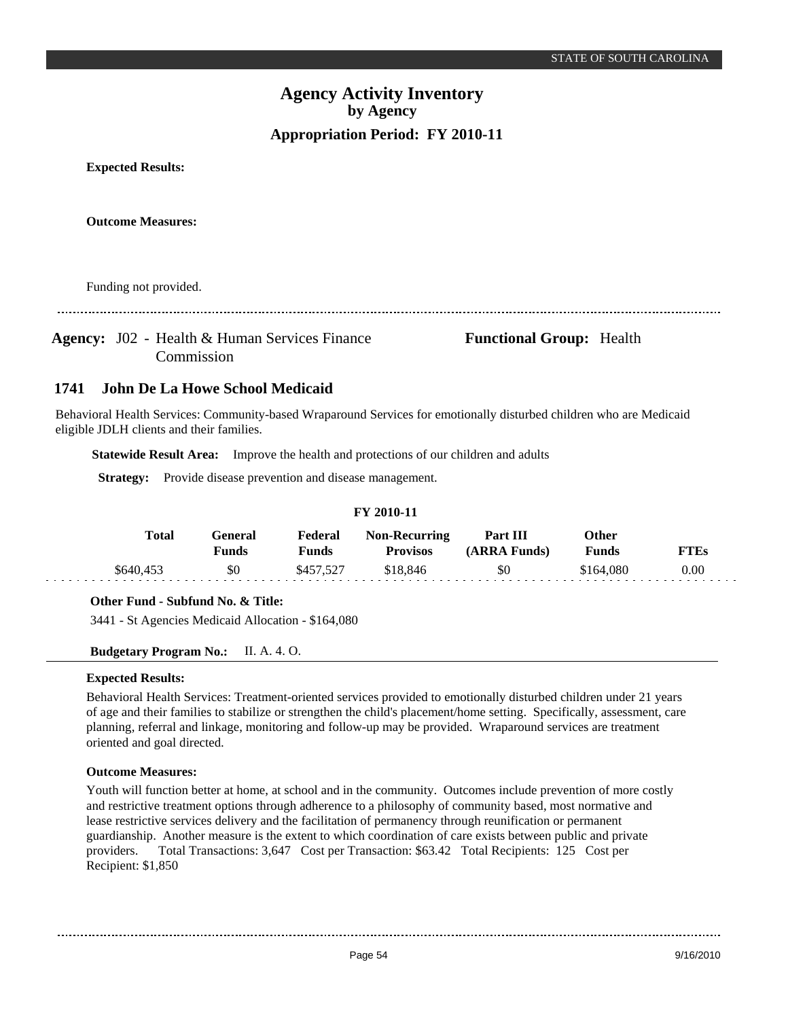**Expected Results:**

**Outcome Measures:**

Funding not provided.

Agency: J02 - Health & Human Services Finance **Functional Group:** Health Commission

#### **John De La Howe School Medicaid 1741**

Behavioral Health Services: Community-based Wraparound Services for emotionally disturbed children who are Medicaid eligible JDLH clients and their families.

**Statewide Result Area:** Improve the health and protections of our children and adults

**Strategy:** Provide disease prevention and disease management.

| <b>FY 2010-11</b> |                         |                  |                                         |                          |                       |             |  |  |  |
|-------------------|-------------------------|------------------|-----------------------------------------|--------------------------|-----------------------|-------------|--|--|--|
| Total             | General<br><b>Funds</b> | Federal<br>Funds | <b>Non-Recurring</b><br><b>Provisos</b> | Part III<br>(ARRA Funds) | <b>Other</b><br>Funds | <b>FTEs</b> |  |  |  |
| \$640,453         | \$0                     | \$457.527        | \$18,846                                | \$0                      | \$164,080             | 0.00        |  |  |  |

### **Other Fund - Subfund No. & Title:**

3441 - St Agencies Medicaid Allocation - \$164,080

### **Budgetary Program No.:** II. A. 4. O.

### **Expected Results:**

Behavioral Health Services: Treatment-oriented services provided to emotionally disturbed children under 21 years of age and their families to stabilize or strengthen the child's placement/home setting. Specifically, assessment, care planning, referral and linkage, monitoring and follow-up may be provided. Wraparound services are treatment oriented and goal directed.

### **Outcome Measures:**

Youth will function better at home, at school and in the community. Outcomes include prevention of more costly and restrictive treatment options through adherence to a philosophy of community based, most normative and lease restrictive services delivery and the facilitation of permanency through reunification or permanent guardianship. Another measure is the extent to which coordination of care exists between public and private providers. Total Transactions: 3,647 Cost per Transaction: \$63.42 Total Recipients: 125 Cost per Recipient: \$1,850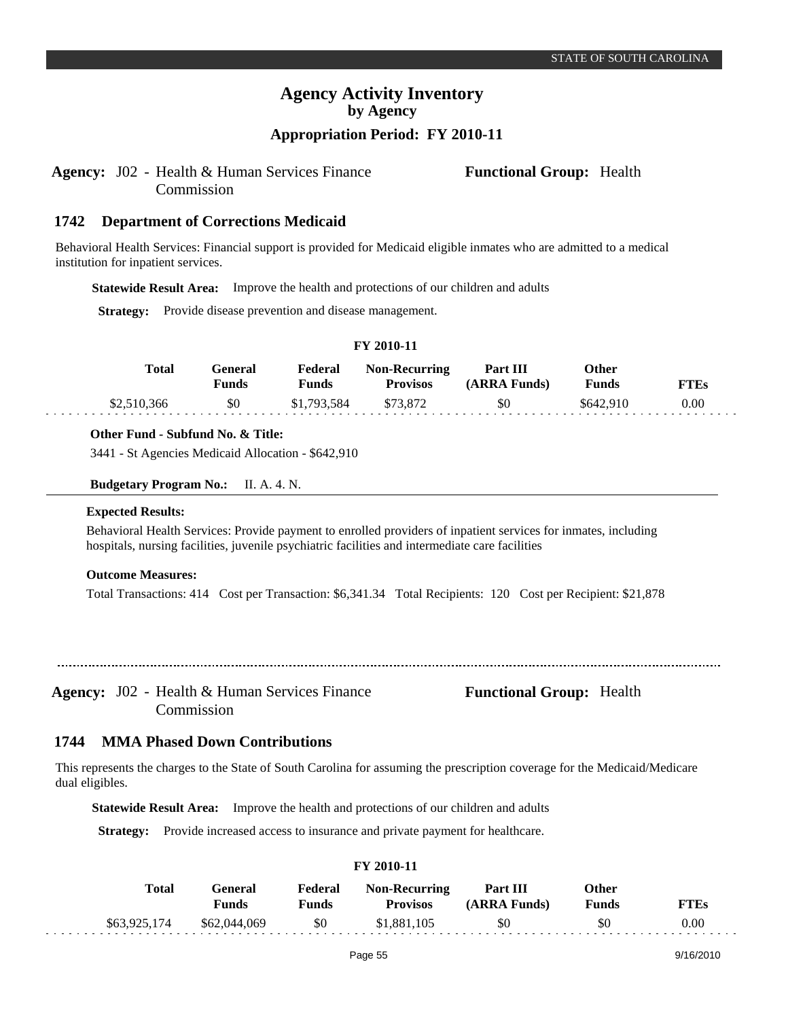# **Appropriation Period: FY 2010-11**

### Agency: J02 - Health & Human Services Finance **Functional Group:** Health Commission

**Department of Corrections Medicaid 1742**

Behavioral Health Services: Financial support is provided for Medicaid eligible inmates who are admitted to a medical institution for inpatient services.

**Statewide Result Area:** Improve the health and protections of our children and adults

**Strategy:** Provide disease prevention and disease management.

| T 1 2010-11 |       |                  |                  |                                         |                          |                       |             |  |  |  |
|-------------|-------|------------------|------------------|-----------------------------------------|--------------------------|-----------------------|-------------|--|--|--|
|             | Total | General<br>Funds | Federal<br>Funds | <b>Non-Recurring</b><br><b>Provisos</b> | Part III<br>(ARRA Funds) | Other<br><b>Funds</b> | <b>FTEs</b> |  |  |  |
| \$2,510,366 |       | \$0              | \$1,793,584      | \$73.872                                | \$0                      | \$642,910             | 0.00        |  |  |  |

**FY 2010-11**

### **Other Fund - Subfund No. & Title:**

3441 - St Agencies Medicaid Allocation - \$642,910

**Budgetary Program No.:** II. A. 4. N.

### **Expected Results:**

Behavioral Health Services: Provide payment to enrolled providers of inpatient services for inmates, including hospitals, nursing facilities, juvenile psychiatric facilities and intermediate care facilities

### **Outcome Measures:**

Total Transactions: 414 Cost per Transaction: \$6,341.34 Total Recipients: 120 Cost per Recipient: \$21,878

Agency: J02 - Health & Human Services Finance **Functional Group:** Health Commission

#### **MMA Phased Down Contributions 1744**

This represents the charges to the State of South Carolina for assuming the prescription coverage for the Medicaid/Medicare dual eligibles.

**Statewide Result Area:** Improve the health and protections of our children and adults

**Strategy:** Provide increased access to insurance and private payment for healthcare.

| Total        | General<br>Funds | Federal<br><b>Funds</b> | <b>Non-Recurring</b><br><b>Provisos</b> | <b>Part III</b><br>(ARRA Funds) | Other<br>Funds | <b>FTEs</b> |
|--------------|------------------|-------------------------|-----------------------------------------|---------------------------------|----------------|-------------|
| \$63,925,174 | \$62,044,069     | \$0                     | \$1,881,105                             | \$0                             | \$0            | 0.00        |

**FY 2010-11**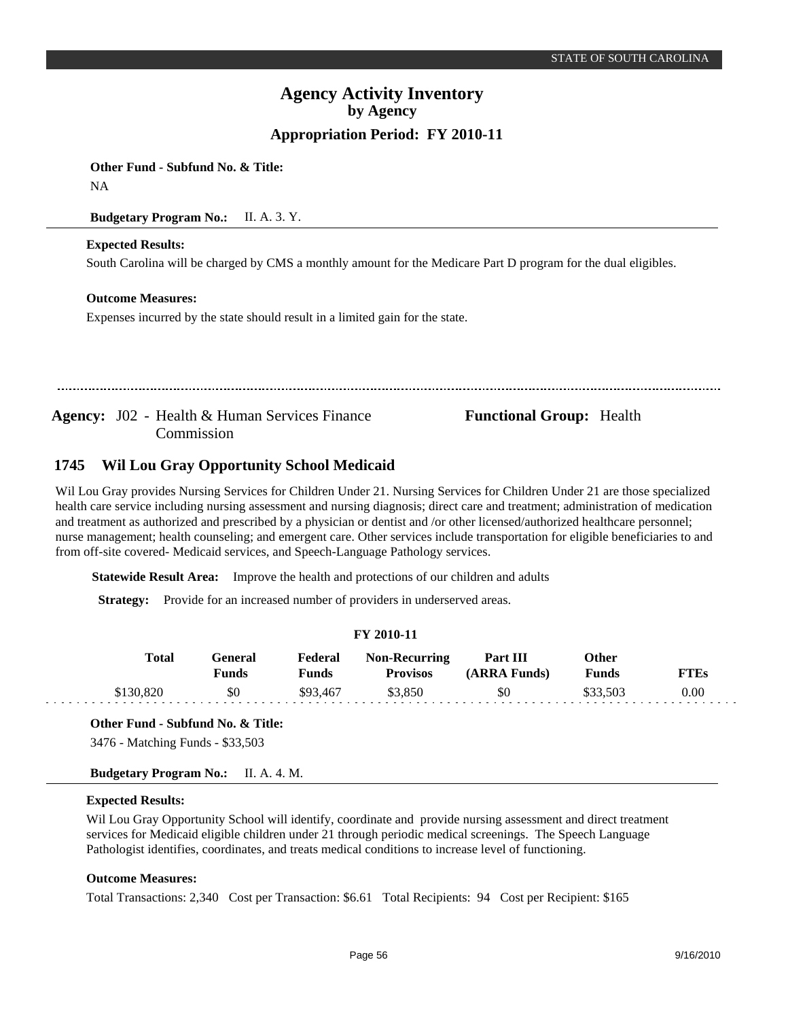**Other Fund - Subfund No. & Title:**

NA

### **Budgetary Program No.:** II. A. 3. Y.

### **Expected Results:**

South Carolina will be charged by CMS a monthly amount for the Medicare Part D program for the dual eligibles.

### **Outcome Measures:**

Expenses incurred by the state should result in a limited gain for the state.

Agency: J02 - Health & Human Services Finance Functional Group: Health Commission

#### **Wil Lou Gray Opportunity School Medicaid 1745**

Wil Lou Gray provides Nursing Services for Children Under 21. Nursing Services for Children Under 21 are those specialized health care service including nursing assessment and nursing diagnosis; direct care and treatment; administration of medication and treatment as authorized and prescribed by a physician or dentist and /or other licensed/authorized healthcare personnel; nurse management; health counseling; and emergent care. Other services include transportation for eligible beneficiaries to and from off-site covered- Medicaid services, and Speech-Language Pathology services.

**Statewide Result Area:** Improve the health and protections of our children and adults

**Strategy:** Provide for an increased number of providers in underserved areas.

### **FY 2010-11**

| Total     | General<br>Funds | Federal<br>Funds | <b>Non-Recurring</b><br><b>Provisos</b> | Part III<br>(ARRA Funds) | Other<br>Funds | FTEs |
|-----------|------------------|------------------|-----------------------------------------|--------------------------|----------------|------|
| \$130,820 | \$0              | \$93,467         | \$3,850                                 | \$0                      | \$33,503       | 0.00 |

### **Other Fund - Subfund No. & Title:**

3476 - Matching Funds - \$33,503

**Budgetary Program No.:** II. A. 4. M.

### **Expected Results:**

and a large

Wil Lou Gray Opportunity School will identify, coordinate and provide nursing assessment and direct treatment services for Medicaid eligible children under 21 through periodic medical screenings. The Speech Language Pathologist identifies, coordinates, and treats medical conditions to increase level of functioning.

### **Outcome Measures:**

Total Transactions: 2,340 Cost per Transaction: \$6.61 Total Recipients: 94 Cost per Recipient: \$165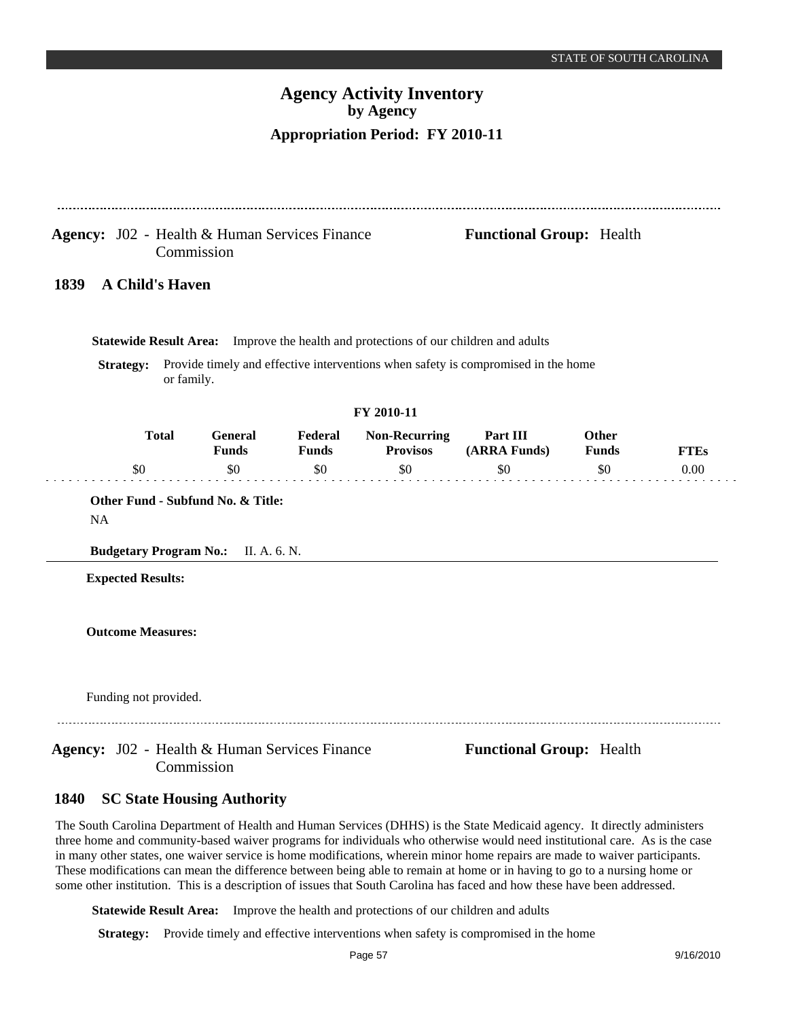|                                                      | Commission             |                                                   | Agency: J02 - Health & Human Services Finance |                                                                                      | <b>Functional Group: Health</b>                                                   |                                 |             |
|------------------------------------------------------|------------------------|---------------------------------------------------|-----------------------------------------------|--------------------------------------------------------------------------------------|-----------------------------------------------------------------------------------|---------------------------------|-------------|
| 1839                                                 | <b>A Child's Haven</b> |                                                   |                                               |                                                                                      |                                                                                   |                                 |             |
|                                                      |                        |                                                   |                                               | Statewide Result Area: Improve the health and protections of our children and adults |                                                                                   |                                 |             |
| <b>Strategy:</b>                                     | or family.             |                                                   |                                               |                                                                                      | Provide timely and effective interventions when safety is compromised in the home |                                 |             |
|                                                      |                        |                                                   |                                               | FY 2010-11                                                                           |                                                                                   |                                 |             |
|                                                      | <b>Total</b>           | <b>General</b><br><b>Funds</b>                    | Federal<br><b>Funds</b>                       | <b>Non-Recurring</b><br><b>Provisos</b>                                              | Part III<br>(ARRA Funds)                                                          | <b>Other</b><br><b>Funds</b>    | <b>FTEs</b> |
| \$0                                                  |                        | \$0                                               | \$0                                           | \$0                                                                                  | \$0                                                                               | \$0                             | 0.00        |
| <b>NA</b><br><b>Budgetary Program No.:</b>           |                        | Other Fund - Subfund No. & Title:<br>II. A. 6. N. |                                               |                                                                                      |                                                                                   |                                 |             |
| <b>Expected Results:</b><br><b>Outcome Measures:</b> |                        |                                                   |                                               |                                                                                      |                                                                                   |                                 |             |
| Funding not provided.                                |                        |                                                   |                                               |                                                                                      |                                                                                   |                                 |             |
|                                                      |                        |                                                   | Agency: J02 - Health & Human Services Finance |                                                                                      |                                                                                   | <b>Functional Group: Health</b> |             |

The South Carolina Department of Health and Human Services (DHHS) is the State Medicaid agency. It directly administers three home and community-based waiver programs for individuals who otherwise would need institutional care. As is the case in many other states, one waiver service is home modifications, wherein minor home repairs are made to waiver participants. These modifications can mean the difference between being able to remain at home or in having to go to a nursing home or some other institution. This is a description of issues that South Carolina has faced and how these have been addressed.

**Statewide Result Area:** Improve the health and protections of our children and adults

**Strategy:** Provide timely and effective interventions when safety is compromised in the home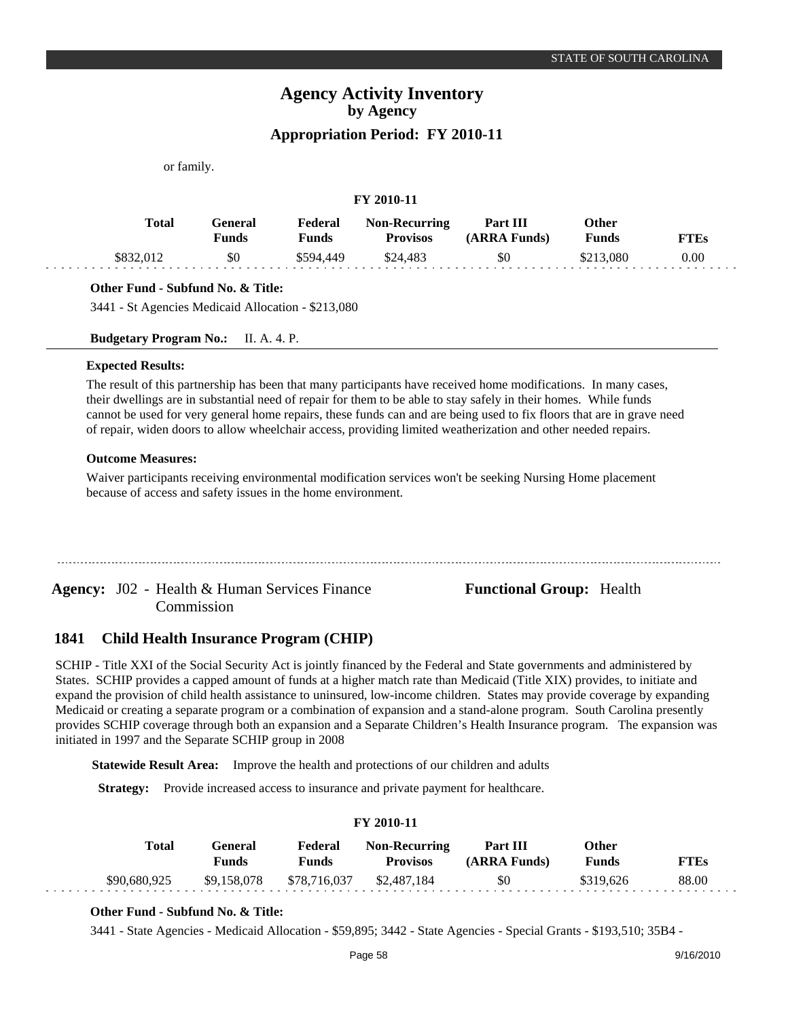or family.

### **FY 2010-11**

| <b>Total</b> | General<br>Funds | Federal<br>Funds | <b>Non-Recurring</b><br><b>Provisos</b> | Part III<br>(ARRA Funds) | Other<br><b>Funds</b> | <b>FTEs</b> |
|--------------|------------------|------------------|-----------------------------------------|--------------------------|-----------------------|-------------|
| \$832,012    | \$0              | \$594.449        | \$24,483                                | \$0                      | \$213,080             | 0.00        |

### **Other Fund - Subfund No. & Title:**

3441 - St Agencies Medicaid Allocation - \$213,080

**Budgetary Program No.:** II. A. 4. P.

#### **Expected Results:**

The result of this partnership has been that many participants have received home modifications. In many cases, their dwellings are in substantial need of repair for them to be able to stay safely in their homes. While funds cannot be used for very general home repairs, these funds can and are being used to fix floors that are in grave need of repair, widen doors to allow wheelchair access, providing limited weatherization and other needed repairs.

### **Outcome Measures:**

Waiver participants receiving environmental modification services won't be seeking Nursing Home placement because of access and safety issues in the home environment.

Agency: J02 - Health & Human Services Finance **Functional Group:** Health Commission

#### **Child Health Insurance Program (CHIP) 1841**

SCHIP - Title XXI of the Social Security Act is jointly financed by the Federal and State governments and administered by States. SCHIP provides a capped amount of funds at a higher match rate than Medicaid (Title XIX) provides, to initiate and expand the provision of child health assistance to uninsured, low-income children. States may provide coverage by expanding Medicaid or creating a separate program or a combination of expansion and a stand-alone program. South Carolina presently provides SCHIP coverage through both an expansion and a Separate Children's Health Insurance program. The expansion was initiated in 1997 and the Separate SCHIP group in 2008

**Statewide Result Area:** Improve the health and protections of our children and adults

**Strategy:** Provide increased access to insurance and private payment for healthcare.

### **FY 2010-11**

| Total        | General<br>Funds | Federal<br>Funds | <b>Non-Recurring</b><br><b>Provisos</b> | Part III<br>(ARRA Funds) | Other<br>Funds | <b>FTEs</b> |
|--------------|------------------|------------------|-----------------------------------------|--------------------------|----------------|-------------|
| \$90,680,925 | \$9,158,078      | \$78,716,037     | \$2,487,184                             | \$0                      | \$319.626      | 88.00       |

### **Other Fund - Subfund No. & Title:**

3441 - State Agencies - Medicaid Allocation - \$59,895; 3442 - State Agencies - Special Grants - \$193,510; 35B4 -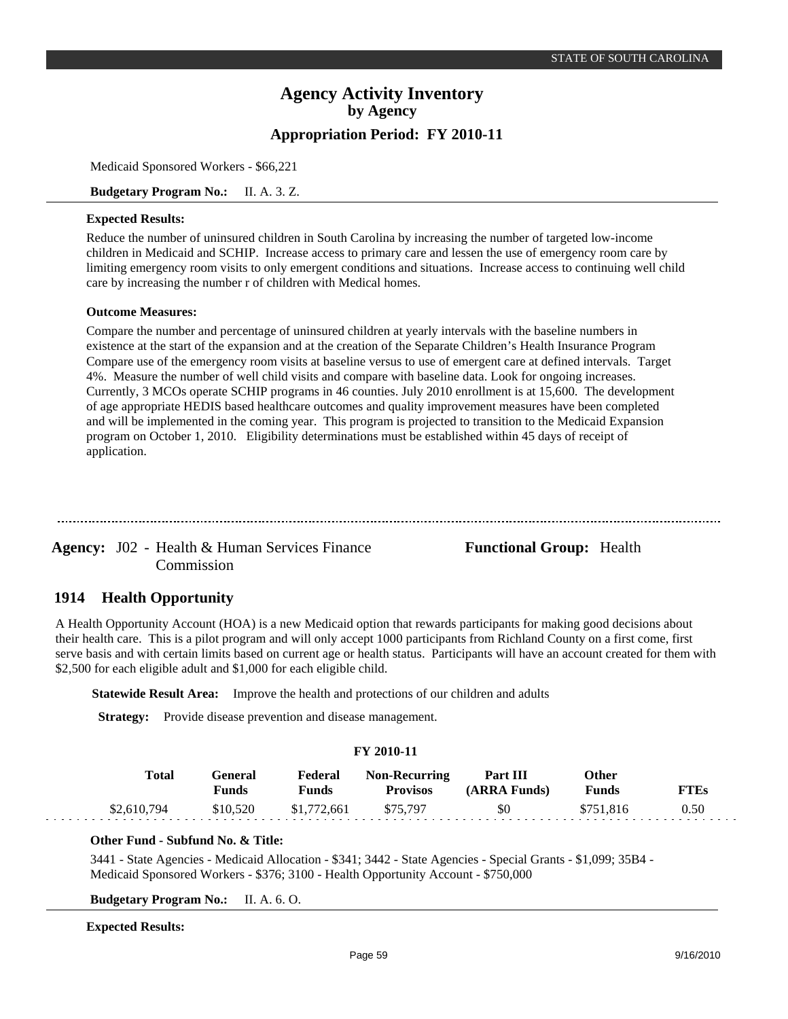Medicaid Sponsored Workers - \$66,221

**Budgetary Program No.:** II. A. 3. Z.

### **Expected Results:**

Reduce the number of uninsured children in South Carolina by increasing the number of targeted low-income children in Medicaid and SCHIP. Increase access to primary care and lessen the use of emergency room care by limiting emergency room visits to only emergent conditions and situations. Increase access to continuing well child care by increasing the number r of children with Medical homes.

### **Outcome Measures:**

Compare the number and percentage of uninsured children at yearly intervals with the baseline numbers in existence at the start of the expansion and at the creation of the Separate Children's Health Insurance Program Compare use of the emergency room visits at baseline versus to use of emergent care at defined intervals. Target 4%. Measure the number of well child visits and compare with baseline data. Look for ongoing increases. Currently, 3 MCOs operate SCHIP programs in 46 counties. July 2010 enrollment is at 15,600. The development of age appropriate HEDIS based healthcare outcomes and quality improvement measures have been completed and will be implemented in the coming year. This program is projected to transition to the Medicaid Expansion program on October 1, 2010. Eligibility determinations must be established within 45 days of receipt of application.

Agency: J02 - Health & Human Services Finance **Functional Group:** Health Commission

#### **Health Opportunity 1914**

A Health Opportunity Account (HOA) is a new Medicaid option that rewards participants for making good decisions about their health care. This is a pilot program and will only accept 1000 participants from Richland County on a first come, first serve basis and with certain limits based on current age or health status. Participants will have an account created for them with \$2,500 for each eligible adult and \$1,000 for each eligible child.

**Statewide Result Area:** Improve the health and protections of our children and adults

**Strategy:** Provide disease prevention and disease management.

### **FY 2010-11**

| Total       | General<br><b>Funds</b> | Federal<br>Funds | <b>Non-Recurring</b><br><b>Provisos</b> | Part III<br>(ARRA Funds) | Other<br>Funds | FTEs |  |
|-------------|-------------------------|------------------|-----------------------------------------|--------------------------|----------------|------|--|
| \$2,610,794 | \$10,520                | \$1,772,661      | \$75.797                                | \$0                      | \$751.816      | 0.50 |  |

### **Other Fund - Subfund No. & Title:**

3441 - State Agencies - Medicaid Allocation - \$341; 3442 - State Agencies - Special Grants - \$1,099; 35B4 - Medicaid Sponsored Workers - \$376; 3100 - Health Opportunity Account - \$750,000

**Budgetary Program No.:** II. A. 6. O.

### **Expected Results:**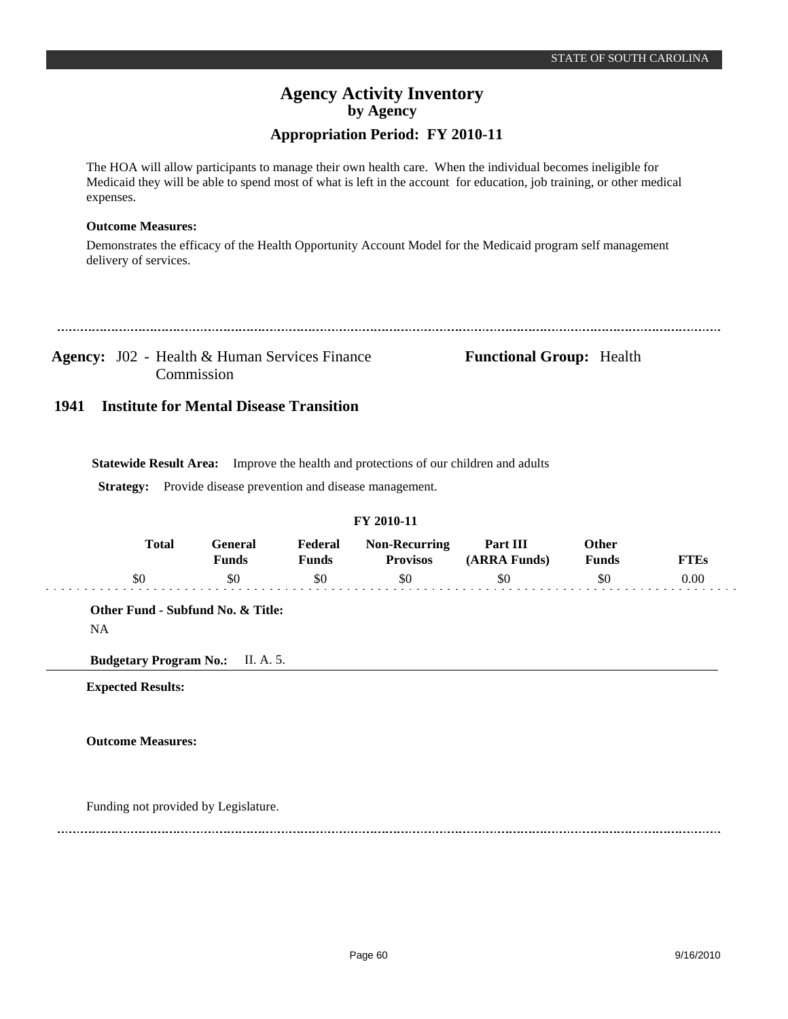### **Appropriation Period: FY 2010-11**

The HOA will allow participants to manage their own health care. When the individual becomes ineligible for Medicaid they will be able to spend most of what is left in the account for education, job training, or other medical expenses.

### **Outcome Measures:**

Demonstrates the efficacy of the Health Opportunity Account Model for the Medicaid program self management delivery of services.

Agency: J02 - Health & Human Services Finance **Functional Group:** Health Commission

#### **Institute for Mental Disease Transition 1941**

**Statewide Result Area:** Improve the health and protections of our children and adults

**Strategy:** Provide disease prevention and disease management.

### **FY 2010-11**

| <b>Total</b> | General<br><b>Funds</b> | Federal<br><b>Funds</b> | <b>Non-Recurring</b><br><b>Provisos</b> | Part III<br>(ARRA Funds) | Other<br><b>Funds</b> | <b>FTEs</b> |
|--------------|-------------------------|-------------------------|-----------------------------------------|--------------------------|-----------------------|-------------|
| \$0          | \$0                     | \$0                     | \$0                                     | \$0                      | \$0                   | 0.00        |
|              |                         |                         |                                         |                          |                       |             |

**Expected Results:**

**Outcome Measures:**

Funding not provided by Legislature.